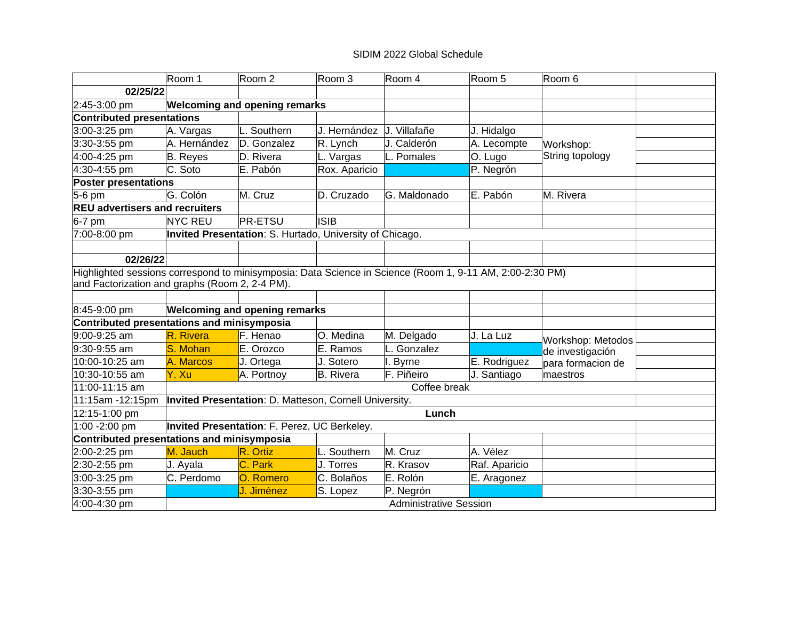# SIDIM 2022 Global Schedule

|                                                                                                          | Room 1          | Room 2                                                   | Room 3        | Room 4                        | Room 5        | Room 6            |  |
|----------------------------------------------------------------------------------------------------------|-----------------|----------------------------------------------------------|---------------|-------------------------------|---------------|-------------------|--|
| 02/25/22                                                                                                 |                 |                                                          |               |                               |               |                   |  |
| 2:45-3:00 pm                                                                                             |                 | <b>Welcoming and opening remarks</b>                     |               |                               |               |                   |  |
| <b>Contributed presentations</b>                                                                         |                 |                                                          |               |                               |               |                   |  |
| 3:00-3:25 pm                                                                                             | A. Vargas       | L. Southern                                              | J. Hernández  | J. Villafañe                  | J. Hidalgo    |                   |  |
| 3:30-3:55 pm                                                                                             | A. Hernández    | D. Gonzalez                                              | R. Lynch      | J. Calderón                   | A. Lecompte   | Workshop:         |  |
| 4:00-4:25 pm                                                                                             | <b>B.</b> Reyes | D. Rivera                                                | L. Vargas     | L. Pomales                    | O. Lugo       | String topology   |  |
| 4:30-4:55 pm                                                                                             | C. Soto         | E. Pabón                                                 | Rox. Aparicio |                               | P. Negrón     |                   |  |
| <b>Poster presentations</b>                                                                              |                 |                                                          |               |                               |               |                   |  |
| $5-6$ pm                                                                                                 | G. Colón        | M. Cruz                                                  | D. Cruzado    | G. Maldonado                  | E. Pabón      | M. Rivera         |  |
| <b>REU advertisers and recruiters</b>                                                                    |                 |                                                          |               |                               |               |                   |  |
| $6-7$ pm                                                                                                 | <b>NYC REU</b>  | <b>PR-ETSU</b>                                           | <b>ISIB</b>   |                               |               |                   |  |
| 7:00-8:00 pm                                                                                             |                 | Invited Presentation: S. Hurtado, University of Chicago. |               |                               |               |                   |  |
|                                                                                                          |                 |                                                          |               |                               |               |                   |  |
| 02/26/22                                                                                                 |                 |                                                          |               |                               |               |                   |  |
| Highlighted sessions correspond to minisymposia: Data Science in Science (Room 1, 9-11 AM, 2:00-2:30 PM) |                 |                                                          |               |                               |               |                   |  |
| and Factorization and graphs (Room 2, 2-4 PM).                                                           |                 |                                                          |               |                               |               |                   |  |
|                                                                                                          |                 |                                                          |               |                               |               |                   |  |
| 8:45-9:00 pm                                                                                             |                 | <b>Welcoming and opening remarks</b>                     |               |                               |               |                   |  |
| Contributed presentations and minisymposia                                                               |                 |                                                          |               |                               |               |                   |  |
| 9:00-9:25 am                                                                                             | R. Rivera       | F. Henao                                                 | O. Medina     | M. Delgado                    | J. La Luz     | Workshop: Metodos |  |
| 9:30-9:55 am                                                                                             | S. Mohan        | E. Orozco                                                | E. Ramos      | L. Gonzalez                   |               | de investigación  |  |
| 10:00-10:25 am                                                                                           | A. Marcos       | J. Ortega                                                | J. Sotero     | I. Byrne                      | E. Rodriguez  | para formacion de |  |
| 10:30-10:55 am                                                                                           | Y. Xu           | A. Portnoy                                               | B. Rivera     | F. Piñeiro                    | J. Santiago   | maestros          |  |
| 11:00-11:15 am                                                                                           |                 |                                                          |               | Coffee break                  |               |                   |  |
| 11:15am -12:15pm                                                                                         |                 | Invited Presentation: D. Matteson, Cornell University.   |               |                               |               |                   |  |
| 12:15-1:00 pm                                                                                            |                 |                                                          |               | Lunch                         |               |                   |  |
| 1:00 -2:00 pm                                                                                            |                 | Invited Presentation: F. Perez, UC Berkeley.             |               |                               |               |                   |  |
| Contributed presentations and minisymposia                                                               |                 |                                                          |               |                               |               |                   |  |
| 2:00-2:25 pm                                                                                             | M. Jauch        | R. Ortiz                                                 | L. Southern   | M. Cruz                       | A. Vélez      |                   |  |
| 2:30-2:55 pm                                                                                             | J. Ayala        | C. Park                                                  | J. Torres     | R. Krasov                     | Raf. Aparicio |                   |  |
| 3:00-3:25 pm                                                                                             | C. Perdomo      | O. Romero                                                | C. Bolaños    | E. Rolón                      | E. Aragonez   |                   |  |
| 3:30-3:55 pm                                                                                             |                 | J. Jiménez                                               | S. Lopez      | P. Negrón                     |               |                   |  |
| 4:00-4:30 pm                                                                                             |                 |                                                          |               | <b>Administrative Session</b> |               |                   |  |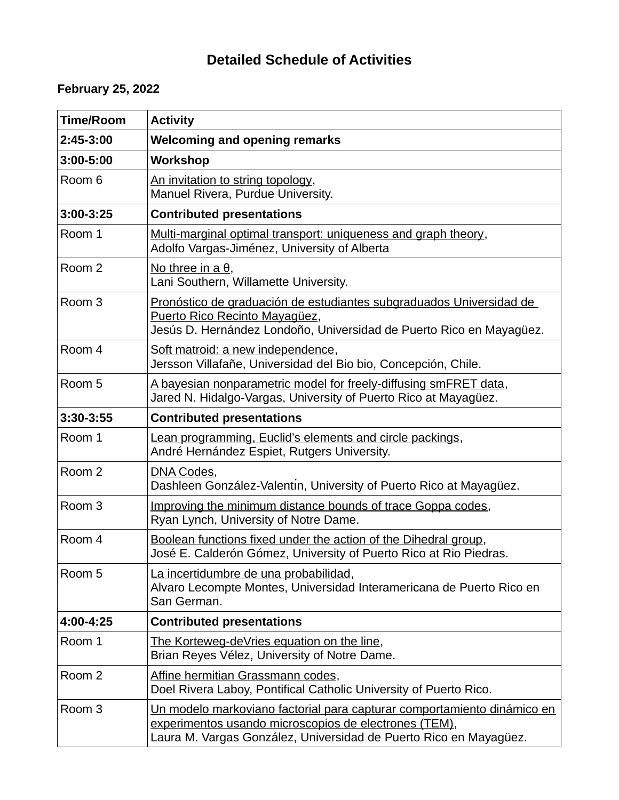# **Detailed Schedule of Activities**

# **February 25, 2022**

| <b>Time/Room</b>  | <b>Activity</b>                                                                                                                                                                                              |
|-------------------|--------------------------------------------------------------------------------------------------------------------------------------------------------------------------------------------------------------|
| 2:45-3:00         | <b>Welcoming and opening remarks</b>                                                                                                                                                                         |
| 3:00-5:00         | <b>Workshop</b>                                                                                                                                                                                              |
| Room 6            | An invitation to string topology,<br>Manuel Rivera, Purdue University.                                                                                                                                       |
| $3:00-3:25$       | <b>Contributed presentations</b>                                                                                                                                                                             |
| Room 1            | Multi-marginal optimal transport: uniqueness and graph theory,<br>Adolfo Vargas-Jiménez, University of Alberta                                                                                               |
| Room 2            | <u>No three in a θ</u> ,<br>Lani Southern, Willamette University.                                                                                                                                            |
| Room <sub>3</sub> | Pronóstico de graduación de estudiantes subgraduados Universidad de<br>Puerto Rico Recinto Mayagüez,<br>Jesús D. Hernández Londoño, Universidad de Puerto Rico en Mayagüez.                                  |
| Room 4            | Soft matroid: a new independence,<br>Jersson Villafañe, Universidad del Bio bio, Concepción, Chile.                                                                                                          |
| Room 5            | A bayesian nonparametric model for freely-diffusing smFRET data,<br>Jared N. Hidalgo-Vargas, University of Puerto Rico at Mayagüez.                                                                          |
| 3:30-3:55         | <b>Contributed presentations</b>                                                                                                                                                                             |
| Room 1            | Lean programming, Euclid's elements and circle packings,<br>André Hernández Espiet, Rutgers University.                                                                                                      |
| Room 2            | DNA Codes,<br>Dashleen González-Valentín, University of Puerto Rico at Mayagüez.                                                                                                                             |
| Room <sub>3</sub> | Improving the minimum distance bounds of trace Goppa codes,<br>Ryan Lynch, University of Notre Dame.                                                                                                         |
| Room 4            | Boolean functions fixed under the action of the Dihedral group,<br>José E. Calderón Gómez, University of Puerto Rico at Rio Piedras.                                                                         |
| Room 5            | La incertidumbre de una probabilidad,<br>Alvaro Lecompte Montes, Universidad Interamericana de Puerto Rico en<br>San German.                                                                                 |
| 4:00-4:25         | <b>Contributed presentations</b>                                                                                                                                                                             |
| Room 1            | The Korteweg-deVries equation on the line,<br>Brian Reyes Vélez, University of Notre Dame.                                                                                                                   |
| Room 2            | Affine hermitian Grassmann codes,<br>Doel Rivera Laboy, Pontifical Catholic University of Puerto Rico.                                                                                                       |
| Room 3            | <u>Un modelo markoviano factorial para capturar comportamiento dinámico en</u><br>experimentos usando microscopios de electrones (TEM),<br>Laura M. Vargas González, Universidad de Puerto Rico en Mayagüez. |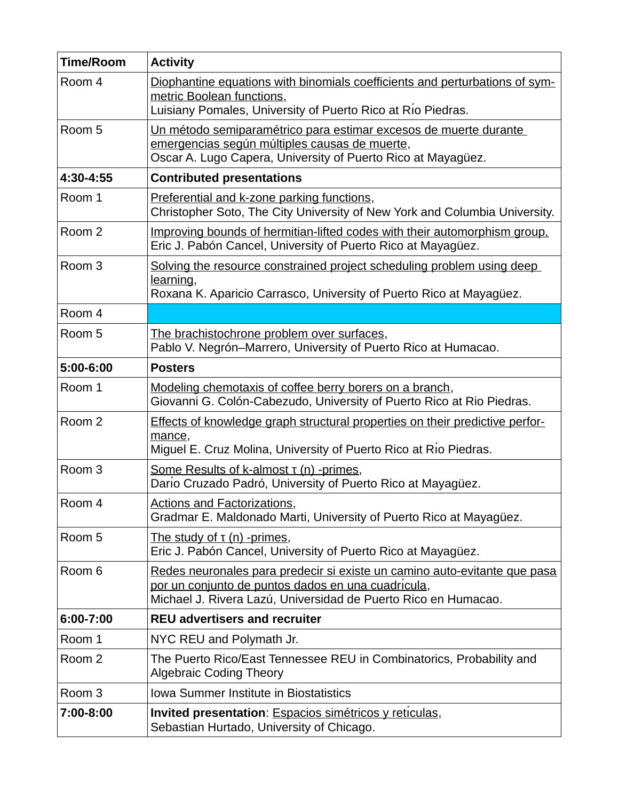| <b>Time/Room</b>  | <b>Activity</b>                                                                                                                                                                                   |
|-------------------|---------------------------------------------------------------------------------------------------------------------------------------------------------------------------------------------------|
| Room 4            | Diophantine equations with binomials coefficients and perturbations of sym-<br>metric Boolean functions,<br>Luisiany Pomales, University of Puerto Rico at Rio Piedras.                           |
| Room 5            | Un método semiparamétrico para estimar excesos de muerte durante<br>emergencias según múltiples causas de muerte,<br>Oscar A. Lugo Capera, University of Puerto Rico at Mayagüez.                 |
| 4:30-4:55         | <b>Contributed presentations</b>                                                                                                                                                                  |
| Room 1            | Preferential and k-zone parking functions,<br>Christopher Soto, The City University of New York and Columbia University.                                                                          |
| Room 2            | Improving bounds of hermitian-lifted codes with their automorphism group.<br>Eric J. Pabón Cancel, University of Puerto Rico at Mayagüez.                                                         |
| Room <sub>3</sub> | Solving the resource constrained project scheduling problem using deep<br>learning,<br>Roxana K. Aparicio Carrasco, University of Puerto Rico at Mayagüez.                                        |
| Room 4            |                                                                                                                                                                                                   |
| Room 5            | The brachistochrone problem over surfaces,<br>Pablo V. Negrón–Marrero, University of Puerto Rico at Humacao.                                                                                      |
| 5:00-6:00         | <b>Posters</b>                                                                                                                                                                                    |
| Room 1            | Modeling chemotaxis of coffee berry borers on a branch,<br>Giovanni G. Colón-Cabezudo, University of Puerto Rico at Rio Piedras.                                                                  |
| Room 2            | Effects of knowledge graph structural properties on their predictive perfor-<br>mance,<br>Miguel E. Cruz Molina, University of Puerto Rico at Rio Piedras.                                        |
| Room <sub>3</sub> | <b>Some Results of k-almost T (n) -primes,</b><br>Dario Cruzado Padró, University of Puerto Rico at Mayagüez.                                                                                     |
| Room 4            | <u> Actions and Factorizations,</u><br>Gradmar E. Maldonado Marti, University of Puerto Rico at Mayagüez.                                                                                         |
| Room 5            | The study of $\tau$ (n) -primes,<br>Eric J. Pabón Cancel, University of Puerto Rico at Mayagüez.                                                                                                  |
| Room 6            | Redes neuronales para predecir si existe un camino auto-evitante que pasa<br>por un conjunto de puntos dados en una cuadrícula,<br>Michael J. Rivera Lazú, Universidad de Puerto Rico en Humacao. |
| 6:00-7:00         | <b>REU advertisers and recruiter</b>                                                                                                                                                              |
| Room 1            | NYC REU and Polymath Jr.                                                                                                                                                                          |
| Room 2            | The Puerto Rico/East Tennessee REU in Combinatorics, Probability and<br><b>Algebraic Coding Theory</b>                                                                                            |
| Room 3            | <b>Iowa Summer Institute in Biostatistics</b>                                                                                                                                                     |
| 7:00-8:00         | Invited presentation: Espacios simétricos y reticulas,<br>Sebastian Hurtado, University of Chicago.                                                                                               |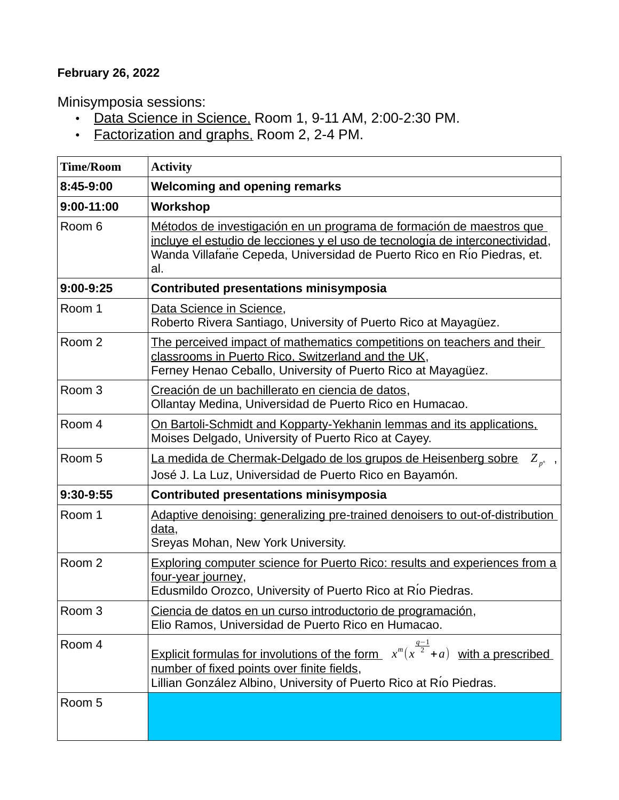# **February 26, 2022**

Minisymposia sessions:

- Data Science in Science, Room 1, 9-11 AM, 2:00-2:30 PM.
- **Factorization and graphs.** Room 2, 2-4 PM.

| <b>Time/Room</b>  | <b>Activity</b>                                                                                                                                                                                                                       |
|-------------------|---------------------------------------------------------------------------------------------------------------------------------------------------------------------------------------------------------------------------------------|
| 8:45-9:00         | <b>Welcoming and opening remarks</b>                                                                                                                                                                                                  |
| $9:00 - 11:00$    | <b>Workshop</b>                                                                                                                                                                                                                       |
| Room 6            | Métodos de investigación en un programa de formación de maestros que<br>incluye el estudio de lecciones y el uso de tecnología de interconectividad,<br>Wanda Villafañe Cepeda, Universidad de Puerto Rico en Río Piedras, et.<br>al. |
| $9:00-9:25$       | <b>Contributed presentations minisymposia</b>                                                                                                                                                                                         |
| Room 1            | Data Science in Science,<br>Roberto Rivera Santiago, University of Puerto Rico at Mayagüez.                                                                                                                                           |
| Room 2            | The perceived impact of mathematics competitions on teachers and their<br>classrooms in Puerto Rico, Switzerland and the UK,<br>Ferney Henao Ceballo, University of Puerto Rico at Mayagüez.                                          |
| Room <sub>3</sub> | Creación de un bachillerato en ciencia de datos,<br>Ollantay Medina, Universidad de Puerto Rico en Humacao.                                                                                                                           |
| Room 4            | <u>On Bartoli-Schmidt and Kopparty-Yekhanin lemmas and its applications.</u><br>Moises Delgado, University of Puerto Rico at Cayey.                                                                                                   |
| Room 5            | La medida de Chermak-Delgado de los grupos de Heisenberg sobre<br>$Z_{n^n}$ ,<br>José J. La Luz, Universidad de Puerto Rico en Bayamón.                                                                                               |
| 9:30-9:55         | <b>Contributed presentations minisymposia</b>                                                                                                                                                                                         |
| Room 1            | Adaptive denoising: generalizing pre-trained denoisers to out-of-distribution<br>data,<br>Sreyas Mohan, New York University.                                                                                                          |
| Room 2            | <b>Exploring computer science for Puerto Rico: results and experiences from a</b><br>four-year journey,<br>Edusmildo Orozco, University of Puerto Rico at Rio Piedras.                                                                |
| Room <sub>3</sub> | Ciencia de datos en un curso introductorio de programación,<br>Elio Ramos, Universidad de Puerto Rico en Humacao.                                                                                                                     |
| Room 4            | Explicit formulas for involutions of the form $x^m(x^{\frac{q-1}{2}}+a)$ with a prescribed<br>number of fixed points over finite fields,<br>Lillian González Albino, University of Puerto Rico at Río Piedras.                        |
| Room 5            |                                                                                                                                                                                                                                       |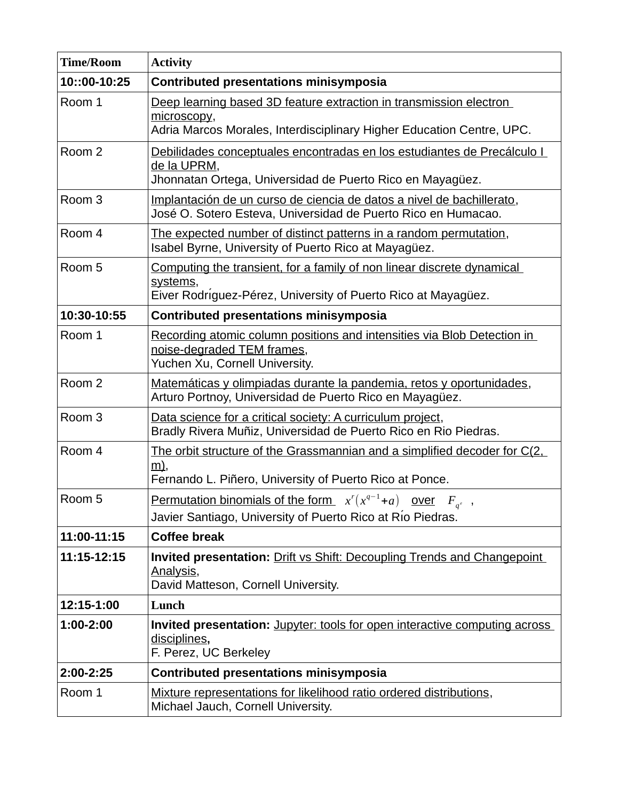| <b>Time/Room</b>  | <b>Activity</b>                                                                                                                                            |
|-------------------|------------------------------------------------------------------------------------------------------------------------------------------------------------|
| 10::00-10:25      | <b>Contributed presentations minisymposia</b>                                                                                                              |
| Room 1            | Deep learning based 3D feature extraction in transmission electron<br>microscopy,<br>Adria Marcos Morales, Interdisciplinary Higher Education Centre, UPC. |
|                   |                                                                                                                                                            |
| Room 2            | Debilidades conceptuales encontradas en los estudiantes de Precálculo I<br>de la UPRM,<br>Jhonnatan Ortega, Universidad de Puerto Rico en Mayagüez.        |
| Room <sub>3</sub> | Implantación de un curso de ciencia de datos a nivel de bachillerato,<br>José O. Sotero Esteva, Universidad de Puerto Rico en Humacao.                     |
| Room 4            | The expected number of distinct patterns in a random permutation,<br>Isabel Byrne, University of Puerto Rico at Mayagüez.                                  |
| Room 5            | Computing the transient, for a family of non linear discrete dynamical<br>systems,                                                                         |
|                   | Eiver Rodriguez-Pérez, University of Puerto Rico at Mayagüez.                                                                                              |
| 10:30-10:55       | <b>Contributed presentations minisymposia</b>                                                                                                              |
| Room 1            | Recording atomic column positions and intensities via Blob Detection in<br>noise-degraded TEM frames,<br>Yuchen Xu, Cornell University.                    |
| Room 2            | Matemáticas y olimpiadas durante la pandemia, retos y oportunidades,<br>Arturo Portnoy, Universidad de Puerto Rico en Mayagüez.                            |
| Room <sub>3</sub> | Data science for a critical society: A curriculum project,<br>Bradly Rivera Muñiz, Universidad de Puerto Rico en Rio Piedras.                              |
| Room 4            | The orbit structure of the Grassmannian and a simplified decoder for C(2,<br><u>m)</u> ,                                                                   |
|                   | Fernando L. Piñero, University of Puerto Rico at Ponce.                                                                                                    |
| Room 5            | <u>Permutation binomials of the form</u> $x^r(x^{q-1}+a)$ <u>over</u> $F_{a^r}$ ,<br>Javier Santiago, University of Puerto Rico at Rio Piedras.            |
| 11:00-11:15       | <b>Coffee break</b>                                                                                                                                        |
| 11:15-12:15       | Invited presentation: Drift vs Shift: Decoupling Trends and Changepoint<br>Analysis,<br>David Matteson, Cornell University.                                |
| 12:15-1:00        | Lunch                                                                                                                                                      |
| 1:00-2:00         | Invited presentation: Jupyter: tools for open interactive computing across<br>disciplines,<br>F. Perez, UC Berkeley                                        |
| 2:00-2:25         | <b>Contributed presentations minisymposia</b>                                                                                                              |
| Room 1            | Mixture representations for likelihood ratio ordered distributions,<br>Michael Jauch, Cornell University.                                                  |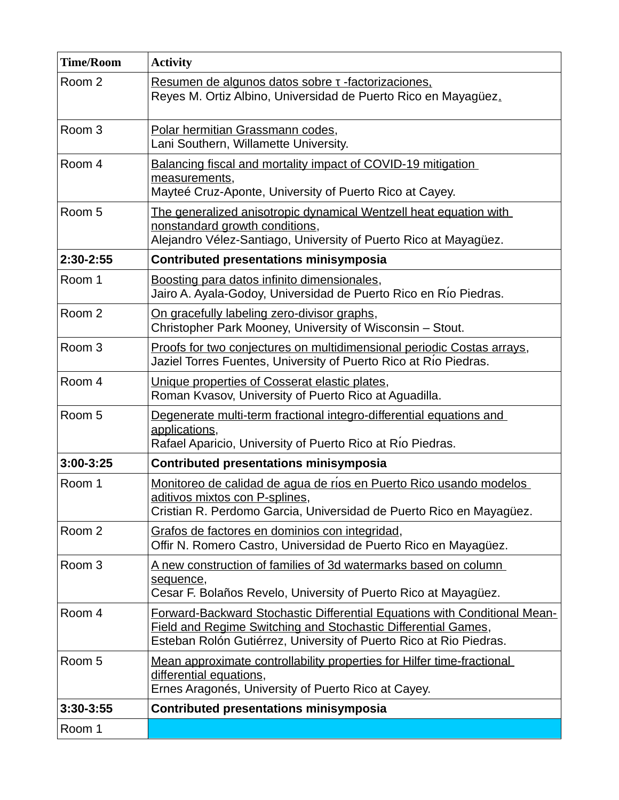| <b>Time/Room</b>  | <b>Activity</b>                                                                                                                                                                                                  |
|-------------------|------------------------------------------------------------------------------------------------------------------------------------------------------------------------------------------------------------------|
| Room 2            | <u>Resumen de algunos datos sobre τ -factorizaciones.</u><br>Reyes M. Ortiz Albino, Universidad de Puerto Rico en Mayagüez.                                                                                      |
| Room <sub>3</sub> | Polar hermitian Grassmann codes,<br>Lani Southern, Willamette University.                                                                                                                                        |
| Room 4            | Balancing fiscal and mortality impact of COVID-19 mitigation<br>measurements,<br>Mayteé Cruz-Aponte, University of Puerto Rico at Cayey.                                                                         |
| Room 5            | The generalized anisotropic dynamical Wentzell heat equation with<br>nonstandard growth conditions,<br>Alejandro Vélez-Santiago, University of Puerto Rico at Mayagüez.                                          |
| 2:30-2:55         | <b>Contributed presentations minisymposia</b>                                                                                                                                                                    |
| Room 1            | Boosting para datos infinito dimensionales,<br>Jairo A. Ayala-Godoy, Universidad de Puerto Rico en Río Piedras.                                                                                                  |
| Room 2            | On gracefully labeling zero-divisor graphs,<br>Christopher Park Mooney, University of Wisconsin - Stout.                                                                                                         |
| Room <sub>3</sub> | Proofs for two conjectures on multidimensional periodic Costas arrays,<br>Jaziel Torres Fuentes, University of Puerto Rico at Río Piedras.                                                                       |
| Room 4            | Unique properties of Cosserat elastic plates,<br>Roman Kvasov, University of Puerto Rico at Aguadilla.                                                                                                           |
| Room 5            | Degenerate multi-term fractional integro-differential equations and<br>applications,<br>Rafael Aparicio, University of Puerto Rico at Rio Piedras.                                                               |
| $3:00-3:25$       | <b>Contributed presentations minisymposia</b>                                                                                                                                                                    |
| Room 1            | Monitoreo de calidad de agua de ríos en Puerto Rico usando modelos<br>aditivos mixtos con P-splines,<br>Cristian R. Perdomo Garcia, Universidad de Puerto Rico en Mayagüez.                                      |
| Room 2            | Grafos de factores en dominios con integridad,<br>Offir N. Romero Castro, Universidad de Puerto Rico en Mayagüez.                                                                                                |
| Room <sub>3</sub> | A new construction of families of 3d watermarks based on column<br>sequence,<br>Cesar F. Bolaños Revelo, University of Puerto Rico at Mayagüez.                                                                  |
| Room 4            | Forward-Backward Stochastic Differential Equations with Conditional Mean-<br>Field and Regime Switching and Stochastic Differential Games,<br>Esteban Rolón Gutiérrez, University of Puerto Rico at Rio Piedras. |
| Room 5            | Mean approximate controllability properties for Hilfer time-fractional<br>differential equations,<br>Ernes Aragonés, University of Puerto Rico at Cayey.                                                         |
| 3:30-3:55         | <b>Contributed presentations minisymposia</b>                                                                                                                                                                    |
| Room 1            |                                                                                                                                                                                                                  |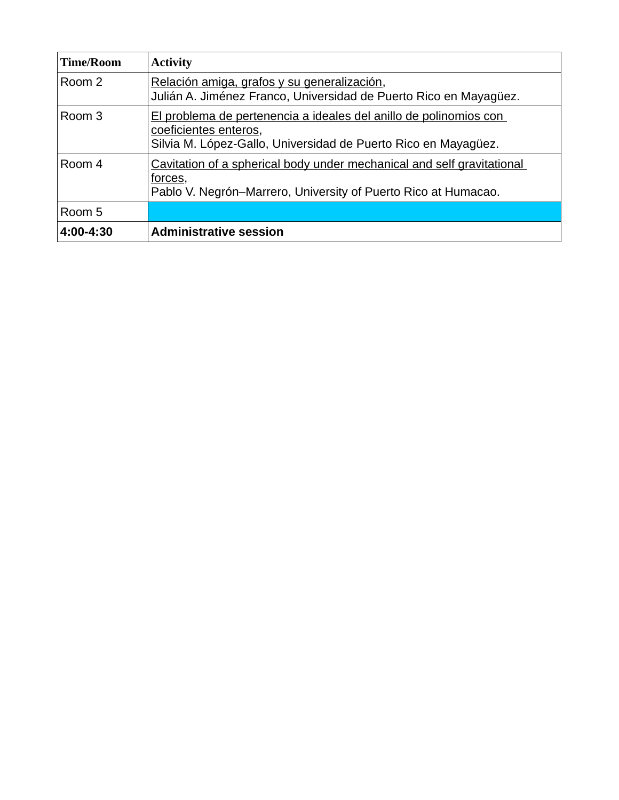| <b>Time/Room</b> | <b>Activity</b>                                                                                                                                              |
|------------------|--------------------------------------------------------------------------------------------------------------------------------------------------------------|
| Room 2           | Relación amiga, grafos y su generalización,<br>Julián A. Jiménez Franco, Universidad de Puerto Rico en Mayagüez.                                             |
| Room 3           | El problema de pertenencia a ideales del anillo de polinomios con<br>coeficientes enteros,<br>Silvia M. López-Gallo, Universidad de Puerto Rico en Mayagüez. |
| Room 4           | Cavitation of a spherical body under mechanical and self gravitational<br>forces,<br>Pablo V. Negrón-Marrero, University of Puerto Rico at Humacao.          |
| Room 5           |                                                                                                                                                              |
| 4:00-4:30        | <b>Administrative session</b>                                                                                                                                |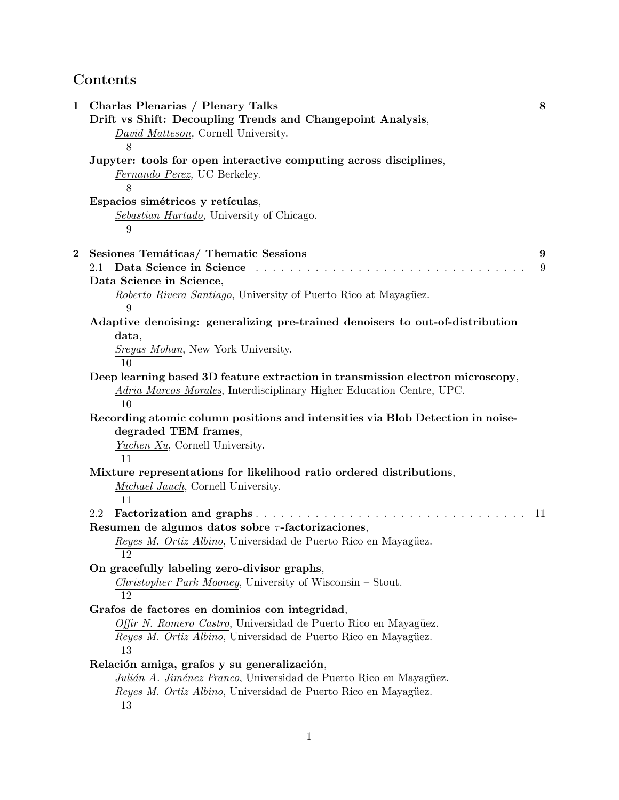# **Contents**

| $\mathbf 1$ | Charlas Plenarias / Plenary Talks<br>Drift vs Shift: Decoupling Trends and Changepoint Analysis,<br>David Matteson, Cornell University.<br>8                  | 8  |
|-------------|---------------------------------------------------------------------------------------------------------------------------------------------------------------|----|
|             | Jupyter: tools for open interactive computing across disciplines,<br>Fernando Perez, UC Berkeley.<br>8                                                        |    |
|             | Espacios simétricos y retículas,<br>Sebastian Hurtado, University of Chicago.<br>9                                                                            |    |
| $\bf{2}$    | Sesiones Temáticas/ Thematic Sessions                                                                                                                         | 9  |
|             | Data Science in Science<br>2.1                                                                                                                                | 9  |
|             | Data Science in Science,<br>Roberto Rivera Santiago, University of Puerto Rico at Mayagüez.                                                                   |    |
|             | 9                                                                                                                                                             |    |
|             | Adaptive denoising: generalizing pre-trained denoisers to out-of-distribution<br>data,                                                                        |    |
|             | Sreyas Mohan, New York University.<br>10                                                                                                                      |    |
|             | Deep learning based 3D feature extraction in transmission electron microscopy,<br>Adria Marcos Morales, Interdisciplinary Higher Education Centre, UPC.<br>10 |    |
|             | Recording atomic column positions and intensities via Blob Detection in noise-<br>degraded TEM frames,                                                        |    |
|             | Yuchen Xu, Cornell University.<br>11                                                                                                                          |    |
|             | Mixture representations for likelihood ratio ordered distributions,<br><i>Michael Jauch</i> , Cornell University.<br>11                                       |    |
|             | 2.2<br>Resumen de algunos datos sobre $\tau$ -factorizaciones,                                                                                                | 11 |
|             | Reyes M. Ortiz Albino, Universidad de Puerto Rico en Mayagüez.<br>12                                                                                          |    |
|             | On gracefully labeling zero-divisor graphs,<br><i>Christopher Park Mooney</i> , University of Wisconsin – Stout.<br>12                                        |    |
|             | Grafos de factores en dominios con integridad,                                                                                                                |    |
|             | Offir N. Romero Castro, Universidad de Puerto Rico en Mayagüez.<br>Reyes M. Ortiz Albino, Universidad de Puerto Rico en Mayagüez.<br>13                       |    |
|             | Relación amiga, grafos y su generalización,                                                                                                                   |    |
|             | Julián A. Jiménez Franco, Universidad de Puerto Rico en Mayagüez.<br>Reyes M. Ortiz Albino, Universidad de Puerto Rico en Mayagüez.<br>13                     |    |
|             | 1                                                                                                                                                             |    |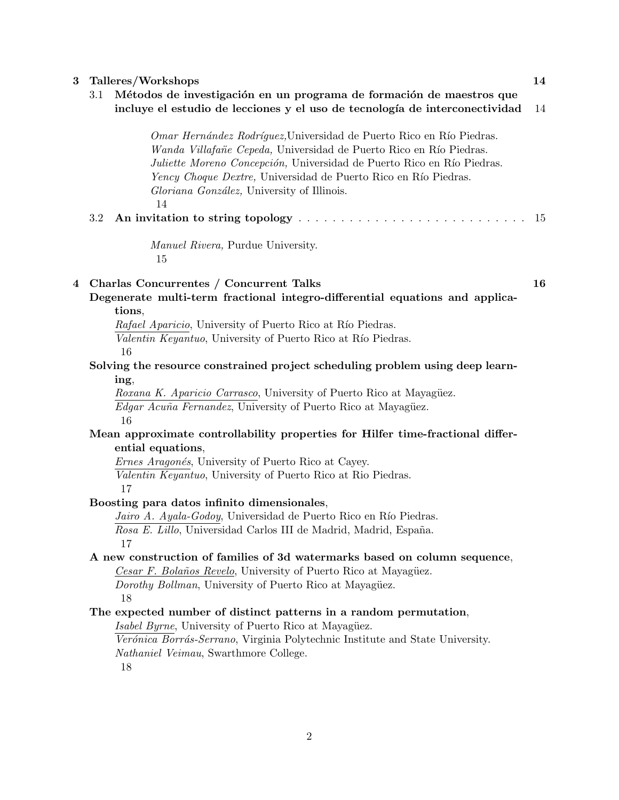| $\bf{3}$ | Talleres/Workshops                                                            |                                                                                                                                                                                                                                                                                                                                             |    |  |  |  |
|----------|-------------------------------------------------------------------------------|---------------------------------------------------------------------------------------------------------------------------------------------------------------------------------------------------------------------------------------------------------------------------------------------------------------------------------------------|----|--|--|--|
|          | 3.1                                                                           | Métodos de investigación en un programa de formación de maestros que<br>incluye el estudio de lecciones y el uso de tecnología de interconectividad                                                                                                                                                                                         | 14 |  |  |  |
|          |                                                                               | Omar Hernández Rodríguez, Universidad de Puerto Rico en Río Piedras.<br>Wanda Villafañe Cepeda, Universidad de Puerto Rico en Río Piedras.<br>Juliette Moreno Concepción, Universidad de Puerto Rico en Río Piedras.<br>Yency Choque Dextre, Universidad de Puerto Rico en Río Piedras.<br>Gloriana González, University of Illinois.<br>14 |    |  |  |  |
|          | 3.2                                                                           |                                                                                                                                                                                                                                                                                                                                             | 15 |  |  |  |
|          |                                                                               | <i>Manuel Rivera, Purdue University.</i><br>15                                                                                                                                                                                                                                                                                              |    |  |  |  |
| 4        |                                                                               | Charlas Concurrentes / Concurrent Talks                                                                                                                                                                                                                                                                                                     | 16 |  |  |  |
|          |                                                                               | Degenerate multi-term fractional integro-differential equations and applica-<br>tions,                                                                                                                                                                                                                                                      |    |  |  |  |
|          |                                                                               | Rafael Aparicio, University of Puerto Rico at Río Piedras.                                                                                                                                                                                                                                                                                  |    |  |  |  |
|          |                                                                               | Valentin Keyantuo, University of Puerto Rico at Río Piedras.                                                                                                                                                                                                                                                                                |    |  |  |  |
|          |                                                                               | 16                                                                                                                                                                                                                                                                                                                                          |    |  |  |  |
|          | Solving the resource constrained project scheduling problem using deep learn- |                                                                                                                                                                                                                                                                                                                                             |    |  |  |  |
|          | ing,                                                                          |                                                                                                                                                                                                                                                                                                                                             |    |  |  |  |
|          | Roxana K. Aparicio Carrasco, University of Puerto Rico at Mayagüez.           |                                                                                                                                                                                                                                                                                                                                             |    |  |  |  |
|          |                                                                               | <i>Edgar Acuña Fernandez</i> , University of Puerto Rico at Mayagüez.<br>16                                                                                                                                                                                                                                                                 |    |  |  |  |
|          |                                                                               | Mean approximate controllability properties for Hilfer time-fractional differ-                                                                                                                                                                                                                                                              |    |  |  |  |
|          |                                                                               | ential equations,                                                                                                                                                                                                                                                                                                                           |    |  |  |  |
|          |                                                                               | <i>Ernes Aragonés</i> , University of Puerto Rico at Cayey.                                                                                                                                                                                                                                                                                 |    |  |  |  |
|          |                                                                               | Valentin Keyantuo, University of Puerto Rico at Rio Piedras.<br>17                                                                                                                                                                                                                                                                          |    |  |  |  |
|          |                                                                               | Boosting para datos infinito dimensionales,                                                                                                                                                                                                                                                                                                 |    |  |  |  |
|          |                                                                               | Jairo A. Ayala-Godoy, Universidad de Puerto Rico en Río Piedras.                                                                                                                                                                                                                                                                            |    |  |  |  |
|          |                                                                               | Rosa E. Lillo, Universidad Carlos III de Madrid, Madrid, España.<br>17                                                                                                                                                                                                                                                                      |    |  |  |  |
|          | A new construction of families of 3d watermarks based on column sequence,     |                                                                                                                                                                                                                                                                                                                                             |    |  |  |  |
|          | Cesar F. Bolaños Revelo, University of Puerto Rico at Mayagüez.               |                                                                                                                                                                                                                                                                                                                                             |    |  |  |  |
|          |                                                                               | Dorothy Bollman, University of Puerto Rico at Mayagüez.                                                                                                                                                                                                                                                                                     |    |  |  |  |
|          |                                                                               | 18                                                                                                                                                                                                                                                                                                                                          |    |  |  |  |
|          | The expected number of distinct patterns in a random permutation,             |                                                                                                                                                                                                                                                                                                                                             |    |  |  |  |
|          |                                                                               | Isabel Byrne, University of Puerto Rico at Mayagüez.                                                                                                                                                                                                                                                                                        |    |  |  |  |
|          |                                                                               | Verónica Borrás-Serrano, Virginia Polytechnic Institute and State University.                                                                                                                                                                                                                                                               |    |  |  |  |
|          |                                                                               | Nathaniel Veimau, Swarthmore College.<br>18                                                                                                                                                                                                                                                                                                 |    |  |  |  |
|          |                                                                               |                                                                                                                                                                                                                                                                                                                                             |    |  |  |  |
|          |                                                                               |                                                                                                                                                                                                                                                                                                                                             |    |  |  |  |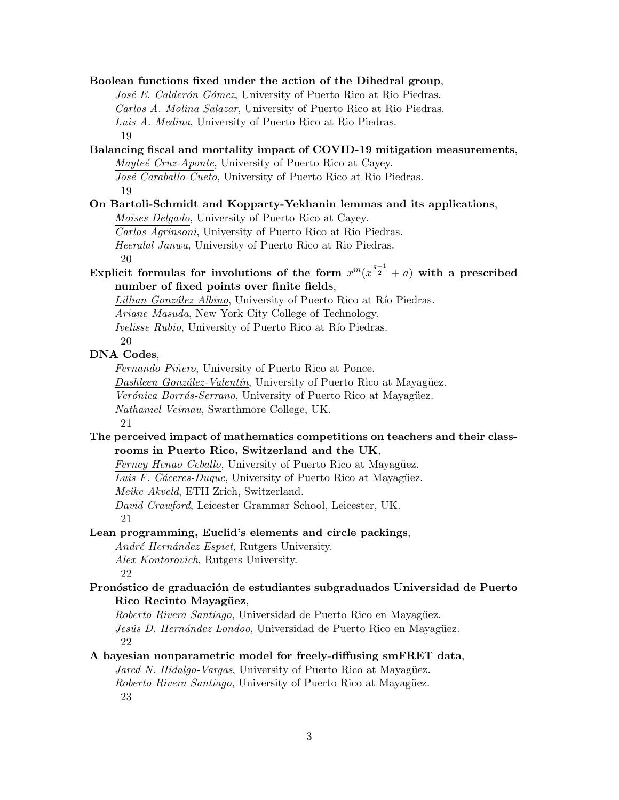**Boolean functions fixed under the action of the Dihedral group**, *José E. Calderón Gómez*, University of Puerto Rico at Rio Piedras. *Carlos A. Molina Salazar*, University of Puerto Rico at Rio Piedras. *Luis A. Medina*, University of Puerto Rico at Rio Piedras. 19 **Balancing fiscal and mortality impact of COVID-19 mitigation measurements**, *Mayte´e Cruz-Aponte*, University of Puerto Rico at Cayey. José Caraballo-Cueto, University of Puerto Rico at Rio Piedras. 19 **On Bartoli-Schmidt and Kopparty-Yekhanin lemmas and its applications**, *Moises Delgado*, University of Puerto Rico at Cayey. *Carlos Agrinsoni*, University of Puerto Rico at Rio Piedras. *Heeralal Janwa*, University of Puerto Rico at Rio Piedras. 20 Explicit formulas for involutions of the form  $x^m(x^{\frac{q-1}{2}} + a)$  with a prescribed **number of fixed points over finite fields**, *Lillian González Albino*, University of Puerto Rico at Río Piedras. *Ariane Masuda*, New York City College of Technology. *Ivelisse Rubio*, University of Puerto Rico at Río Piedras. 20 **DNA Codes**, *Fernando Piñero*, University of Puerto Rico at Ponce. *Dashleen González-Valentín*, University of Puerto Rico at Mayagüez. *Verónica Borrás-Serrano*, University of Puerto Rico at Mayagüez. *Nathaniel Veimau*, Swarthmore College, UK. 21 **The perceived impact of mathematics competitions on teachers and their classrooms in Puerto Rico, Switzerland and the UK**, *Ferney Henao Ceballo*, University of Puerto Rico at Mayagüez. *Luis F. Cáceres-Duque*, University of Puerto Rico at Mayagüez. *Meike Akveld*, ETH Zrich, Switzerland. *David Crawford*, Leicester Grammar School, Leicester, UK. 21 **Lean programming, Euclid's elements and circle packings**, *Andr´e Hern´andez Espiet*, Rutgers University. *Alex Kontorovich*, Rutgers University. 22 Pronóstico de graduación de estudiantes subgraduados Universidad de Puerto **Rico Recinto Mayagüez**, *Roberto Rivera Santiago*, Universidad de Puerto Rico en Mayagüez. *Jesús D. Hernández Londoo*, Universidad de Puerto Rico en Mayagüez. 22 **A bayesian nonparametric model for freely-diffusing smFRET data**, *Jared N. Hidalgo-Vargas*, University of Puerto Rico at Mayagüez. *Roberto Rivera Santiago*, University of Puerto Rico at Mayagüez. 23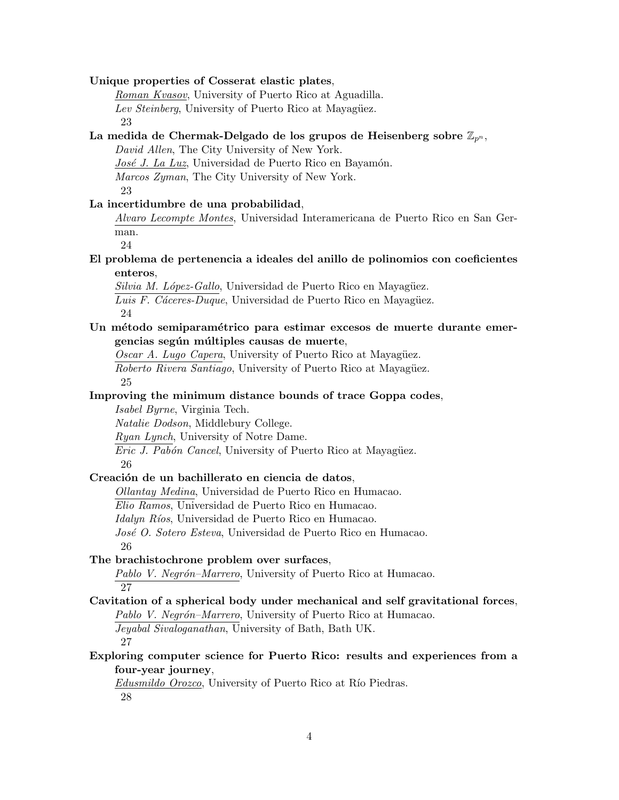#### **Unique properties of Cosserat elastic plates**,

*Roman Kvasov*, University of Puerto Rico at Aguadilla. *Lev Steinberg*, University of Puerto Rico at Mayagüez. 23

#### **La medida de Chermak-Delgado de los grupos de Heisenberg sobre** Z*p<sup>n</sup>* ,

*David Allen*, The City University of New York.

*José J. La Luz*, Universidad de Puerto Rico en Bayamón.

*Marcos Zyman*, The City University of New York.

23

#### **La incertidumbre de una probabilidad**,

*Alvaro Lecompte Montes*, Universidad Interamericana de Puerto Rico en San German.

24

## **El problema de pertenencia a ideales del anillo de polinomios con coeficientes enteros**,

*Silvia M. López-Gallo*, Universidad de Puerto Rico en Mayagüez. Luis F. Cáceres-Duque, Universidad de Puerto Rico en Mayagüez. 24

## Un método semiparamétrico para estimar excesos de muerte durante emergencias según múltiples causas de muerte,

*Oscar A. Lugo Capera*, University of Puerto Rico at Mayagüez. *Roberto Rivera Santiago*, University of Puerto Rico at Mayagüez. 25

## **Improving the minimum distance bounds of trace Goppa codes**,

*Isabel Byrne*, Virginia Tech.

*Natalie Dodson*, Middlebury College.

*Ryan Lynch*, University of Notre Dame.

*Eric J. Pabón Cancel*, University of Puerto Rico at Mayagüez. 26

#### Creación de un bachillerato en ciencia de datos,

*Ollantay Medina*, Universidad de Puerto Rico en Humacao.

*Elio Ramos*, Universidad de Puerto Rico en Humacao.

*Idalyn Ríos*, Universidad de Puerto Rico en Humacao.

*Jos´e O. Sotero Esteva*, Universidad de Puerto Rico en Humacao. 26

## **The brachistochrone problem over surfaces**,

Pablo V. Negrón–Marrero, University of Puerto Rico at Humacao. 27

**Cavitation of a spherical body under mechanical and self gravitational forces**, *Pablo V. Negrón–Marrero*, University of Puerto Rico at Humacao. *Jeyabal Sivaloganathan*, University of Bath, Bath UK. 27

**Exploring computer science for Puerto Rico: results and experiences from a four-year journey**,

*Edusmildo Orozco*, University of Puerto Rico at Río Piedras. 28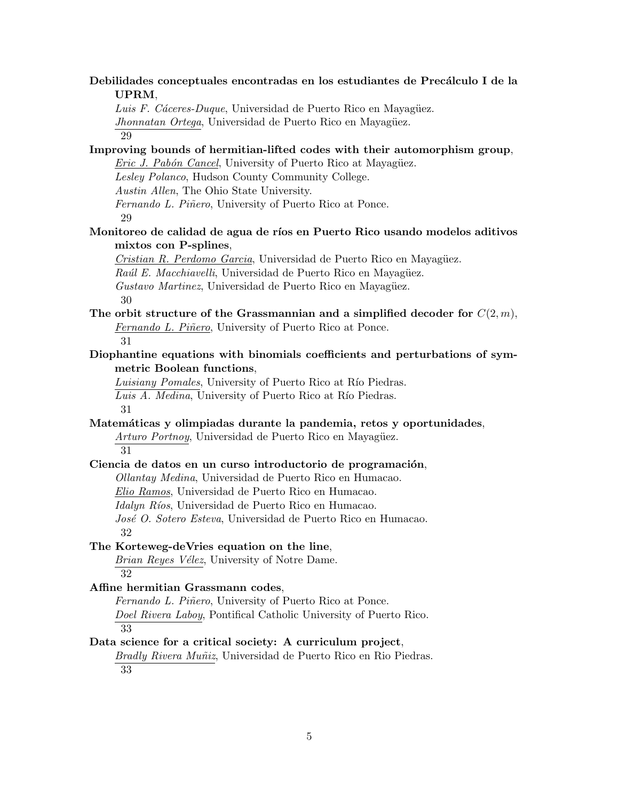Debilidades conceptuales encontradas en los estudiantes de Precálculo I de la **UPRM**,

*Luis F. Cáceres-Duque*, Universidad de Puerto Rico en Mayagüez.

*Jhonnatan Ortega*, Universidad de Puerto Rico en Mayagüez.

29

**Improving bounds of hermitian-lifted codes with their automorphism group**, *Eric J. Pabón Cancel*, University of Puerto Rico at Mayagüez.

*Lesley Polanco*, Hudson County Community College.

*Austin Allen*, The Ohio State University.

*Fernando L. Pi˜nero*, University of Puerto Rico at Ponce.

29

# **Monitoreo de calidad de agua de r´ıos en Puerto Rico usando modelos aditivos mixtos con P-splines**,

*Cristian R. Perdomo Garcia*, Universidad de Puerto Rico en Mayagüez. *Raúl E. Macchiavelli*, Universidad de Puerto Rico en Mayagüez. *Gustavo Martinez*, Universidad de Puerto Rico en Mayagüez. 30

**The orbit structure of the Grassmannian and a simplified decoder for** *C*(2*, m*), *Fernando L. Piñero*, University of Puerto Rico at Ponce. 31

**Diophantine equations with binomials coefficients and perturbations of symmetric Boolean functions**,

*Luisiany Pomales*, University of Puerto Rico at Río Piedras. *Luis A. Medina*, University of Puerto Rico at Río Piedras. 31

**Matem´aticas y olimpiadas durante la pandemia, retos y oportunidades**,

*Arturo Portnoy*, Universidad de Puerto Rico en Mayagüez. 31

#### Ciencia de datos en un curso introductorio de programación,

*Ollantay Medina*, Universidad de Puerto Rico en Humacao.

*Elio Ramos*, Universidad de Puerto Rico en Humacao.

*Idalyn Ríos*, Universidad de Puerto Rico en Humacao.

*Jos´e O. Sotero Esteva*, Universidad de Puerto Rico en Humacao.

32

# **The Korteweg-deVries equation on the line**,

*Brian Reyes V´elez*, University of Notre Dame. 32

# **Affine hermitian Grassmann codes**,

*Fernando L. Piñero*, University of Puerto Rico at Ponce. *Doel Rivera Laboy*, Pontifical Catholic University of Puerto Rico. 33

#### **Data science for a critical society: A curriculum project**,

*Bradly Rivera Mu˜niz*, Universidad de Puerto Rico en Rio Piedras.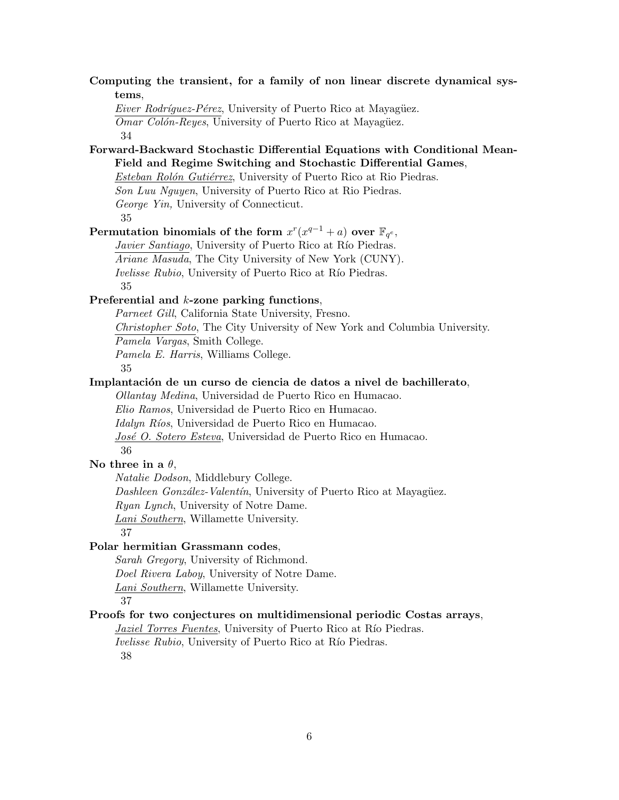# **Computing the transient, for a family of non linear discrete dynamical systems**,

*Eiver Rodríquez-Pérez*, University of Puerto Rico at Mayagüez.

*Omar Colón-Reyes*, University of Puerto Rico at Mayagüez.

34

# **Forward-Backward Stochastic Differential Equations with Conditional Mean-Field and Regime Switching and Stochastic Differential Games**,

*Esteban Rolón Gutiérrez*, University of Puerto Rico at Rio Piedras.

*Son Luu Nguyen*, University of Puerto Rico at Rio Piedras.

*George Yin,* University of Connecticut.

35

# $\textbf{Permutation binomials of the form}\ x^r(x^{q-1}+a)\ \textbf{over}\ \mathbb{F}_{q^e},$

*Javier Santiago*, University of Puerto Rico at Río Piedras. *Ariane Masuda*, The City University of New York (CUNY). *Ivelisse Rubio*, University of Puerto Rico at Río Piedras. 35

# **Preferential and** *k***-zone parking functions**,

*Parneet Gill*, California State University, Fresno.

*Christopher Soto*, The City University of New York and Columbia University.

*Pamela Vargas*, Smith College.

*Pamela E. Harris*, Williams College.

35

# Implantación de un curso de ciencia de datos a nivel de bachillerato,

*Ollantay Medina*, Universidad de Puerto Rico en Humacao.

*Elio Ramos*, Universidad de Puerto Rico en Humacao.

*Idalyn Ríos*, Universidad de Puerto Rico en Humacao.

*Jos´e O. Sotero Esteva*, Universidad de Puerto Rico en Humacao.

36

# **No three in a** *θ*,

*Natalie Dodson*, Middlebury College.

*Dashleen González-Valentín*, University of Puerto Rico at Mayagüez.

*Ryan Lynch*, University of Notre Dame.

*Lani Southern*, Willamette University.

37

# **Polar hermitian Grassmann codes**,

*Sarah Gregory*, University of Richmond.

*Doel Rivera Laboy*, University of Notre Dame.

*Lani Southern*, Willamette University.

37

# **Proofs for two conjectures on multidimensional periodic Costas arrays**,

*Jaziel Torres Fuentes*, University of Puerto Rico at Río Piedras.

*Ivelisse Rubio*, University of Puerto Rico at Río Piedras.

38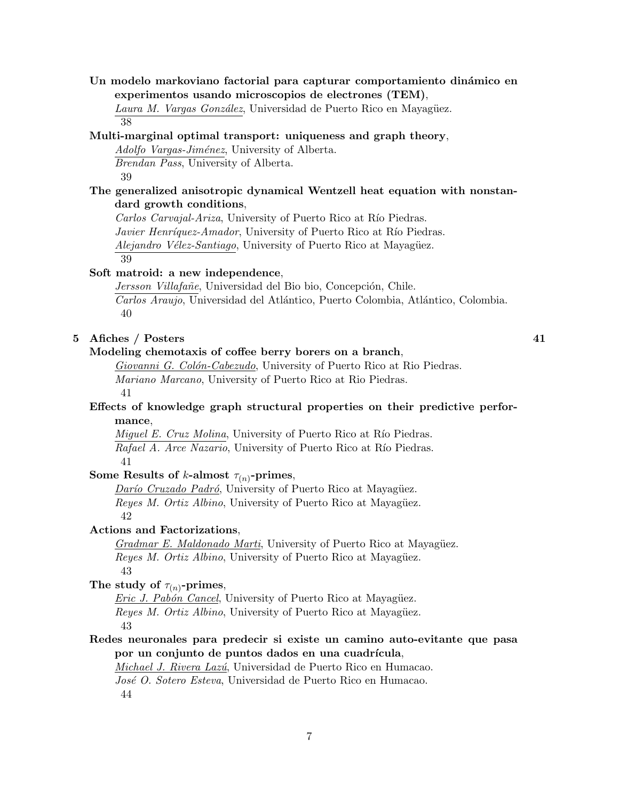**Un modelo markoviano factorial para capturar comportamiento din´amico en experimentos usando microscopios de electrones (TEM)**,

Laura M. Vargas González, Universidad de Puerto Rico en Mayagüez. 38

#### **Multi-marginal optimal transport: uniqueness and graph theory**,

*Adolfo Vargas-Jim´enez*, University of Alberta. *Brendan Pass*, University of Alberta.

39

# **The generalized anisotropic dynamical Wentzell heat equation with nonstandard growth conditions**,

*Carlos Carvajal-Ariza*, University of Puerto Rico at Río Piedras. *Javier Henríquez-Amador*, University of Puerto Rico at Río Piedras. *Alejandro Vélez-Santiago*, University of Puerto Rico at Mayagüez. 39

#### **Soft matroid: a new independence**,

 $Jersson$  Villafañe, Universidad del Bio bio, Concepción, Chile. *Carlos Araujo*, Universidad del Atl´antico, Puerto Colombia, Atl´antico, Colombia. 40

## **5 Afiches / Posters 41**

#### **Modeling chemotaxis of coffee berry borers on a branch**,

*Giovanni G. Col´on-Cabezudo*, University of Puerto Rico at Rio Piedras. *Mariano Marcano*, University of Puerto Rico at Rio Piedras. 41

## **Effects of knowledge graph structural properties on their predictive performance**,

*Miquel E. Cruz Molina*, University of Puerto Rico at Río Piedras. *Rafael A. Arce Nazario*, University of Puerto Rico at Río Piedras. 41

# Some Results of *k*-almost  $\tau_{(n)}$ -primes,

*Darío Cruzado Padró*, University of Puerto Rico at Mayagüez. *Reyes M. Ortiz Albino*, University of Puerto Rico at Mayagüez. 42

#### **Actions and Factorizations**,

*Gradmar E. Maldonado Marti*, University of Puerto Rico at Mayagüez. *Reyes M. Ortiz Albino*, University of Puerto Rico at Mayagüez. 43

# The study of  $\tau_{(n)}$ -primes,

*Eric J. Pabón Cancel*, University of Puerto Rico at Mayagüez. *Reyes M. Ortiz Albino*, University of Puerto Rico at Mayagüez. 43

# **Redes neuronales para predecir si existe un camino auto-evitante que pasa** por un conjunto de puntos dados en una cuadrícula,

*Michael J. Rivera Laz´u*, Universidad de Puerto Rico en Humacao.

*Jos´e O. Sotero Esteva*, Universidad de Puerto Rico en Humacao. 44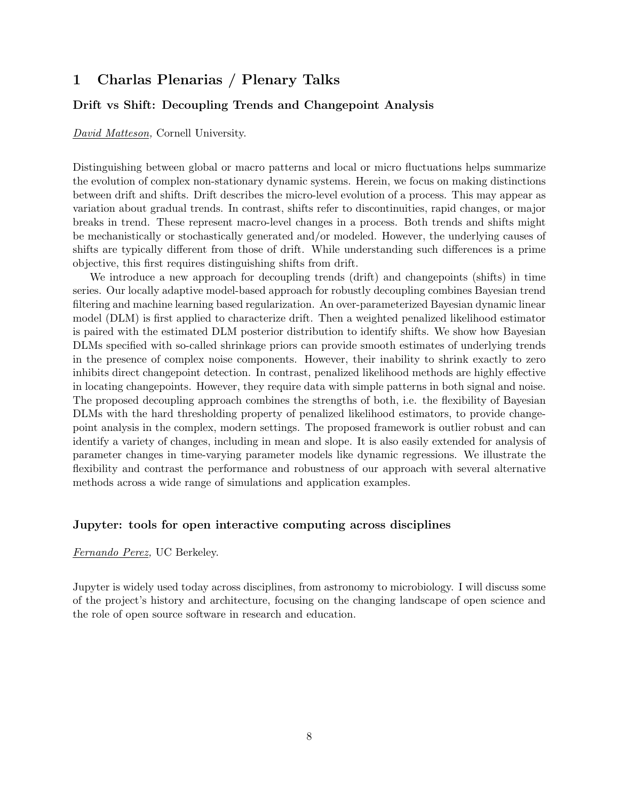# **1 Charlas Plenarias / Plenary Talks**

# **Drift vs Shift: Decoupling Trends and Changepoint Analysis**

*David Matteson,* Cornell University.

Distinguishing between global or macro patterns and local or micro fluctuations helps summarize the evolution of complex non-stationary dynamic systems. Herein, we focus on making distinctions between drift and shifts. Drift describes the micro-level evolution of a process. This may appear as variation about gradual trends. In contrast, shifts refer to discontinuities, rapid changes, or major breaks in trend. These represent macro-level changes in a process. Both trends and shifts might be mechanistically or stochastically generated and/or modeled. However, the underlying causes of shifts are typically different from those of drift. While understanding such differences is a prime objective, this first requires distinguishing shifts from drift.

We introduce a new approach for decoupling trends (drift) and changepoints (shifts) in time series. Our locally adaptive model-based approach for robustly decoupling combines Bayesian trend filtering and machine learning based regularization. An over-parameterized Bayesian dynamic linear model (DLM) is first applied to characterize drift. Then a weighted penalized likelihood estimator is paired with the estimated DLM posterior distribution to identify shifts. We show how Bayesian DLMs specified with so-called shrinkage priors can provide smooth estimates of underlying trends in the presence of complex noise components. However, their inability to shrink exactly to zero inhibits direct changepoint detection. In contrast, penalized likelihood methods are highly effective in locating changepoints. However, they require data with simple patterns in both signal and noise. The proposed decoupling approach combines the strengths of both, i.e. the flexibility of Bayesian DLMs with the hard thresholding property of penalized likelihood estimators, to provide changepoint analysis in the complex, modern settings. The proposed framework is outlier robust and can identify a variety of changes, including in mean and slope. It is also easily extended for analysis of parameter changes in time-varying parameter models like dynamic regressions. We illustrate the flexibility and contrast the performance and robustness of our approach with several alternative methods across a wide range of simulations and application examples.

#### **Jupyter: tools for open interactive computing across disciplines**

#### *Fernando Perez,* UC Berkeley.

Jupyter is widely used today across disciplines, from astronomy to microbiology. I will discuss some of the project's history and architecture, focusing on the changing landscape of open science and the role of open source software in research and education.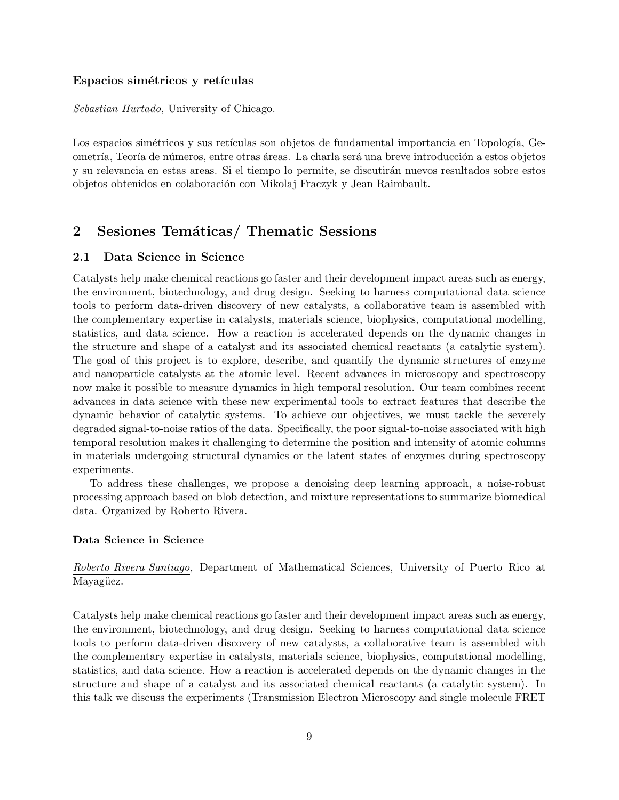#### Espacios simétricos y retículas

*Sebastian Hurtado,* University of Chicago.

Los espacios simétricos y sus retículas son objetos de fundamental importancia en Topología, Geometría, Teoría de números, entre otras áreas. La charla será una breve introducción a estos objetos y su relevancia en estas areas. Si el tiempo lo permite, se discutirán nuevos resultados sobre estos objetos obtenidos en colaboraci´on con Mikolaj Fraczyk y Jean Raimbault.

# 2 Sesiones Temáticas/ Thematic Sessions

#### **2.1 Data Science in Science**

Catalysts help make chemical reactions go faster and their development impact areas such as energy, the environment, biotechnology, and drug design. Seeking to harness computational data science tools to perform data-driven discovery of new catalysts, a collaborative team is assembled with the complementary expertise in catalysts, materials science, biophysics, computational modelling, statistics, and data science. How a reaction is accelerated depends on the dynamic changes in the structure and shape of a catalyst and its associated chemical reactants (a catalytic system). The goal of this project is to explore, describe, and quantify the dynamic structures of enzyme and nanoparticle catalysts at the atomic level. Recent advances in microscopy and spectroscopy now make it possible to measure dynamics in high temporal resolution. Our team combines recent advances in data science with these new experimental tools to extract features that describe the dynamic behavior of catalytic systems. To achieve our objectives, we must tackle the severely degraded signal-to-noise ratios of the data. Specifically, the poor signal-to-noise associated with high temporal resolution makes it challenging to determine the position and intensity of atomic columns in materials undergoing structural dynamics or the latent states of enzymes during spectroscopy experiments.

To address these challenges, we propose a denoising deep learning approach, a noise-robust processing approach based on blob detection, and mixture representations to summarize biomedical data. Organized by Roberto Rivera.

#### **Data Science in Science**

*Roberto Rivera Santiago,* Department of Mathematical Sciences, University of Puerto Rico at Mayagüez.

Catalysts help make chemical reactions go faster and their development impact areas such as energy, the environment, biotechnology, and drug design. Seeking to harness computational data science tools to perform data-driven discovery of new catalysts, a collaborative team is assembled with the complementary expertise in catalysts, materials science, biophysics, computational modelling, statistics, and data science. How a reaction is accelerated depends on the dynamic changes in the structure and shape of a catalyst and its associated chemical reactants (a catalytic system). In this talk we discuss the experiments (Transmission Electron Microscopy and single molecule FRET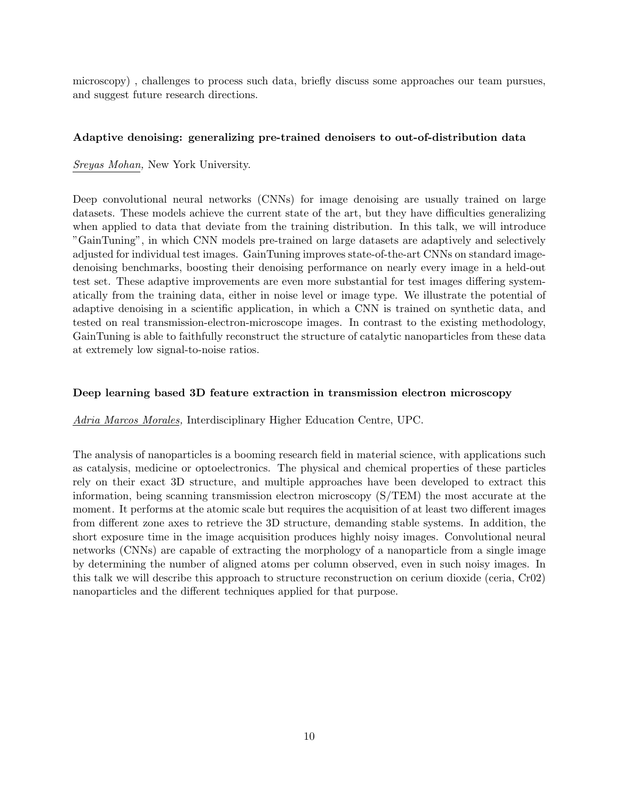microscopy) , challenges to process such data, briefly discuss some approaches our team pursues, and suggest future research directions.

#### **Adaptive denoising: generalizing pre-trained denoisers to out-of-distribution data**

*Sreyas Mohan,* New York University.

Deep convolutional neural networks (CNNs) for image denoising are usually trained on large datasets. These models achieve the current state of the art, but they have difficulties generalizing when applied to data that deviate from the training distribution. In this talk, we will introduce "GainTuning", in which CNN models pre-trained on large datasets are adaptively and selectively adjusted for individual test images. GainTuning improves state-of-the-art CNNs on standard imagedenoising benchmarks, boosting their denoising performance on nearly every image in a held-out test set. These adaptive improvements are even more substantial for test images differing systematically from the training data, either in noise level or image type. We illustrate the potential of adaptive denoising in a scientific application, in which a CNN is trained on synthetic data, and tested on real transmission-electron-microscope images. In contrast to the existing methodology, GainTuning is able to faithfully reconstruct the structure of catalytic nanoparticles from these data at extremely low signal-to-noise ratios.

#### **Deep learning based 3D feature extraction in transmission electron microscopy**

*Adria Marcos Morales,* Interdisciplinary Higher Education Centre, UPC.

The analysis of nanoparticles is a booming research field in material science, with applications such as catalysis, medicine or optoelectronics. The physical and chemical properties of these particles rely on their exact 3D structure, and multiple approaches have been developed to extract this information, being scanning transmission electron microscopy (S/TEM) the most accurate at the moment. It performs at the atomic scale but requires the acquisition of at least two different images from different zone axes to retrieve the 3D structure, demanding stable systems. In addition, the short exposure time in the image acquisition produces highly noisy images. Convolutional neural networks (CNNs) are capable of extracting the morphology of a nanoparticle from a single image by determining the number of aligned atoms per column observed, even in such noisy images. In this talk we will describe this approach to structure reconstruction on cerium dioxide (ceria, Cr02) nanoparticles and the different techniques applied for that purpose.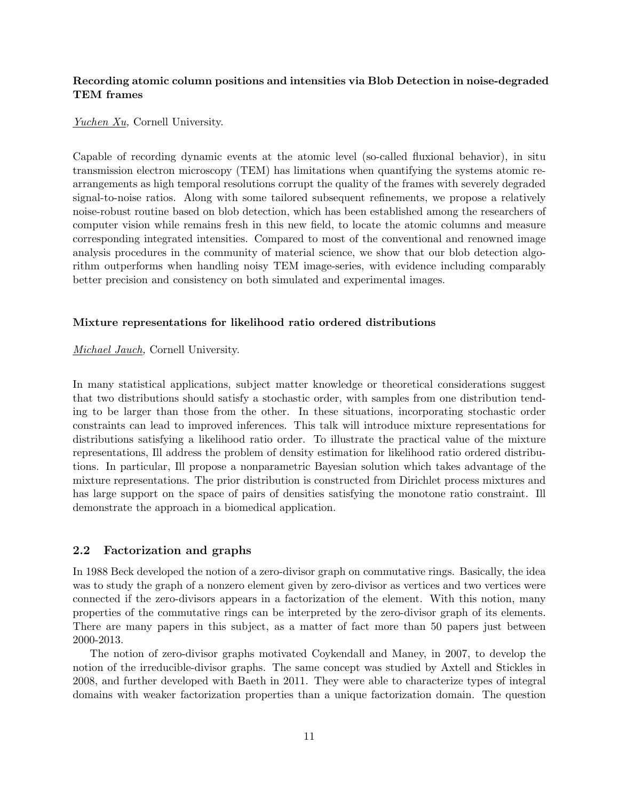# **Recording atomic column positions and intensities via Blob Detection in noise-degraded TEM frames**

*Yuchen Xu,* Cornell University.

Capable of recording dynamic events at the atomic level (so-called fluxional behavior), in situ transmission electron microscopy (TEM) has limitations when quantifying the systems atomic rearrangements as high temporal resolutions corrupt the quality of the frames with severely degraded signal-to-noise ratios. Along with some tailored subsequent refinements, we propose a relatively noise-robust routine based on blob detection, which has been established among the researchers of computer vision while remains fresh in this new field, to locate the atomic columns and measure corresponding integrated intensities. Compared to most of the conventional and renowned image analysis procedures in the community of material science, we show that our blob detection algorithm outperforms when handling noisy TEM image-series, with evidence including comparably better precision and consistency on both simulated and experimental images.

#### **Mixture representations for likelihood ratio ordered distributions**

*Michael Jauch,* Cornell University.

In many statistical applications, subject matter knowledge or theoretical considerations suggest that two distributions should satisfy a stochastic order, with samples from one distribution tending to be larger than those from the other. In these situations, incorporating stochastic order constraints can lead to improved inferences. This talk will introduce mixture representations for distributions satisfying a likelihood ratio order. To illustrate the practical value of the mixture representations, Ill address the problem of density estimation for likelihood ratio ordered distributions. In particular, Ill propose a nonparametric Bayesian solution which takes advantage of the mixture representations. The prior distribution is constructed from Dirichlet process mixtures and has large support on the space of pairs of densities satisfying the monotone ratio constraint. Ill demonstrate the approach in a biomedical application.

#### **2.2 Factorization and graphs**

In 1988 Beck developed the notion of a zero-divisor graph on commutative rings. Basically, the idea was to study the graph of a nonzero element given by zero-divisor as vertices and two vertices were connected if the zero-divisors appears in a factorization of the element. With this notion, many properties of the commutative rings can be interpreted by the zero-divisor graph of its elements. There are many papers in this subject, as a matter of fact more than 50 papers just between 2000-2013.

The notion of zero-divisor graphs motivated Coykendall and Maney, in 2007, to develop the notion of the irreducible-divisor graphs. The same concept was studied by Axtell and Stickles in 2008, and further developed with Baeth in 2011. They were able to characterize types of integral domains with weaker factorization properties than a unique factorization domain. The question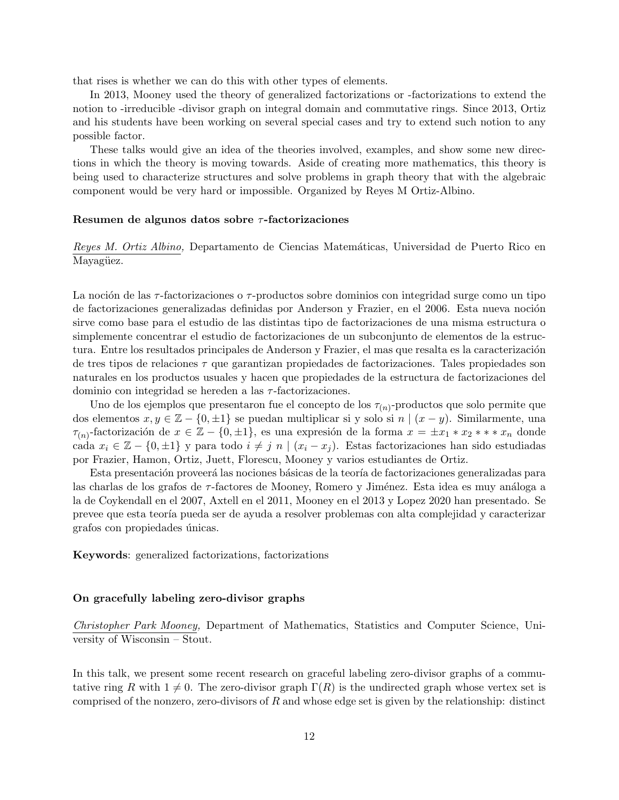that rises is whether we can do this with other types of elements.

In 2013, Mooney used the theory of generalized factorizations or -factorizations to extend the notion to -irreducible -divisor graph on integral domain and commutative rings. Since 2013, Ortiz and his students have been working on several special cases and try to extend such notion to any possible factor.

These talks would give an idea of the theories involved, examples, and show some new directions in which the theory is moving towards. Aside of creating more mathematics, this theory is being used to characterize structures and solve problems in graph theory that with the algebraic component would be very hard or impossible. Organized by Reyes M Ortiz-Albino.

#### **Resumen de algunos datos sobre** *τ* **-factorizaciones**

*Reyes M. Ortiz Albino,* Departamento de Ciencias Matemáticas, Universidad de Puerto Rico en Mayagüez.

La noción de las *τ*-factorizaciones o *τ*-productos sobre dominios con integridad surge como un tipo de factorizaciones generalizadas definidas por Anderson y Frazier, en el 2006. Esta nueva noción sirve como base para el estudio de las distintas tipo de factorizaciones de una misma estructura o simplemente concentrar el estudio de factorizaciones de un subconjunto de elementos de la estructura. Entre los resultados principales de Anderson y Frazier, el mas que resalta es la caracterización de tres tipos de relaciones *τ* que garantizan propiedades de factorizaciones. Tales propiedades son naturales en los productos usuales y hacen que propiedades de la estructura de factorizaciones del dominio con integridad se hereden a las *τ* -factorizaciones.

Uno de los ejemplos que presentaron fue el concepto de los *τ*(*n*) -productos que solo permite que dos elementos *x, y ∈* Z *− {*0*, ±*1*}* se puedan multiplicar si y solo si *n |* (*x − y*). Similarmente, una *τ*<sub>(*n*)</sub>-factorización de  $x \in \mathbb{Z} - \{0, \pm 1\}$ , es una expresión de la forma  $x = \pm x_1 * x_2 * * * x_n$  donde cada  $x_i \in \mathbb{Z} - \{0, \pm 1\}$  y para todo  $i \neq j$  *n*  $|(x_i - x_j)|$ . Estas factorizaciones han sido estudiadas por Frazier, Hamon, Ortiz, Juett, Florescu, Mooney y varios estudiantes de Ortiz.

Esta presentación proveerá las nociones básicas de la teoría de factorizaciones generalizadas para las charlas de los grafos de *τ*-factores de Mooney, Romero y Jiménez. Esta idea es muy análoga a la de Coykendall en el 2007, Axtell en el 2011, Mooney en el 2013 y Lopez 2020 han presentado. Se prevee que esta teor´ıa pueda ser de ayuda a resolver problemas con alta complejidad y caracterizar grafos con propiedades únicas.

**Keywords**: generalized factorizations, factorizations

#### **On gracefully labeling zero-divisor graphs**

*Christopher Park Mooney,* Department of Mathematics, Statistics and Computer Science, University of Wisconsin – Stout.

In this talk, we present some recent research on graceful labeling zero-divisor graphs of a commutative ring *R* with  $1 \neq 0$ . The zero-divisor graph  $\Gamma(R)$  is the undirected graph whose vertex set is comprised of the nonzero, zero-divisors of *R* and whose edge set is given by the relationship: distinct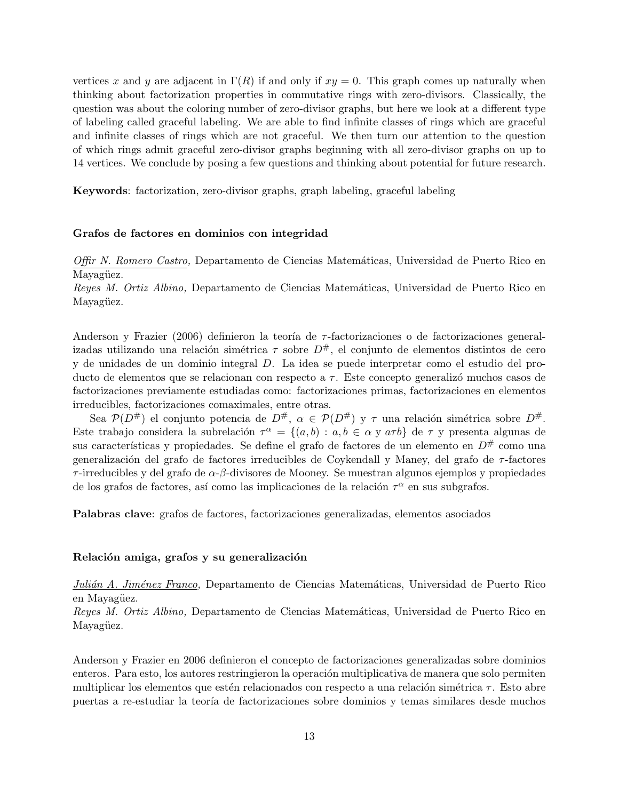vertices x and y are adjacent in  $\Gamma(R)$  if and only if  $xy = 0$ . This graph comes up naturally when thinking about factorization properties in commutative rings with zero-divisors. Classically, the question was about the coloring number of zero-divisor graphs, but here we look at a different type of labeling called graceful labeling. We are able to find infinite classes of rings which are graceful and infinite classes of rings which are not graceful. We then turn our attention to the question of which rings admit graceful zero-divisor graphs beginning with all zero-divisor graphs on up to 14 vertices. We conclude by posing a few questions and thinking about potential for future research.

**Keywords**: factorization, zero-divisor graphs, graph labeling, graceful labeling

#### **Grafos de factores en dominios con integridad**

*Offir N. Romero Castro, Departamento de Ciencias Matemáticas, Universidad de Puerto Rico en* Mayagüez.

*Reyes M. Ortiz Albino, Departamento de Ciencias Matemáticas, Universidad de Puerto Rico en* Mayagüez.

Anderson y Frazier (2006) definieron la teoría de *τ*-factorizaciones o de factorizaciones generalizadas utilizando una relación simétrica  $\tau$  sobre  $D^{\#}$ , el conjunto de elementos distintos de cero y de unidades de un dominio integral *D*. La idea se puede interpretar como el estudio del producto de elementos que se relacionan con respecto a *τ*. Este concepto generalizó muchos casos de factorizaciones previamente estudiadas como: factorizaciones primas, factorizaciones en elementos irreducibles, factorizaciones comaximales, entre otras.

Sea  $\mathcal{P}(D^{\#})$  el conjunto potencia de  $D^{\#}$ ,  $\alpha \in \mathcal{P}(D^{\#})$  y  $\tau$  una relación simétrica sobre  $D^{\#}$ . Este trabajo considera la subrelación  $\tau^{\alpha} = \{(a, b) : a, b \in \alpha \text{ y } a\tau b\}$  de  $\tau$  y presenta algunas de sus características y propiedades. Se define el grafo de factores de un elemento en  $D^{\#}$  como una generalizaci´on del grafo de factores irreducibles de Coykendall y Maney, del grafo de *τ* -factores *τ* -irreducibles y del grafo de *α*-*β*-divisores de Mooney. Se muestran algunos ejemplos y propiedades de los grafos de factores, así como las implicaciones de la relación  $\tau^{\alpha}$  en sus subgrafos.

**Palabras clave**: grafos de factores, factorizaciones generalizadas, elementos asociados

#### Relación amiga, grafos y su generalización

*Julián A. Jiménez Franco*, Departamento de Ciencias Matemáticas, Universidad de Puerto Rico en Mayagüez.

*Reyes M. Ortiz Albino,* Departamento de Ciencias Matemáticas, Universidad de Puerto Rico en Mayagüez.

Anderson y Frazier en 2006 definieron el concepto de factorizaciones generalizadas sobre dominios enteros. Para esto, los autores restringieron la operación multiplicativa de manera que solo permiten multiplicar los elementos que estén relacionados con respecto a una relación simétrica *τ*. Esto abre puertas a re-estudiar la teoría de factorizaciones sobre dominios y temas similares desde muchos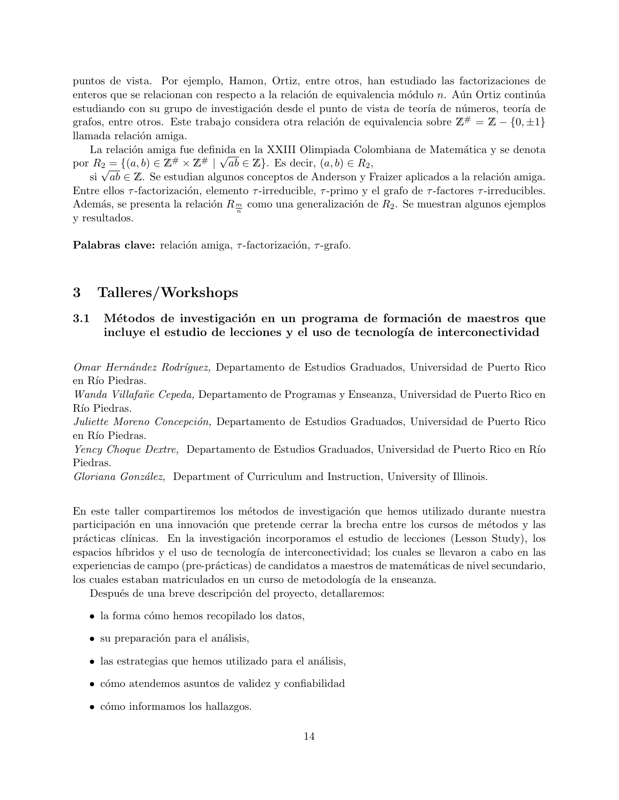puntos de vista. Por ejemplo, Hamon, Ortiz, entre otros, han estudiado las factorizaciones de enteros que se relacionan con respecto a la relación de equivalencia módulo *n*. Aún Ortiz continúa estudiando con su grupo de investigación desde el punto de vista de teoría de números, teoría de grafos, entre otros. Este trabajo considera otra relación de equivalencia sobre  $\mathbb{Z}^{\#} = \mathbb{Z} - \{0, \pm 1\}$ llamada relación amiga.

La relación amiga fue definida en la XXIII Olimpiada Colombiana de Matemática y se denota por  $R_2 = \{(a, b) \in \mathbb{Z}^{\#} \times \mathbb{Z}^{\#} \mid \sqrt{ab} \in \mathbb{Z}\}$ . Es decir,  $(a, b) \in R_2$ ,

*n*<sub>2</sub> = {(*a*, *o*) ∈ Z<sup>*n*</sup> × Z<sup>*n*</sup> | v *ao* ∈ Z<sub>j</sub></sub>. Es decir, (*a*, *o*) ∈ *n*<sub>2</sub>,<br>si  $\sqrt{ab}$  ∈ Z. Se estudian algunos conceptos de Anderson y Fraizer aplicados a la relación amiga. Entre ellos *τ* -factorizaci´on, elemento *τ* -irreducible, *τ* -primo y el grafo de *τ* -factores *τ* -irreducibles. Además, se presenta la relación  $R_{\frac{m}{n}}$  como una generalización de  $R_2$ . Se muestran algunos ejemplos y resultados.

**Palabras clave:** relación amiga, *τ*-factorización, *τ*-grafo.

# **3 Talleres/Workshops**

# **3.1 Métodos de investigación en un programa de formación de maestros que incluye el estudio de lecciones y el uso de tecnología de interconectividad**

*Omar Hern´andez Rodr´ıguez,* Departamento de Estudios Graduados, Universidad de Puerto Rico en Río Piedras.

*Wanda Villafañe Cepeda,* Departamento de Programas y Enseanza, Universidad de Puerto Rico en Río Piedras.

*Juliette Moreno Concepci´on,* Departamento de Estudios Graduados, Universidad de Puerto Rico en Río Piedras.

*Yency Choque Dextre,* Departamento de Estudios Graduados, Universidad de Puerto Rico en Río Piedras.

*Gloriana Gonz´alez,* Department of Curriculum and Instruction, University of Illinois.

En este taller compartiremos los métodos de investigación que hemos utilizado durante nuestra participación en una innovación que pretende cerrar la brecha entre los cursos de métodos y las prácticas clínicas. En la investigación incorporamos el estudio de lecciones (Lesson Study), los espacios h´ıbridos y el uso de tecnolog´ıa de interconectividad; los cuales se llevaron a cabo en las experiencias de campo (pre-prácticas) de candidatos a maestros de matemáticas de nivel secundario, los cuales estaban matriculados en un curso de metodología de la enseanza.

Después de una breve descripción del proyecto, detallaremos:

- la forma cómo hemos recopilado los datos,
- su preparación para el análisis,
- las estrategias que hemos utilizado para el análisis,
- cómo atendemos asuntos de validez y confiabilidad
- cómo informamos los hallazgos.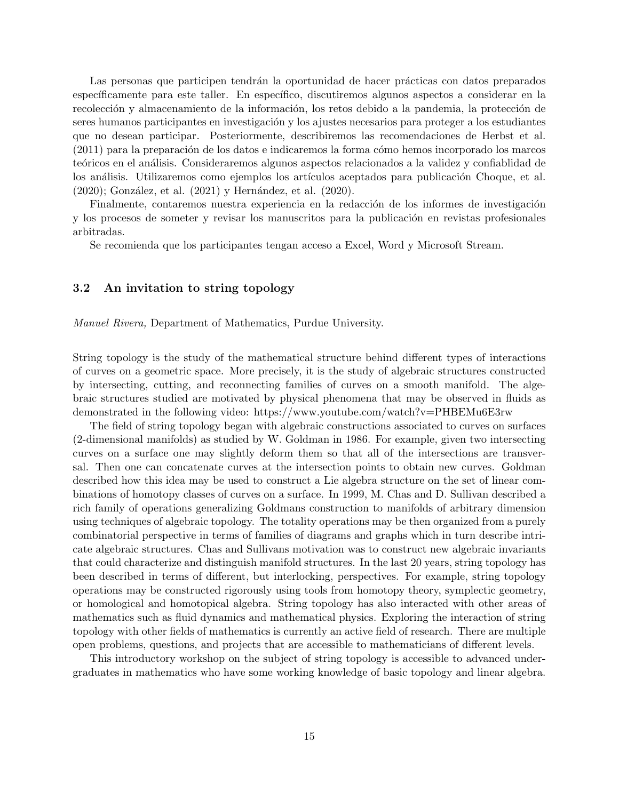Las personas que participen tendrán la oportunidad de hacer prácticas con datos preparados específicamente para este taller. En específico, discutiremos algunos aspectos a considerar en la recolección y almacenamiento de la información, los retos debido a la pandemia, la protección de seres humanos participantes en investigación y los ajustes necesarios para proteger a los estudiantes que no desean participar. Posteriormente, describiremos las recomendaciones de Herbst et al.  $(2011)$  para la preparación de los datos e indicaremos la forma cómo hemos incorporado los marcos teóricos en el análisis. Consideraremos algunos aspectos relacionados a la validez y confiablidad de los análisis. Utilizaremos como ejemplos los artículos aceptados para publicación Choque, et al.  $(2020)$ ; González, et al.  $(2021)$  y Hernández, et al.  $(2020)$ .

Finalmente, contaremos nuestra experiencia en la redacción de los informes de investigación y los procesos de someter y revisar los manuscritos para la publicación en revistas profesionales arbitradas.

Se recomienda que los participantes tengan acceso a Excel, Word y Microsoft Stream.

## **3.2 An invitation to string topology**

*Manuel Rivera,* Department of Mathematics, Purdue University.

String topology is the study of the mathematical structure behind different types of interactions of curves on a geometric space. More precisely, it is the study of algebraic structures constructed by intersecting, cutting, and reconnecting families of curves on a smooth manifold. The algebraic structures studied are motivated by physical phenomena that may be observed in fluids as demonstrated in the following video: https://www.youtube.com/watch?v=PHBEMu6E3rw

The field of string topology began with algebraic constructions associated to curves on surfaces (2-dimensional manifolds) as studied by W. Goldman in 1986. For example, given two intersecting curves on a surface one may slightly deform them so that all of the intersections are transversal. Then one can concatenate curves at the intersection points to obtain new curves. Goldman described how this idea may be used to construct a Lie algebra structure on the set of linear combinations of homotopy classes of curves on a surface. In 1999, M. Chas and D. Sullivan described a rich family of operations generalizing Goldmans construction to manifolds of arbitrary dimension using techniques of algebraic topology. The totality operations may be then organized from a purely combinatorial perspective in terms of families of diagrams and graphs which in turn describe intricate algebraic structures. Chas and Sullivans motivation was to construct new algebraic invariants that could characterize and distinguish manifold structures. In the last 20 years, string topology has been described in terms of different, but interlocking, perspectives. For example, string topology operations may be constructed rigorously using tools from homotopy theory, symplectic geometry, or homological and homotopical algebra. String topology has also interacted with other areas of mathematics such as fluid dynamics and mathematical physics. Exploring the interaction of string topology with other fields of mathematics is currently an active field of research. There are multiple open problems, questions, and projects that are accessible to mathematicians of different levels.

This introductory workshop on the subject of string topology is accessible to advanced undergraduates in mathematics who have some working knowledge of basic topology and linear algebra.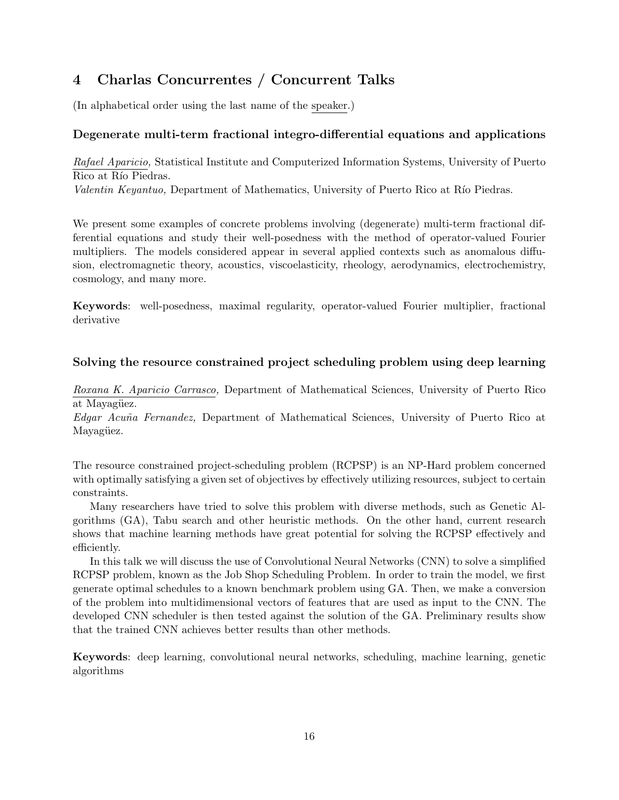# **4 Charlas Concurrentes / Concurrent Talks**

(In alphabetical order using the last name of the speaker.)

# **Degenerate multi-term fractional integro-differential equations and applications**

*Rafael Aparicio,* Statistical Institute and Computerized Information Systems, University of Puerto Rico at Río Piedras.

*Valentin Keyantuo*, Department of Mathematics, University of Puerto Rico at Río Piedras.

We present some examples of concrete problems involving (degenerate) multi-term fractional differential equations and study their well-posedness with the method of operator-valued Fourier multipliers. The models considered appear in several applied contexts such as anomalous diffusion, electromagnetic theory, acoustics, viscoelasticity, rheology, aerodynamics, electrochemistry, cosmology, and many more.

**Keywords**: well-posedness, maximal regularity, operator-valued Fourier multiplier, fractional derivative

# **Solving the resource constrained project scheduling problem using deep learning**

*Roxana K. Aparicio Carrasco,* Department of Mathematical Sciences, University of Puerto Rico at Mayagüez.

*Edgar Acu˜na Fernandez,* Department of Mathematical Sciences, University of Puerto Rico at Mayagüez.

The resource constrained project-scheduling problem (RCPSP) is an NP-Hard problem concerned with optimally satisfying a given set of objectives by effectively utilizing resources, subject to certain constraints.

Many researchers have tried to solve this problem with diverse methods, such as Genetic Algorithms (GA), Tabu search and other heuristic methods. On the other hand, current research shows that machine learning methods have great potential for solving the RCPSP effectively and efficiently.

In this talk we will discuss the use of Convolutional Neural Networks (CNN) to solve a simplified RCPSP problem, known as the Job Shop Scheduling Problem. In order to train the model, we first generate optimal schedules to a known benchmark problem using GA. Then, we make a conversion of the problem into multidimensional vectors of features that are used as input to the CNN. The developed CNN scheduler is then tested against the solution of the GA. Preliminary results show that the trained CNN achieves better results than other methods.

**Keywords**: deep learning, convolutional neural networks, scheduling, machine learning, genetic algorithms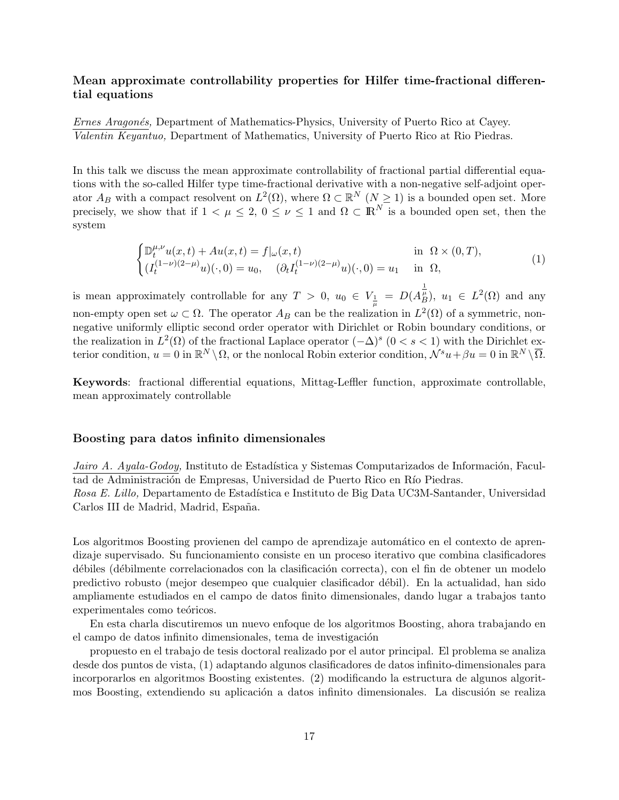# **Mean approximate controllability properties for Hilfer time-fractional differential equations**

*Ernes Aragonés,* Department of Mathematics-Physics, University of Puerto Rico at Cayey. *Valentin Keyantuo,* Department of Mathematics, University of Puerto Rico at Rio Piedras.

In this talk we discuss the mean approximate controllability of fractional partial differential equations with the so-called Hilfer type time-fractional derivative with a non-negative self-adjoint operator  $A_B$  with a compact resolvent on  $L^2(\Omega)$ , where  $\Omega \subset \mathbb{R}^N$   $(N \geq 1)$  is a bounded open set. More precisely, we show that if  $1 < \mu \leq 2$ ,  $0 \leq \nu \leq 1$  and  $\Omega \subset \mathbb{R}^N$  is a bounded open set, then the system

$$
\begin{cases} \mathbb{D}_{t}^{\mu,\nu}u(x,t) + Au(x,t) = f|_{\omega}(x,t) & \text{in } \Omega \times (0,T), \\ (I_{t}^{(1-\nu)(2-\mu)}u)(\cdot,0) = u_{0}, \quad (\partial_{t}I_{t}^{(1-\nu)(2-\mu)}u)(\cdot,0) = u_{1} & \text{in } \Omega, \end{cases}
$$
\n(1)

is mean approximately controllable for any  $T > 0$ ,  $u_0 \in V_{\frac{1}{\mu}} = D(A_B^{\frac{1}{\mu}})$ ,  $u_1 \in L^2(\Omega)$  and any non-empty open set  $\omega \subset \Omega$ . The operator  $A_B$  can be the realization in  $L^2(\Omega)$  of a symmetric, nonnegative uniformly elliptic second order operator with Dirichlet or Robin boundary conditions, or the realization in  $L^2(\Omega)$  of the fractional Laplace operator  $(-\Delta)^s$   $(0 < s < 1)$  with the Dirichlet ex- $\mathbb{R}^N \setminus \Omega$ , or the nonlocal Robin exterior condition,  $\mathcal{N}^s u + \beta u = 0$  in  $\mathbb{R}^N \setminus \overline{\Omega}$ .

**Keywords**: fractional differential equations, Mittag-Leffler function, approximate controllable, mean approximately controllable

#### **Boosting para datos infinito dimensionales**

*Jairo A. Ayala-Godoy*, Instituto de Estadística y Sistemas Computarizados de Información, Facultad de Administración de Empresas, Universidad de Puerto Rico en Río Piedras. Rosa E. Lillo, Departamento de Estadística e Instituto de Big Data UC3M-Santander, Universidad Carlos III de Madrid, Madrid, España.

Los algoritmos Boosting provienen del campo de aprendizaje automático en el contexto de aprendizaje supervisado. Su funcionamiento consiste en un proceso iterativo que combina clasificadores débiles (débilmente correlacionados con la clasificación correcta), con el fin de obtener un modelo predictivo robusto (mejor desempeo que cualquier clasificador d´ebil). En la actualidad, han sido ampliamente estudiados en el campo de datos finito dimensionales, dando lugar a trabajos tanto experimentales como teóricos.

En esta charla discutiremos un nuevo enfoque de los algoritmos Boosting, ahora trabajando en el campo de datos infinito dimensionales, tema de investigación

propuesto en el trabajo de tesis doctoral realizado por el autor principal. El problema se analiza desde dos puntos de vista, (1) adaptando algunos clasificadores de datos infinito-dimensionales para incorporarlos en algoritmos Boosting existentes. (2) modificando la estructura de algunos algoritmos Boosting, extendiendo su aplicación a datos infinito dimensionales. La discusión se realiza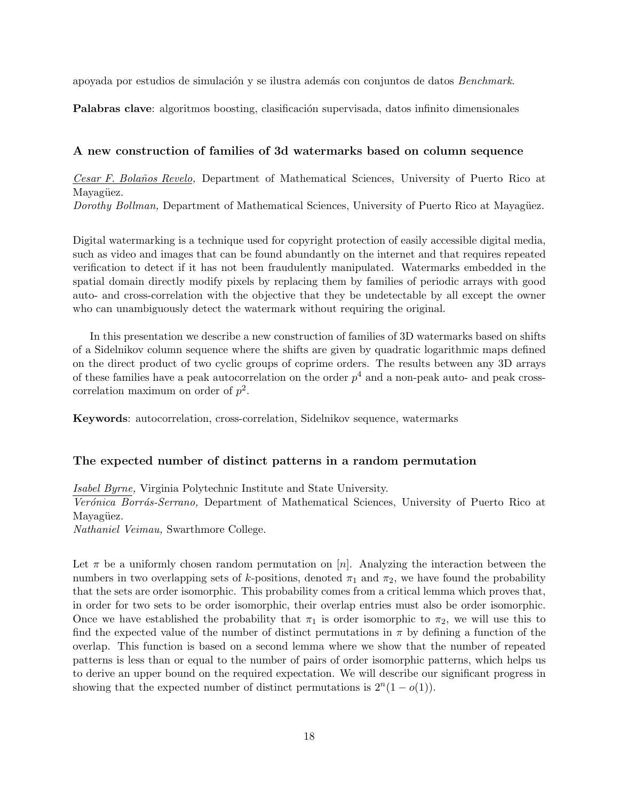apoyada por estudios de simulaci´on y se ilustra adem´as con conjuntos de datos *Benchmark*.

**Palabras clave**: algoritmos boosting, clasificación supervisada, datos infinito dimensionales

#### **A new construction of families of 3d watermarks based on column sequence**

*Cesar F. Bola˜nos Revelo,* Department of Mathematical Sciences, University of Puerto Rico at Mayagüez. *Dorothy Bollman,* Department of Mathematical Sciences, University of Puerto Rico at Mayagüez.

Digital watermarking is a technique used for copyright protection of easily accessible digital media, such as video and images that can be found abundantly on the internet and that requires repeated verification to detect if it has not been fraudulently manipulated. Watermarks embedded in the spatial domain directly modify pixels by replacing them by families of periodic arrays with good auto- and cross-correlation with the objective that they be undetectable by all except the owner who can unambiguously detect the watermark without requiring the original.

In this presentation we describe a new construction of families of 3D watermarks based on shifts of a Sidelnikov column sequence where the shifts are given by quadratic logarithmic maps defined on the direct product of two cyclic groups of coprime orders. The results between any 3D arrays of these families have a peak autocorrelation on the order  $p<sup>4</sup>$  and a non-peak auto- and peak crosscorrelation maximum on order of *p* 2 .

**Keywords**: autocorrelation, cross-correlation, Sidelnikov sequence, watermarks

#### **The expected number of distinct patterns in a random permutation**

*Isabel Byrne,* Virginia Polytechnic Institute and State University.

Verónica Borrás-Serrano, Department of Mathematical Sciences, University of Puerto Rico at Mayagüez.

*Nathaniel Veimau,* Swarthmore College.

Let  $\pi$  be a uniformly chosen random permutation on [*n*]. Analyzing the interaction between the numbers in two overlapping sets of *k*-positions, denoted  $\pi_1$  and  $\pi_2$ , we have found the probability that the sets are order isomorphic. This probability comes from a critical lemma which proves that, in order for two sets to be order isomorphic, their overlap entries must also be order isomorphic. Once we have established the probability that  $\pi_1$  is order isomorphic to  $\pi_2$ , we will use this to find the expected value of the number of distinct permutations in  $\pi$  by defining a function of the overlap. This function is based on a second lemma where we show that the number of repeated patterns is less than or equal to the number of pairs of order isomorphic patterns, which helps us to derive an upper bound on the required expectation. We will describe our significant progress in showing that the expected number of distinct permutations is  $2^{n}(1 - o(1))$ .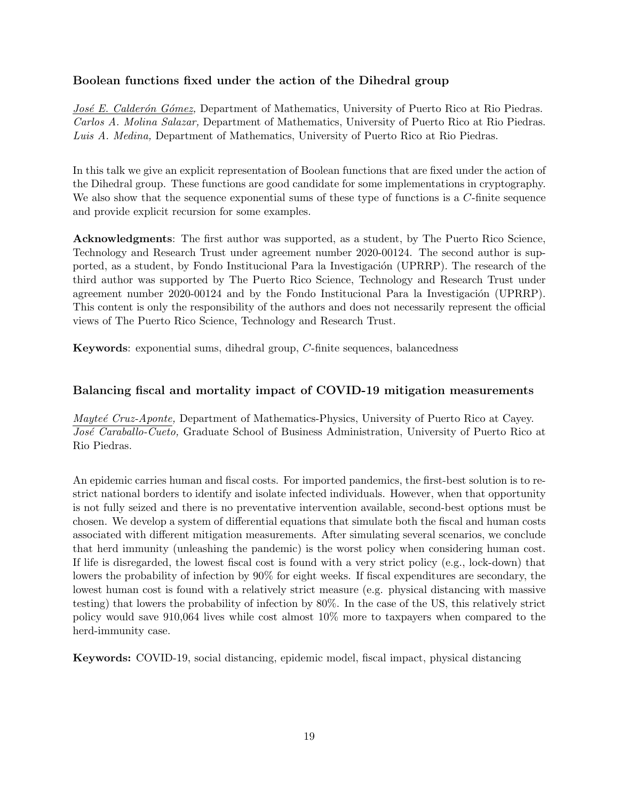# **Boolean functions fixed under the action of the Dihedral group**

*José E. Calderón Gómez*, Department of Mathematics, University of Puerto Rico at Rio Piedras. *Carlos A. Molina Salazar,* Department of Mathematics, University of Puerto Rico at Rio Piedras. *Luis A. Medina,* Department of Mathematics, University of Puerto Rico at Rio Piedras.

In this talk we give an explicit representation of Boolean functions that are fixed under the action of the Dihedral group. These functions are good candidate for some implementations in cryptography. We also show that the sequence exponential sums of these type of functions is a *C*-finite sequence and provide explicit recursion for some examples.

**Acknowledgments**: The first author was supported, as a student, by The Puerto Rico Science, Technology and Research Trust under agreement number 2020-00124. The second author is supported, as a student, by Fondo Institucional Para la Investigación (UPRRP). The research of the third author was supported by The Puerto Rico Science, Technology and Research Trust under agreement number 2020-00124 and by the Fondo Institucional Para la Investigación (UPRRP). This content is only the responsibility of the authors and does not necessarily represent the official views of The Puerto Rico Science, Technology and Research Trust.

**Keywords**: exponential sums, dihedral group, *C*-finite sequences, balancedness

# **Balancing fiscal and mortality impact of COVID-19 mitigation measurements**

*Mayteé Cruz-Aponte*, Department of Mathematics-Physics, University of Puerto Rico at Cayey. *Jos´e Caraballo-Cueto,* Graduate School of Business Administration, University of Puerto Rico at Rio Piedras.

An epidemic carries human and fiscal costs. For imported pandemics, the first-best solution is to restrict national borders to identify and isolate infected individuals. However, when that opportunity is not fully seized and there is no preventative intervention available, second-best options must be chosen. We develop a system of differential equations that simulate both the fiscal and human costs associated with different mitigation measurements. After simulating several scenarios, we conclude that herd immunity (unleashing the pandemic) is the worst policy when considering human cost. If life is disregarded, the lowest fiscal cost is found with a very strict policy (e.g., lock-down) that lowers the probability of infection by 90% for eight weeks. If fiscal expenditures are secondary, the lowest human cost is found with a relatively strict measure (e.g. physical distancing with massive testing) that lowers the probability of infection by 80%. In the case of the US, this relatively strict policy would save 910,064 lives while cost almost 10% more to taxpayers when compared to the herd-immunity case.

**Keywords:** COVID-19, social distancing, epidemic model, fiscal impact, physical distancing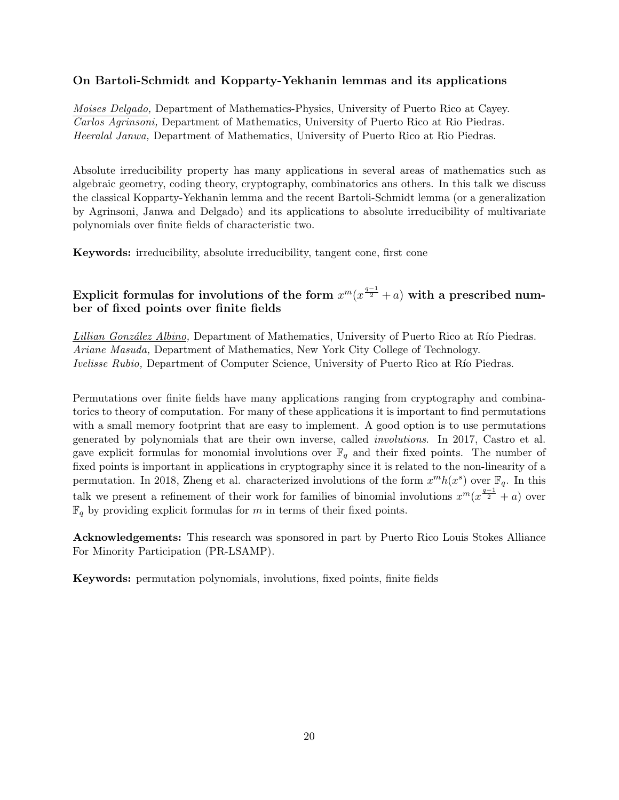# **On Bartoli-Schmidt and Kopparty-Yekhanin lemmas and its applications**

*Moises Delgado,* Department of Mathematics-Physics, University of Puerto Rico at Cayey. *Carlos Agrinsoni,* Department of Mathematics, University of Puerto Rico at Rio Piedras. *Heeralal Janwa,* Department of Mathematics, University of Puerto Rico at Rio Piedras.

Absolute irreducibility property has many applications in several areas of mathematics such as algebraic geometry, coding theory, cryptography, combinatorics ans others. In this talk we discuss the classical Kopparty-Yekhanin lemma and the recent Bartoli-Schmidt lemma (or a generalization by Agrinsoni, Janwa and Delgado) and its applications to absolute irreducibility of multivariate polynomials over finite fields of characteristic two.

**Keywords:** irreducibility, absolute irreducibility, tangent cone, first cone

# $\textbf{Explicit formulas for involutions of the form } x^{m} (x^{\frac{q-1}{2}} + a) \text{ with a prescribed num-}$ **ber of fixed points over finite fields**

*Lillian González Albino*, Department of Mathematics, University of Puerto Rico at Río Piedras. *Ariane Masuda,* Department of Mathematics, New York City College of Technology. *Ivelisse Rubio,* Department of Computer Science, University of Puerto Rico at Río Piedras.

Permutations over finite fields have many applications ranging from cryptography and combinatorics to theory of computation. For many of these applications it is important to find permutations with a small memory footprint that are easy to implement. A good option is to use permutations generated by polynomials that are their own inverse, called *involutions*. In 2017, Castro et al. gave explicit formulas for monomial involutions over  $\mathbb{F}_q$  and their fixed points. The number of fixed points is important in applications in cryptography since it is related to the non-linearity of a permutation. In 2018, Zheng et al. characterized involutions of the form  $x^m h(x^s)$  over  $\mathbb{F}_q$ . In this talk we present a refinement of their work for families of binomial involutions  $x^m(x^{\frac{q-1}{2}} + a)$  over  $\mathbb{F}_q$  by providing explicit formulas for *m* in terms of their fixed points.

**Acknowledgements:** This research was sponsored in part by Puerto Rico Louis Stokes Alliance For Minority Participation (PR-LSAMP).

**Keywords:** permutation polynomials, involutions, fixed points, finite fields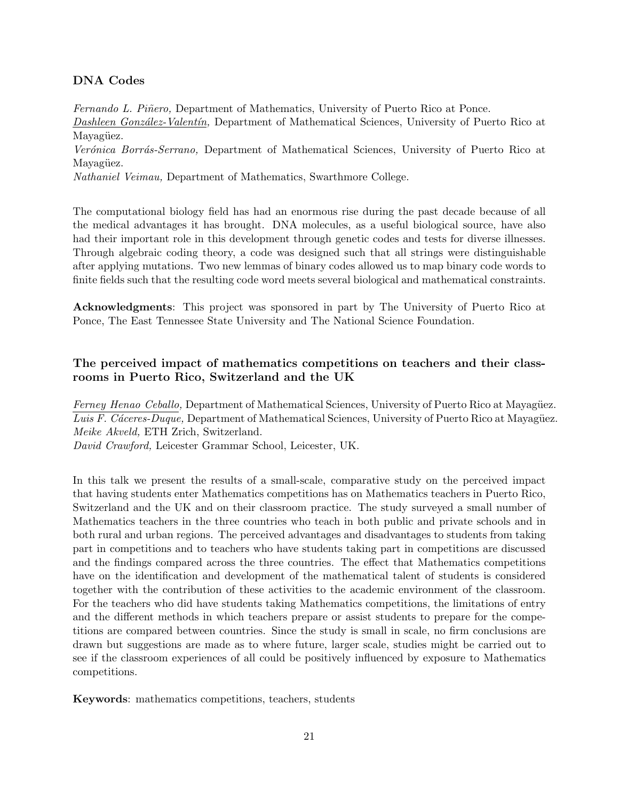# **DNA Codes**

*Fernando L. Piñero,* Department of Mathematics, University of Puerto Rico at Ponce. *Dashleen Gonz´alez-Valent´ın,* Department of Mathematical Sciences, University of Puerto Rico at Mayagüez.

*Ver´onica Borr´as-Serrano,* Department of Mathematical Sciences, University of Puerto Rico at Mayagüez.

*Nathaniel Veimau,* Department of Mathematics, Swarthmore College.

The computational biology field has had an enormous rise during the past decade because of all the medical advantages it has brought. DNA molecules, as a useful biological source, have also had their important role in this development through genetic codes and tests for diverse illnesses. Through algebraic coding theory, a code was designed such that all strings were distinguishable after applying mutations. Two new lemmas of binary codes allowed us to map binary code words to finite fields such that the resulting code word meets several biological and mathematical constraints.

**Acknowledgments**: This project was sponsored in part by The University of Puerto Rico at Ponce, The East Tennessee State University and The National Science Foundation.

# **The perceived impact of mathematics competitions on teachers and their classrooms in Puerto Rico, Switzerland and the UK**

*Ferney Henao Ceballo,* Department of Mathematical Sciences, University of Puerto Rico at Mayagüez. *Luis F. Cáceres-Duque,* Department of Mathematical Sciences, University of Puerto Rico at Mayagüez. *Meike Akveld,* ETH Zrich, Switzerland.

*David Crawford,* Leicester Grammar School, Leicester, UK.

In this talk we present the results of a small-scale, comparative study on the perceived impact that having students enter Mathematics competitions has on Mathematics teachers in Puerto Rico, Switzerland and the UK and on their classroom practice. The study surveyed a small number of Mathematics teachers in the three countries who teach in both public and private schools and in both rural and urban regions. The perceived advantages and disadvantages to students from taking part in competitions and to teachers who have students taking part in competitions are discussed and the findings compared across the three countries. The effect that Mathematics competitions have on the identification and development of the mathematical talent of students is considered together with the contribution of these activities to the academic environment of the classroom. For the teachers who did have students taking Mathematics competitions, the limitations of entry and the different methods in which teachers prepare or assist students to prepare for the competitions are compared between countries. Since the study is small in scale, no firm conclusions are drawn but suggestions are made as to where future, larger scale, studies might be carried out to see if the classroom experiences of all could be positively influenced by exposure to Mathematics competitions.

**Keywords**: mathematics competitions, teachers, students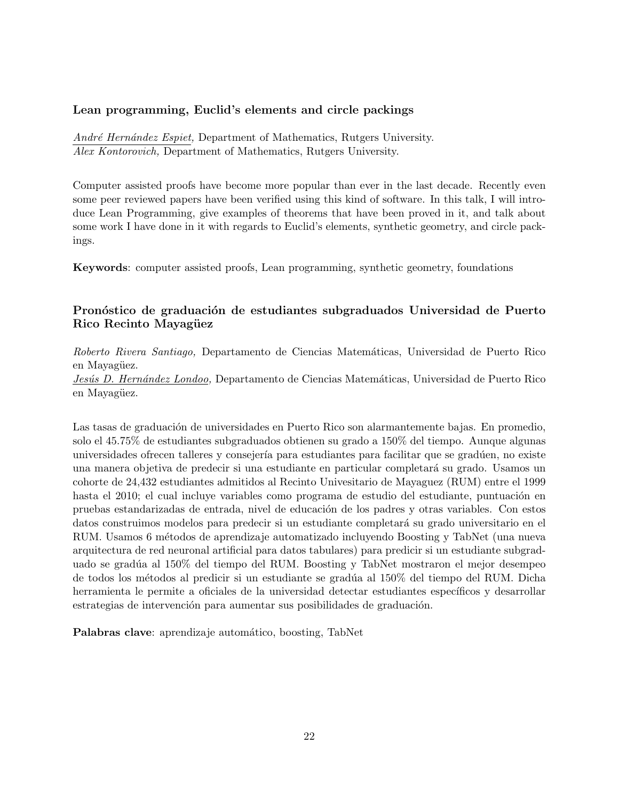# **Lean programming, Euclid's elements and circle packings**

*Andr´e Hern´andez Espiet,* Department of Mathematics, Rutgers University. *Alex Kontorovich,* Department of Mathematics, Rutgers University.

Computer assisted proofs have become more popular than ever in the last decade. Recently even some peer reviewed papers have been verified using this kind of software. In this talk, I will introduce Lean Programming, give examples of theorems that have been proved in it, and talk about some work I have done in it with regards to Euclid's elements, synthetic geometry, and circle packings.

**Keywords**: computer assisted proofs, Lean programming, synthetic geometry, foundations

# Pronóstico de graduación de estudiantes subgraduados Universidad de Puerto Rico Recinto Mayagüez

*Roberto Rivera Santiago,* Departamento de Ciencias Matem´aticas, Universidad de Puerto Rico en Mayagüez.

Jesús D. Hernández Londoo, Departamento de Ciencias Matemáticas, Universidad de Puerto Rico en Mayagüez.

Las tasas de graduación de universidades en Puerto Rico son alarmantemente bajas. En promedio, solo el 45.75% de estudiantes subgraduados obtienen su grado a 150% del tiempo. Aunque algunas universidades ofrecen talleres y consejería para estudiantes para facilitar que se gradúen, no existe una manera objetiva de predecir si una estudiante en particular completar´a su grado. Usamos un cohorte de 24,432 estudiantes admitidos al Recinto Univesitario de Mayaguez (RUM) entre el 1999 hasta el 2010; el cual incluye variables como programa de estudio del estudiante, puntuación en pruebas estandarizadas de entrada, nivel de educación de los padres y otras variables. Con estos datos construimos modelos para predecir si un estudiante completará su grado universitario en el RUM. Usamos 6 métodos de aprendizaje automatizado incluyendo Boosting y TabNet (una nueva arquitectura de red neuronal artificial para datos tabulares) para predicir si un estudiante subgraduado se gradúa al 150% del tiempo del RUM. Boosting y TabNet mostraron el mejor desempeo de todos los métodos al predicir si un estudiante se gradúa al  $150\%$  del tiempo del RUM. Dicha herramienta le permite a oficiales de la universidad detectar estudiantes específicos y desarrollar estrategias de intervención para aumentar sus posibilidades de graduación.

Palabras clave: aprendizaje automático, boosting, TabNet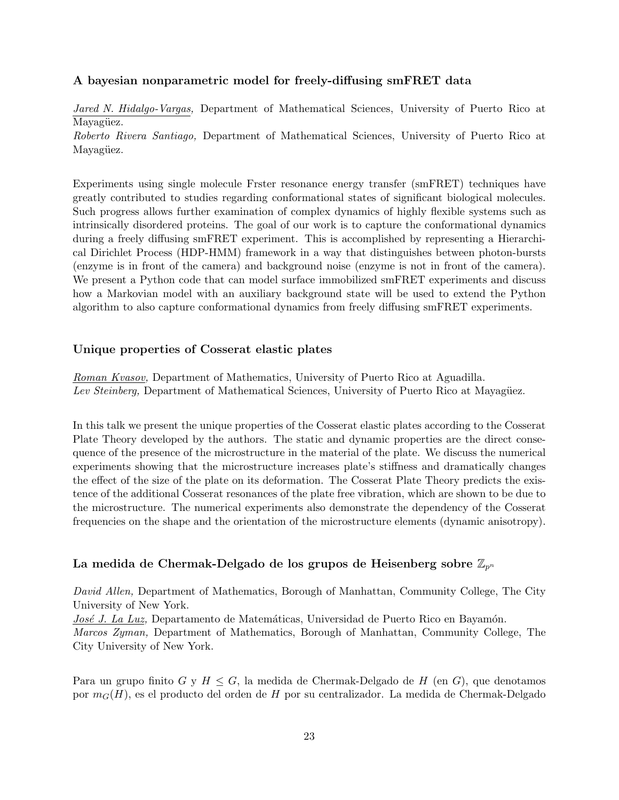# **A bayesian nonparametric model for freely-diffusing smFRET data**

*Jared N. Hidalgo-Vargas,* Department of Mathematical Sciences, University of Puerto Rico at Mayagüez.

*Roberto Rivera Santiago,* Department of Mathematical Sciences, University of Puerto Rico at Mayagüez.

Experiments using single molecule Frster resonance energy transfer (smFRET) techniques have greatly contributed to studies regarding conformational states of significant biological molecules. Such progress allows further examination of complex dynamics of highly flexible systems such as intrinsically disordered proteins. The goal of our work is to capture the conformational dynamics during a freely diffusing smFRET experiment. This is accomplished by representing a Hierarchical Dirichlet Process (HDP-HMM) framework in a way that distinguishes between photon-bursts (enzyme is in front of the camera) and background noise (enzyme is not in front of the camera). We present a Python code that can model surface immobilized smFRET experiments and discuss how a Markovian model with an auxiliary background state will be used to extend the Python algorithm to also capture conformational dynamics from freely diffusing smFRET experiments.

# **Unique properties of Cosserat elastic plates**

*Roman Kvasov,* Department of Mathematics, University of Puerto Rico at Aguadilla. *Lev Steinberg,* Department of Mathematical Sciences, University of Puerto Rico at Mayagüez.

In this talk we present the unique properties of the Cosserat elastic plates according to the Cosserat Plate Theory developed by the authors. The static and dynamic properties are the direct consequence of the presence of the microstructure in the material of the plate. We discuss the numerical experiments showing that the microstructure increases plate's stiffness and dramatically changes the effect of the size of the plate on its deformation. The Cosserat Plate Theory predicts the existence of the additional Cosserat resonances of the plate free vibration, which are shown to be due to the microstructure. The numerical experiments also demonstrate the dependency of the Cosserat frequencies on the shape and the orientation of the microstructure elements (dynamic anisotropy).

# **La medida de Chermak-Delgado de los grupos de Heisenberg sobre** Z*p<sup>n</sup>*

*David Allen,* Department of Mathematics, Borough of Manhattan, Community College, The City University of New York.

*José J. La Luz*, Departamento de Matemáticas, Universidad de Puerto Rico en Bayamón.

*Marcos Zyman,* Department of Mathematics, Borough of Manhattan, Community College, The City University of New York.

Para un grupo finito *G* y *H ≤ G*, la medida de Chermak-Delgado de *H* (en *G*), que denotamos por *mG*(*H*), es el producto del orden de *H* por su centralizador. La medida de Chermak-Delgado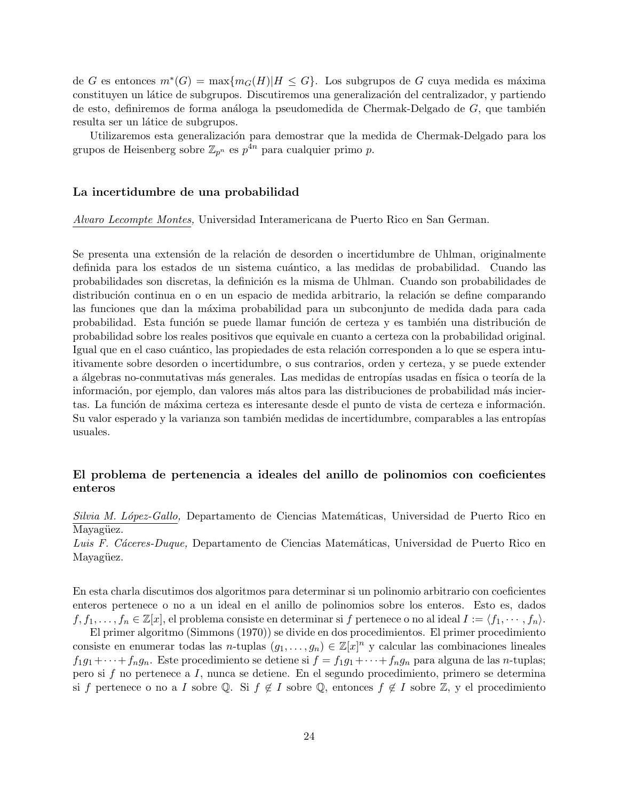$de G$  es entonces  $m$ <sup>∗</sup> $(G) = \max\{m_G(H)|H \leq G\}$ . Los subgrupos de *G* cuya medida es máxima constituyen un látice de subgrupos. Discutiremos una generalización del centralizador, y partiendo de esto, definiremos de forma análoga la pseudomedida de Chermak-Delgado de G, que también resulta ser un látice de subgrupos.

Utilizaremos esta generalización para demostrar que la medida de Chermak-Delgado para los grupos de Heisenberg sobre  $\mathbb{Z}_{p^n}$  es  $p^{4n}$  para cualquier primo p.

#### **La incertidumbre de una probabilidad**

*Alvaro Lecompte Montes,* Universidad Interamericana de Puerto Rico en San German.

Se presenta una extensión de la relación de desorden o incertidumbre de Uhlman, originalmente definida para los estados de un sistema cuántico, a las medidas de probabilidad. Cuando las probabilidades son discretas, la definición es la misma de Uhlman. Cuando son probabilidades de distribución continua en o en un espacio de medida arbitrario, la relación se define comparando las funciones que dan la máxima probabilidad para un subconjunto de medida dada para cada probabilidad. Esta función se puede llamar función de certeza y es también una distribución de probabilidad sobre los reales positivos que equivale en cuanto a certeza con la probabilidad original. Igual que en el caso cuántico, las propiedades de esta relación corresponden a lo que se espera intuitivamente sobre desorden o incertidumbre, o sus contrarios, orden y certeza, y se puede extender a álgebras no-conmutativas más generales. Las medidas de entropías usadas en física o teoría de la información, por ejemplo, dan valores más altos para las distribuciones de probabilidad más inciertas. La función de máxima certeza es interesante desde el punto de vista de certeza e información. Su valor esperado y la varianza son también medidas de incertidumbre, comparables a las entropías usuales.

# **El problema de pertenencia a ideales del anillo de polinomios con coeficientes enteros**

*Silvia M. L´opez-Gallo,* Departamento de Ciencias Matem´aticas, Universidad de Puerto Rico en Mayagüez.

Luis F. Cáceres-Duque, Departamento de Ciencias Matemáticas, Universidad de Puerto Rico en Mayagüez.

En esta charla discutimos dos algoritmos para determinar si un polinomio arbitrario con coeficientes enteros pertenece o no a un ideal en el anillo de polinomios sobre los enteros. Esto es, dados  $f, f_1, \ldots, f_n \in \mathbb{Z}[x]$ , el problema consiste en determinar si *f* pertenece o no al ideal  $I := \langle f_1, \cdots, f_n \rangle$ .

El primer algoritmo (Simmons (1970)) se divide en dos procedimientos. El primer procedimiento consiste en enumerar todas las *n*-tuplas  $(g_1, \ldots, g_n) \in \mathbb{Z}[x]^n$  y calcular las combinaciones lineales  $f_1g_1 + \cdots + f_ng_n$ . Este procedimiento se detiene si  $f = f_1g_1 + \cdots + f_ng_n$  para alguna de las *n*-tuplas; pero si *f* no pertenece a *I*, nunca se detiene. En el segundo procedimiento, primero se determina si *f* pertenece o no a *I* sobre Q. Si  $f \notin I$  sobre Q, entonces  $f \notin I$  sobre  $\mathbb{Z}$ , y el procedimiento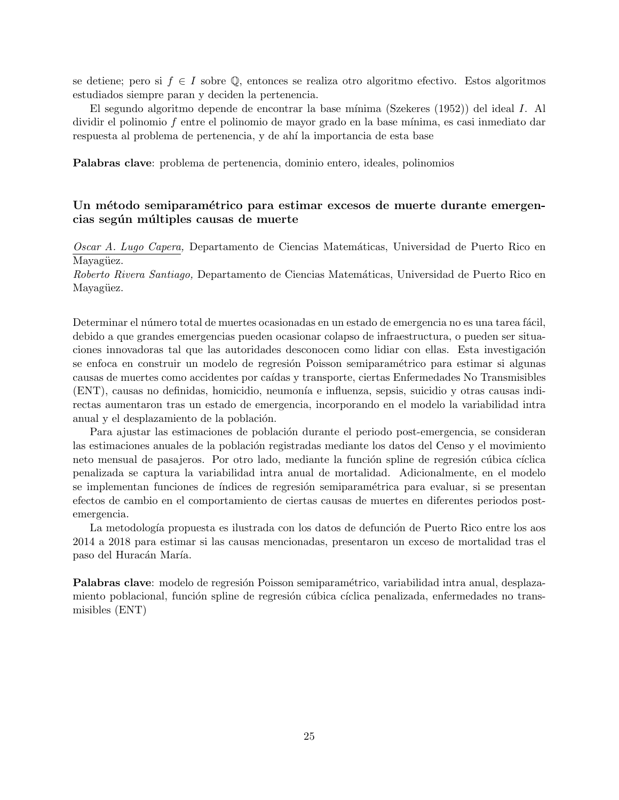se detiene; pero si *f ∈ I* sobre Q, entonces se realiza otro algoritmo efectivo. Estos algoritmos estudiados siempre paran y deciden la pertenencia.

El segundo algoritmo depende de encontrar la base m´ınima (Szekeres (1952)) del ideal *I*. Al dividir el polinomio f entre el polinomio de mayor grado en la base mínima, es casi inmediato dar respuesta al problema de pertenencia, y de ah´ı la importancia de esta base

**Palabras clave**: problema de pertenencia, dominio entero, ideales, polinomios

# Un método semiparamétrico para estimar excesos de muerte durante emergen**cias seg´un m´ultiples causas de muerte**

*Oscar A. Lugo Capera,* Departamento de Ciencias Matem´aticas, Universidad de Puerto Rico en Mayagüez.

*Roberto Rivera Santiago,* Departamento de Ciencias Matem´aticas, Universidad de Puerto Rico en Mayagüez.

Determinar el número total de muertes ocasionadas en un estado de emergencia no es una tarea fácil, debido a que grandes emergencias pueden ocasionar colapso de infraestructura, o pueden ser situaciones innovadoras tal que las autoridades desconocen como lidiar con ellas. Esta investigación se enfoca en construir un modelo de regresión Poisson semiparamétrico para estimar si algunas causas de muertes como accidentes por ca´ıdas y transporte, ciertas Enfermedades No Transmisibles (ENT), causas no definidas, homicidio, neumon´ıa e influenza, sepsis, suicidio y otras causas indirectas aumentaron tras un estado de emergencia, incorporando en el modelo la variabilidad intra anual y el desplazamiento de la población.

Para ajustar las estimaciones de población durante el periodo post-emergencia, se consideran las estimaciones anuales de la población registradas mediante los datos del Censo y el movimiento neto mensual de pasajeros. Por otro lado, mediante la función spline de regresión cúbica cíclica penalizada se captura la variabilidad intra anual de mortalidad. Adicionalmente, en el modelo se implementan funciones de índices de regresión semiparamétrica para evaluar, si se presentan efectos de cambio en el comportamiento de ciertas causas de muertes en diferentes periodos postemergencia.

La metodología propuesta es ilustrada con los datos de defunción de Puerto Rico entre los aos 2014 a 2018 para estimar si las causas mencionadas, presentaron un exceso de mortalidad tras el paso del Huracán María.

**Palabras clave**: modelo de regresión Poisson semiparamétrico, variabilidad intra anual, desplazamiento poblacional, función spline de regresión cúbica cíclica penalizada, enfermedades no transmisibles (ENT)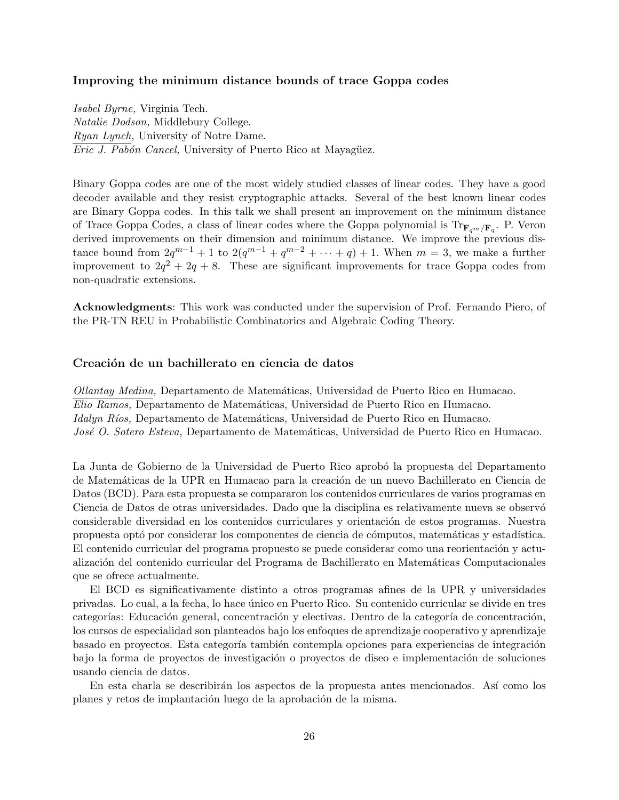#### **Improving the minimum distance bounds of trace Goppa codes**

*Isabel Byrne,* Virginia Tech. *Natalie Dodson,* Middlebury College. *Ryan Lynch,* University of Notre Dame. *Eric J. Pabón Cancel,* University of Puerto Rico at Mayagüez.

Binary Goppa codes are one of the most widely studied classes of linear codes. They have a good decoder available and they resist cryptographic attacks. Several of the best known linear codes are Binary Goppa codes. In this talk we shall present an improvement on the minimum distance of Trace Goppa Codes, a class of linear codes where the Goppa polynomial is Tr**F***qm/***F***<sup>q</sup>* . P. Veron derived improvements on their dimension and minimum distance. We improve the previous distance bound from  $2q^{m-1} + 1$  to  $2(q^{m-1} + q^{m-2} + \cdots + q) + 1$ . When  $m = 3$ , we make a further improvement to  $2q^2 + 2q + 8$ . These are significant improvements for trace Goppa codes from non-quadratic extensions.

**Acknowledgments**: This work was conducted under the supervision of Prof. Fernando Piero, of the PR-TN REU in Probabilistic Combinatorics and Algebraic Coding Theory.

#### Creación de un bachillerato en ciencia de datos

*Ollantay Medina,* Departamento de Matem´aticas, Universidad de Puerto Rico en Humacao. *Elio Ramos,* Departamento de Matem´aticas, Universidad de Puerto Rico en Humacao. *Idalyn Ríos,* Departamento de Matemáticas, Universidad de Puerto Rico en Humacao. *José O. Sotero Esteva, Departamento de Matemáticas, Universidad de Puerto Rico en Humacao.* 

La Junta de Gobierno de la Universidad de Puerto Rico aprobó la propuesta del Departamento de Matemáticas de la UPR en Humacao para la creación de un nuevo Bachillerato en Ciencia de Datos (BCD). Para esta propuesta se compararon los contenidos curriculares de varios programas en Ciencia de Datos de otras universidades. Dado que la disciplina es relativamente nueva se observó considerable diversidad en los contenidos curriculares y orientación de estos programas. Nuestra propuesta optó por considerar los componentes de ciencia de cómputos, matemáticas y estadística. El contenido curricular del programa propuesto se puede considerar como una reorientación y actualización del contenido curricular del Programa de Bachillerato en Matemáticas Computacionales que se ofrece actualmente.

El BCD es significativamente distinto a otros programas afines de la UPR y universidades privadas. Lo cual, a la fecha, lo hace ´unico en Puerto Rico. Su contenido curricular se divide en tres categorías: Educación general, concentración y electivas. Dentro de la categoría de concentración, los cursos de especialidad son planteados bajo los enfoques de aprendizaje cooperativo y aprendizaje basado en proyectos. Esta categoría también contempla opciones para experiencias de integración bajo la forma de proyectos de investigación o proyectos de diseo e implementación de soluciones usando ciencia de datos.

En esta charla se describirán los aspectos de la propuesta antes mencionados. Así como los planes y retos de implantación luego de la aprobación de la misma.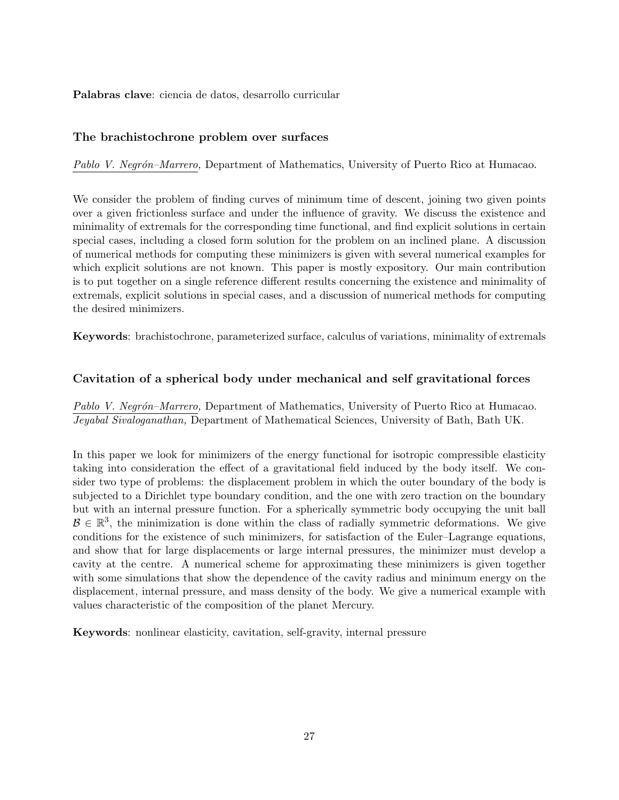**Palabras clave**: ciencia de datos, desarrollo curricular

# **The brachistochrone problem over surfaces**

*Pablo V. Negr´on–Marrero,* Department of Mathematics, University of Puerto Rico at Humacao.

We consider the problem of finding curves of minimum time of descent, joining two given points over a given frictionless surface and under the influence of gravity. We discuss the existence and minimality of extremals for the corresponding time functional, and find explicit solutions in certain special cases, including a closed form solution for the problem on an inclined plane. A discussion of numerical methods for computing these minimizers is given with several numerical examples for which explicit solutions are not known. This paper is mostly expository. Our main contribution is to put together on a single reference different results concerning the existence and minimality of extremals, explicit solutions in special cases, and a discussion of numerical methods for computing the desired minimizers.

**Keywords**: brachistochrone, parameterized surface, calculus of variations, minimality of extremals

# **Cavitation of a spherical body under mechanical and self gravitational forces**

*Pablo V. Negr´on–Marrero,* Department of Mathematics, University of Puerto Rico at Humacao. *Jeyabal Sivaloganathan,* Department of Mathematical Sciences, University of Bath, Bath UK.

In this paper we look for minimizers of the energy functional for isotropic compressible elasticity taking into consideration the effect of a gravitational field induced by the body itself. We consider two type of problems: the displacement problem in which the outer boundary of the body is subjected to a Dirichlet type boundary condition, and the one with zero traction on the boundary but with an internal pressure function. For a spherically symmetric body occupying the unit ball  $\mathcal{B} \in \mathbb{R}^3$ , the minimization is done within the class of radially symmetric deformations. We give conditions for the existence of such minimizers, for satisfaction of the Euler–Lagrange equations, and show that for large displacements or large internal pressures, the minimizer must develop a cavity at the centre. A numerical scheme for approximating these minimizers is given together with some simulations that show the dependence of the cavity radius and minimum energy on the displacement, internal pressure, and mass density of the body. We give a numerical example with values characteristic of the composition of the planet Mercury.

**Keywords**: nonlinear elasticity, cavitation, self-gravity, internal pressure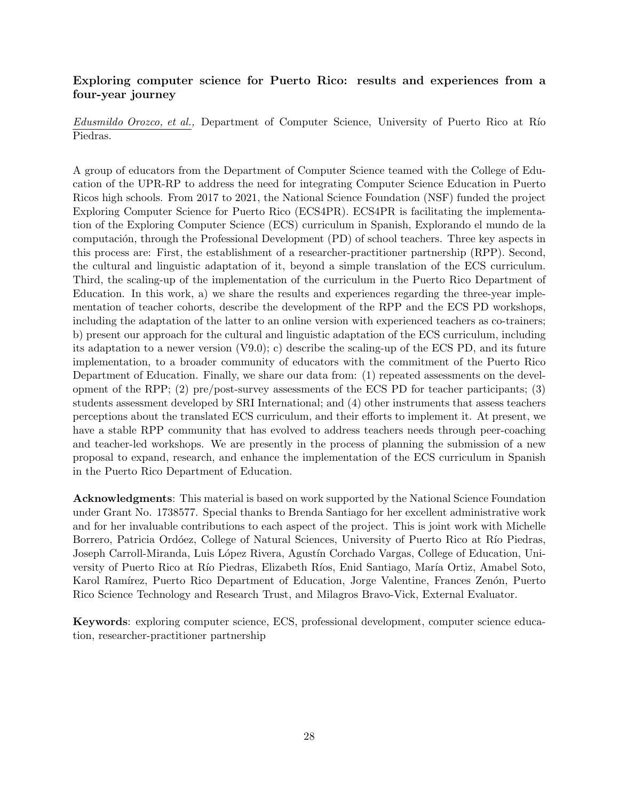# **Exploring computer science for Puerto Rico: results and experiences from a four-year journey**

*Edusmildo Orozco, et al.,* Department of Computer Science, University of Puerto Rico at Río Piedras.

A group of educators from the Department of Computer Science teamed with the College of Education of the UPR-RP to address the need for integrating Computer Science Education in Puerto Ricos high schools. From 2017 to 2021, the National Science Foundation (NSF) funded the project Exploring Computer Science for Puerto Rico (ECS4PR). ECS4PR is facilitating the implementation of the Exploring Computer Science (ECS) curriculum in Spanish, Explorando el mundo de la computación, through the Professional Development (PD) of school teachers. Three key aspects in this process are: First, the establishment of a researcher-practitioner partnership (RPP). Second, the cultural and linguistic adaptation of it, beyond a simple translation of the ECS curriculum. Third, the scaling-up of the implementation of the curriculum in the Puerto Rico Department of Education. In this work, a) we share the results and experiences regarding the three-year implementation of teacher cohorts, describe the development of the RPP and the ECS PD workshops, including the adaptation of the latter to an online version with experienced teachers as co-trainers; b) present our approach for the cultural and linguistic adaptation of the ECS curriculum, including its adaptation to a newer version (V9.0); c) describe the scaling-up of the ECS PD, and its future implementation, to a broader community of educators with the commitment of the Puerto Rico Department of Education. Finally, we share our data from: (1) repeated assessments on the development of the RPP; (2) pre/post-survey assessments of the ECS PD for teacher participants; (3) students assessment developed by SRI International; and (4) other instruments that assess teachers perceptions about the translated ECS curriculum, and their efforts to implement it. At present, we have a stable RPP community that has evolved to address teachers needs through peer-coaching and teacher-led workshops. We are presently in the process of planning the submission of a new proposal to expand, research, and enhance the implementation of the ECS curriculum in Spanish in the Puerto Rico Department of Education.

**Acknowledgments**: This material is based on work supported by the National Science Foundation under Grant No. 1738577. Special thanks to Brenda Santiago for her excellent administrative work and for her invaluable contributions to each aspect of the project. This is joint work with Michelle Borrero, Patricia Ordóez, College of Natural Sciences, University of Puerto Rico at Río Piedras, Joseph Carroll-Miranda, Luis López Rivera, Agustín Corchado Vargas, College of Education, University of Puerto Rico at Río Piedras, Elizabeth Ríos, Enid Santiago, María Ortiz, Amabel Soto, Karol Ramírez, Puerto Rico Department of Education, Jorge Valentine, Frances Zenón, Puerto Rico Science Technology and Research Trust, and Milagros Bravo-Vick, External Evaluator.

**Keywords**: exploring computer science, ECS, professional development, computer science education, researcher-practitioner partnership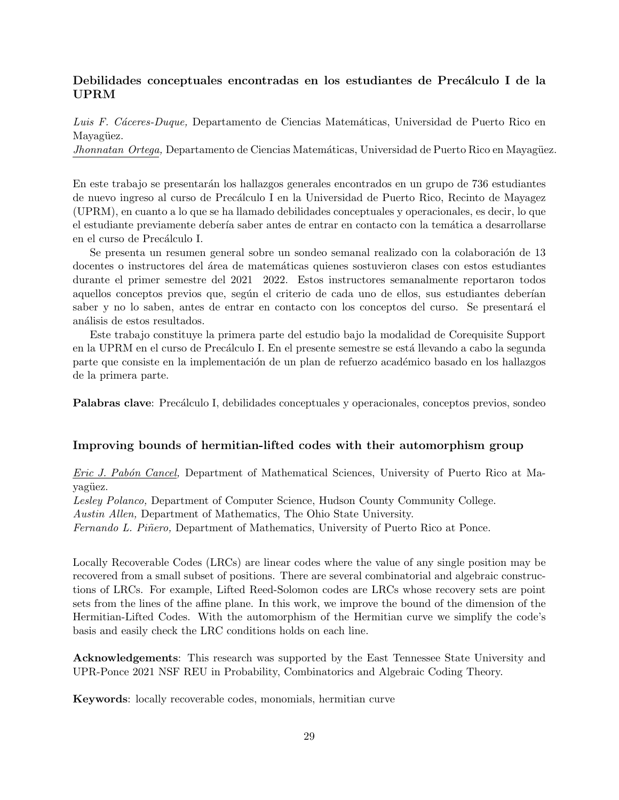# **Debilidades conceptuales encontradas en los estudiantes de Precálculo I de la UPRM**

Luis F. Cáceres-Duque, Departamento de Ciencias Matemáticas, Universidad de Puerto Rico en Mayagüez.

*Jhonnatan Ortega,* Departamento de Ciencias Matemáticas, Universidad de Puerto Rico en Mayagüez.

En este trabajo se presentar´an los hallazgos generales encontrados en un grupo de 736 estudiantes de nuevo ingreso al curso de Precálculo I en la Universidad de Puerto Rico, Recinto de Mayagez (UPRM), en cuanto a lo que se ha llamado debilidades conceptuales y operacionales, es decir, lo que el estudiante previamente debería saber antes de entrar en contacto con la temática a desarrollarse en el curso de Precálculo I.

Se presenta un resumen general sobre un sondeo semanal realizado con la colaboración de 13 docentes o instructores del área de matemáticas quienes sostuvieron clases con estos estudiantes durante el primer semestre del 2021 2022. Estos instructores semanalmente reportaron todos aquellos conceptos previos que, según el criterio de cada uno de ellos, sus estudiantes deberían saber y no lo saben, antes de entrar en contacto con los conceptos del curso. Se presentará el análisis de estos resultados.

Este trabajo constituye la primera parte del estudio bajo la modalidad de Corequisite Support en la UPRM en el curso de Precálculo I. En el presente semestre se está llevando a cabo la segunda parte que consiste en la implementación de un plan de refuerzo académico basado en los hallazgos de la primera parte.

**Palabras clave**: Precálculo I, debilidades conceptuales y operacionales, conceptos previos, sondeo

#### **Improving bounds of hermitian-lifted codes with their automorphism group**

*Eric J. Pab´on Cancel,* Department of Mathematical Sciences, University of Puerto Rico at Mavagüez.

*Lesley Polanco,* Department of Computer Science, Hudson County Community College.

*Austin Allen,* Department of Mathematics, The Ohio State University.

*Fernando L. Pi˜nero,* Department of Mathematics, University of Puerto Rico at Ponce.

Locally Recoverable Codes (LRCs) are linear codes where the value of any single position may be recovered from a small subset of positions. There are several combinatorial and algebraic constructions of LRCs. For example, Lifted Reed-Solomon codes are LRCs whose recovery sets are point sets from the lines of the affine plane. In this work, we improve the bound of the dimension of the Hermitian-Lifted Codes. With the automorphism of the Hermitian curve we simplify the code's basis and easily check the LRC conditions holds on each line.

**Acknowledgements**: This research was supported by the East Tennessee State University and UPR-Ponce 2021 NSF REU in Probability, Combinatorics and Algebraic Coding Theory.

**Keywords**: locally recoverable codes, monomials, hermitian curve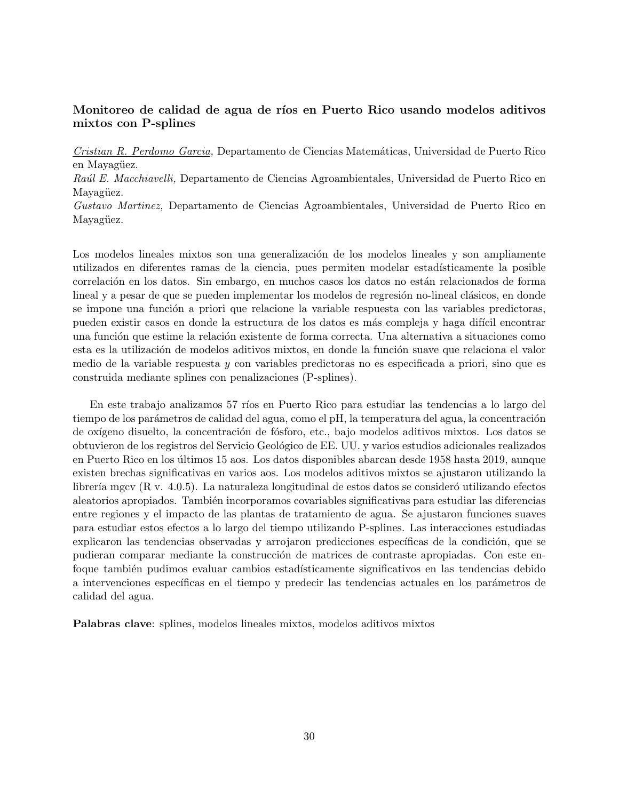# **Monitoreo de calidad de agua de r´ıos en Puerto Rico usando modelos aditivos mixtos con P-splines**

*Cristian R. Perdomo Garcia,* Departamento de Ciencias Matem´aticas, Universidad de Puerto Rico en Mayagüez.

*Ra´ul E. Macchiavelli,* Departamento de Ciencias Agroambientales, Universidad de Puerto Rico en Mayagüez.

*Gustavo Martinez,* Departamento de Ciencias Agroambientales, Universidad de Puerto Rico en Mayagüez.

Los modelos lineales mixtos son una generalización de los modelos lineales y son ampliamente utilizados en diferentes ramas de la ciencia, pues permiten modelar estadísticamente la posible correlación en los datos. Sin embargo, en muchos casos los datos no están relacionados de forma lineal y a pesar de que se pueden implementar los modelos de regresión no-lineal clásicos, en donde se impone una función a priori que relacione la variable respuesta con las variables predictoras, pueden existir casos en donde la estructura de los datos es más compleja y haga difícil encontrar una función que estime la relación existente de forma correcta. Una alternativa a situaciones como esta es la utilización de modelos aditivos mixtos, en donde la función suave que relaciona el valor medio de la variable respuesta *y* con variables predictoras no es especificada a priori, sino que es construida mediante splines con penalizaciones (P-splines).

En este trabajo analizamos 57 ríos en Puerto Rico para estudiar las tendencias a lo largo del tiempo de los parámetros de calidad del agua, como el pH, la temperatura del agua, la concentración de oxígeno disuelto, la concentración de fósforo, etc., bajo modelos aditivos mixtos. Los datos se obtuvieron de los registros del Servicio Geol´ogico de EE. UU. y varios estudios adicionales realizados en Puerto Rico en los últimos 15 aos. Los datos disponibles abarcan desde 1958 hasta 2019, aunque existen brechas significativas en varios aos. Los modelos aditivos mixtos se ajustaron utilizando la librería mgcv  $(R \text{ v. } 4.0.5)$ . La naturaleza longitudinal de estos datos se consideró utilizando efectos aleatorios apropiados. También incorporamos covariables significativas para estudiar las diferencias entre regiones y el impacto de las plantas de tratamiento de agua. Se ajustaron funciones suaves para estudiar estos efectos a lo largo del tiempo utilizando P-splines. Las interacciones estudiadas explicaron las tendencias observadas y arrojaron predicciones específicas de la condición, que se pudieran comparar mediante la construcción de matrices de contraste apropiadas. Con este enfoque también pudimos evaluar cambios estadísticamente significativos en las tendencias debido a intervenciones específicas en el tiempo y predecir las tendencias actuales en los parámetros de calidad del agua.

**Palabras clave**: splines, modelos lineales mixtos, modelos aditivos mixtos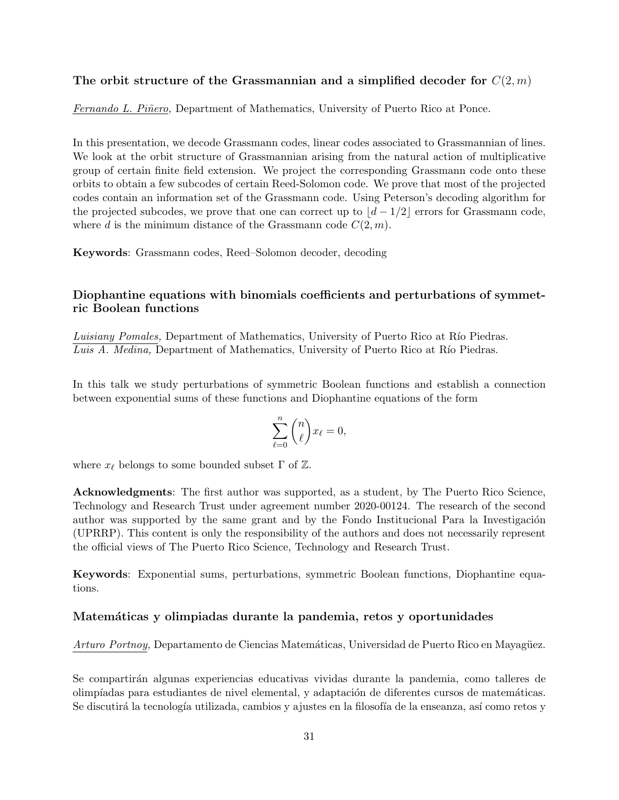# **The orbit structure of the Grassmannian and a simplified decoder for** *C*(2*, m*)

*Fernando L. Piñero,* Department of Mathematics, University of Puerto Rico at Ponce.

In this presentation, we decode Grassmann codes, linear codes associated to Grassmannian of lines. We look at the orbit structure of Grassmannian arising from the natural action of multiplicative group of certain finite field extension. We project the corresponding Grassmann code onto these orbits to obtain a few subcodes of certain Reed-Solomon code. We prove that most of the projected codes contain an information set of the Grassmann code. Using Peterson's decoding algorithm for the projected subcodes, we prove that one can correct up to  $d-1/2$  errors for Grassmann code, where *d* is the minimum distance of the Grassmann code  $C(2, m)$ .

**Keywords**: Grassmann codes, Reed–Solomon decoder, decoding

# **Diophantine equations with binomials coefficients and perturbations of symmetric Boolean functions**

Luisiany Pomales, Department of Mathematics, University of Puerto Rico at Río Piedras. *Luis A. Medina, Department of Mathematics, University of Puerto Rico at Río Piedras.* 

In this talk we study perturbations of symmetric Boolean functions and establish a connection between exponential sums of these functions and Diophantine equations of the form

$$
\sum_{\ell=0}^n \binom{n}{\ell} x_\ell = 0,
$$

where  $x_{\ell}$  belongs to some bounded subset  $\Gamma$  of  $\mathbb{Z}$ .

**Acknowledgments**: The first author was supported, as a student, by The Puerto Rico Science, Technology and Research Trust under agreement number 2020-00124. The research of the second author was supported by the same grant and by the Fondo Institucional Para la Investigación (UPRRP). This content is only the responsibility of the authors and does not necessarily represent the official views of The Puerto Rico Science, Technology and Research Trust.

**Keywords**: Exponential sums, perturbations, symmetric Boolean functions, Diophantine equations.

# **Matem´aticas y olimpiadas durante la pandemia, retos y oportunidades**

*Arturo Portnoy,* Departamento de Ciencias Matemáticas, Universidad de Puerto Rico en Mayagüez.

Se compartirán algunas experiencias educativas vividas durante la pandemia, como talleres de olimpíadas para estudiantes de nivel elemental, y adaptación de diferentes cursos de matemáticas. Se discutirá la tecnología utilizada, cambios y ajustes en la filosofía de la enseanza, así como retos y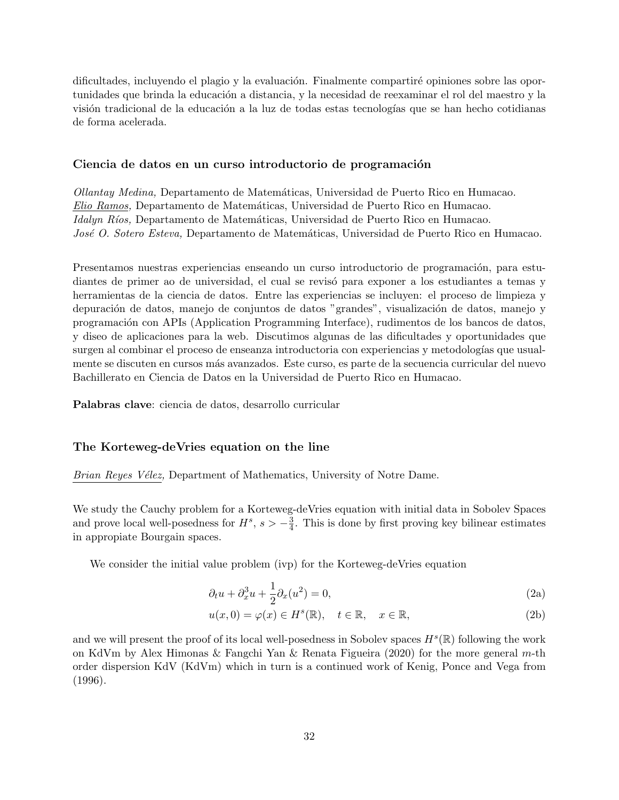dificultades, incluyendo el plagio y la evaluación. Finalmente compartiré opiniones sobre las oportunidades que brinda la educación a distancia, y la necesidad de reexaminar el rol del maestro y la visión tradicional de la educación a la luz de todas estas tecnologías que se han hecho cotidianas de forma acelerada.

#### Ciencia de datos en un curso introductorio de programación

*Ollantay Medina,* Departamento de Matem´aticas, Universidad de Puerto Rico en Humacao. *Elio Ramos,* Departamento de Matem´aticas, Universidad de Puerto Rico en Humacao. *Idalyn Ríos,* Departamento de Matemáticas, Universidad de Puerto Rico en Humacao. *José O. Sotero Esteva,* Departamento de Matemáticas, Universidad de Puerto Rico en Humacao.

Presentamos nuestras experiencias enseando un curso introductorio de programación, para estudiantes de primer ao de universidad, el cual se revisó para exponer a los estudiantes a temas y herramientas de la ciencia de datos. Entre las experiencias se incluyen: el proceso de limpieza y depuración de datos, manejo de conjuntos de datos "grandes", visualización de datos, manejo y programación con APIs (Application Programming Interface), rudimentos de los bancos de datos, y diseo de aplicaciones para la web. Discutimos algunas de las dificultades y oportunidades que surgen al combinar el proceso de enseanza introductoria con experiencias y metodologías que usualmente se discuten en cursos m´as avanzados. Este curso, es parte de la secuencia curricular del nuevo Bachillerato en Ciencia de Datos en la Universidad de Puerto Rico en Humacao.

**Palabras clave**: ciencia de datos, desarrollo curricular

#### **The Korteweg-deVries equation on the line**

*Brian Reyes Vélez, Department of Mathematics, University of Notre Dame.* 

We study the Cauchy problem for a Korteweg-deVries equation with initial data in Sobolev Spaces and prove local well-posedness for  $H^s$ ,  $s > -\frac{3}{4}$  $\frac{3}{4}$ . This is done by first proving key bilinear estimates in appropiate Bourgain spaces.

We consider the initial value problem (ivp) for the Korteweg-deVries equation

$$
\partial_t u + \partial_x^3 u + \frac{1}{2} \partial_x (u^2) = 0,\tag{2a}
$$

$$
u(x,0) = \varphi(x) \in H^s(\mathbb{R}), \quad t \in \mathbb{R}, \quad x \in \mathbb{R}, \tag{2b}
$$

and we will present the proof of its local well-posedness in Sobolev spaces  $H^s(\mathbb{R})$  following the work on KdVm by Alex Himonas & Fangchi Yan & Renata Figueira (2020) for the more general *m*-th order dispersion KdV (KdVm) which in turn is a continued work of Kenig, Ponce and Vega from (1996).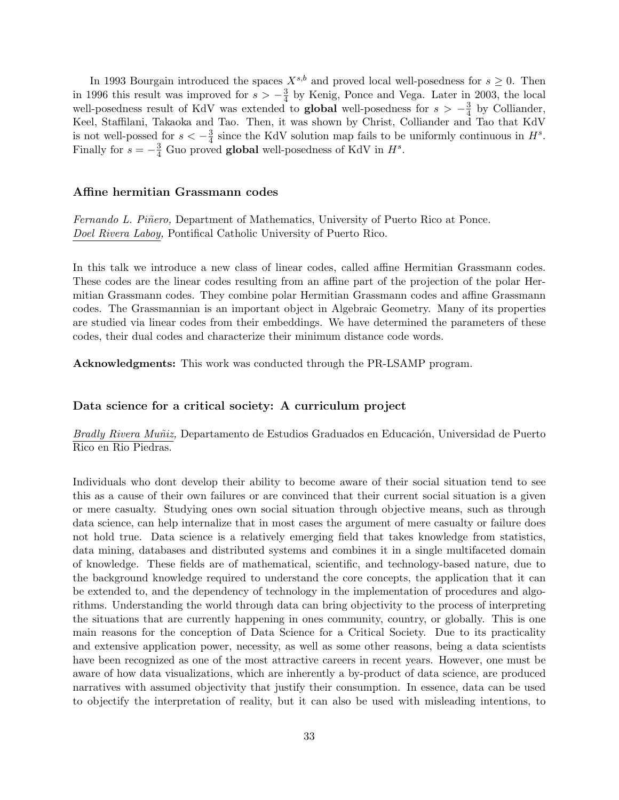In 1993 Bourgain introduced the spaces  $X^{s,b}$  and proved local well-posedness for  $s \geq 0$ . Then in 1996 this result was improved for  $s > -\frac{3}{4}$  $\frac{3}{4}$  by Kenig, Ponce and Vega. Later in 2003, the local well-posedness result of KdV was extended to **global** well-posedness for  $s > -\frac{3}{4}$  $\frac{3}{4}$  by Colliander, Keel, Staffilani, Takaoka and Tao. Then, it was shown by Christ, Colliander and Tao that KdV is not well-possed for  $s < -\frac{3}{4}$  $\frac{3}{4}$  since the KdV solution map fails to be uniformly continuous in  $H^s$ . Finally for  $s = -\frac{3}{4}$  Guo proved **global** well-posedness of KdV in  $H^s$ .

#### **Affine hermitian Grassmann codes**

*Fernando L. Piñero,* Department of Mathematics, University of Puerto Rico at Ponce. *Doel Rivera Laboy,* Pontifical Catholic University of Puerto Rico.

In this talk we introduce a new class of linear codes, called affine Hermitian Grassmann codes. These codes are the linear codes resulting from an affine part of the projection of the polar Hermitian Grassmann codes. They combine polar Hermitian Grassmann codes and affine Grassmann codes. The Grassmannian is an important object in Algebraic Geometry. Many of its properties are studied via linear codes from their embeddings. We have determined the parameters of these codes, their dual codes and characterize their minimum distance code words.

**Acknowledgments:** This work was conducted through the PR-LSAMP program.

#### **Data science for a critical society: A curriculum project**

*Bradly Rivera Muñiz*, Departamento de Estudios Graduados en Educación, Universidad de Puerto Rico en Rio Piedras.

Individuals who dont develop their ability to become aware of their social situation tend to see this as a cause of their own failures or are convinced that their current social situation is a given or mere casualty. Studying ones own social situation through objective means, such as through data science, can help internalize that in most cases the argument of mere casualty or failure does not hold true. Data science is a relatively emerging field that takes knowledge from statistics, data mining, databases and distributed systems and combines it in a single multifaceted domain of knowledge. These fields are of mathematical, scientific, and technology-based nature, due to the background knowledge required to understand the core concepts, the application that it can be extended to, and the dependency of technology in the implementation of procedures and algorithms. Understanding the world through data can bring objectivity to the process of interpreting the situations that are currently happening in ones community, country, or globally. This is one main reasons for the conception of Data Science for a Critical Society. Due to its practicality and extensive application power, necessity, as well as some other reasons, being a data scientists have been recognized as one of the most attractive careers in recent years. However, one must be aware of how data visualizations, which are inherently a by-product of data science, are produced narratives with assumed objectivity that justify their consumption. In essence, data can be used to objectify the interpretation of reality, but it can also be used with misleading intentions, to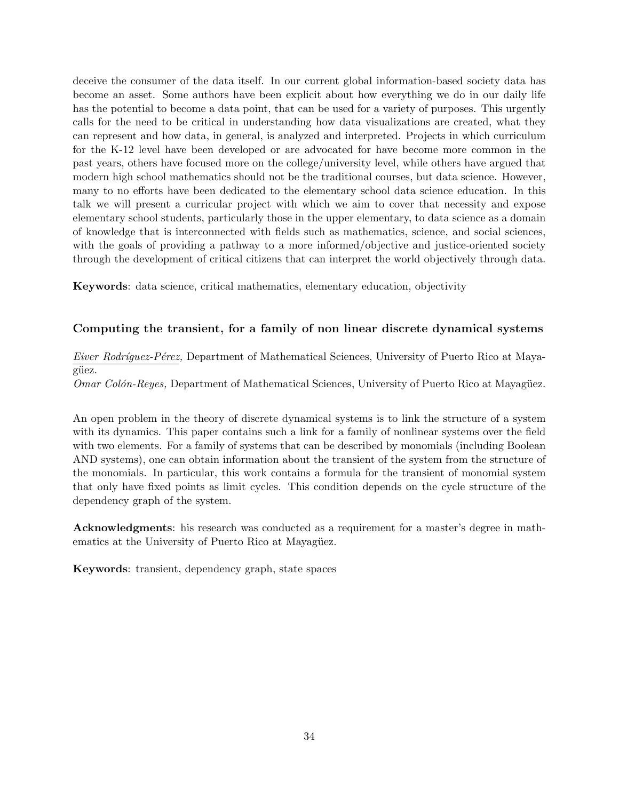deceive the consumer of the data itself. In our current global information-based society data has become an asset. Some authors have been explicit about how everything we do in our daily life has the potential to become a data point, that can be used for a variety of purposes. This urgently calls for the need to be critical in understanding how data visualizations are created, what they can represent and how data, in general, is analyzed and interpreted. Projects in which curriculum for the K-12 level have been developed or are advocated for have become more common in the past years, others have focused more on the college/university level, while others have argued that modern high school mathematics should not be the traditional courses, but data science. However, many to no efforts have been dedicated to the elementary school data science education. In this talk we will present a curricular project with which we aim to cover that necessity and expose elementary school students, particularly those in the upper elementary, to data science as a domain of knowledge that is interconnected with fields such as mathematics, science, and social sciences, with the goals of providing a pathway to a more informed/objective and justice-oriented society through the development of critical citizens that can interpret the world objectively through data.

**Keywords**: data science, critical mathematics, elementary education, objectivity

# **Computing the transient, for a family of non linear discrete dynamical systems**

*Eiver Rodríquez-Pérez,* Department of Mathematical Sciences, University of Puerto Rico at Mayagüez.

*Omar Colón-Reyes,* Department of Mathematical Sciences, University of Puerto Rico at Mayagüez.

An open problem in the theory of discrete dynamical systems is to link the structure of a system with its dynamics. This paper contains such a link for a family of nonlinear systems over the field with two elements. For a family of systems that can be described by monomials (including Boolean AND systems), one can obtain information about the transient of the system from the structure of the monomials. In particular, this work contains a formula for the transient of monomial system that only have fixed points as limit cycles. This condition depends on the cycle structure of the dependency graph of the system.

**Acknowledgments**: his research was conducted as a requirement for a master's degree in mathematics at the University of Puerto Rico at Mayagüez.

**Keywords**: transient, dependency graph, state spaces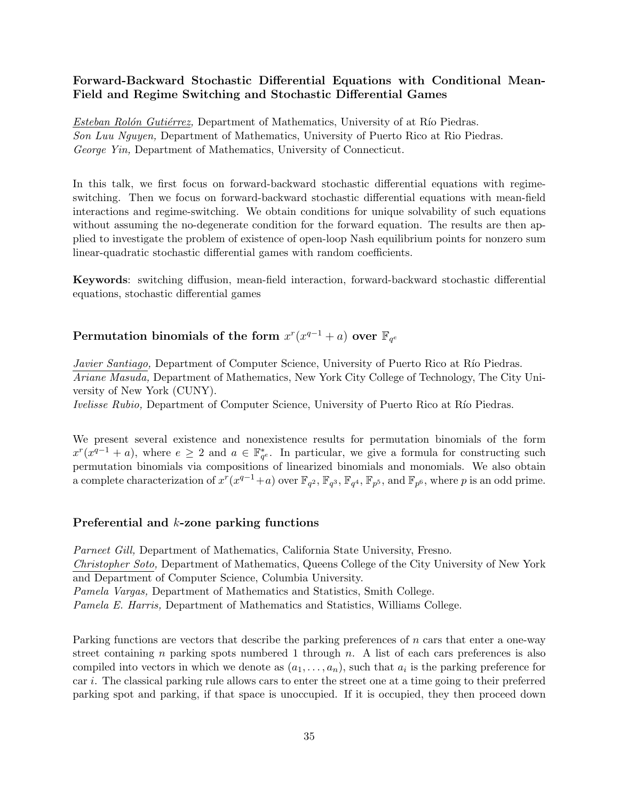# **Forward-Backward Stochastic Differential Equations with Conditional Mean-Field and Regime Switching and Stochastic Differential Games**

*Esteban Rolón Gutiérrez*, Department of Mathematics, University of at Río Piedras. *Son Luu Nguyen,* Department of Mathematics, University of Puerto Rico at Rio Piedras. *George Yin,* Department of Mathematics, University of Connecticut.

In this talk, we first focus on forward-backward stochastic differential equations with regimeswitching. Then we focus on forward-backward stochastic differential equations with mean-field interactions and regime-switching. We obtain conditions for unique solvability of such equations without assuming the no-degenerate condition for the forward equation. The results are then applied to investigate the problem of existence of open-loop Nash equilibrium points for nonzero sum linear-quadratic stochastic differential games with random coefficients.

**Keywords**: switching diffusion, mean-field interaction, forward-backward stochastic differential equations, stochastic differential games

# $\textbf{Permutation binomials of the form}\ x^{r}(x^{q-1}+a)\ \textbf{over}\ \mathbb{F}_{q^e}$

*Javier Santiago,* Department of Computer Science, University of Puerto Rico at Río Piedras. *Ariane Masuda,* Department of Mathematics, New York City College of Technology, The City University of New York (CUNY).

*Ivelisse Rubio,* Department of Computer Science, University of Puerto Rico at Río Piedras.

We present several existence and nonexistence results for permutation binomials of the form  $x^r(x^{q-1} + a)$ , where  $e \geq 2$  and  $a \in \mathbb{F}_{q^e}^*$ . In particular, we give a formula for constructing such permutation binomials via compositions of linearized binomials and monomials. We also obtain a complete characterization of  $x^r(x^{q-1}+a)$  over  $\mathbb{F}_{q^2}$ ,  $\mathbb{F}_{q^3}$ ,  $\mathbb{F}_{q^4}$ ,  $\mathbb{F}_{p^5}$ , and  $\mathbb{F}_{p^6}$ , where *p* is an odd prime.

#### **Preferential and** *k***-zone parking functions**

*Parneet Gill,* Department of Mathematics, California State University, Fresno. *Christopher Soto,* Department of Mathematics, Queens College of the City University of New York and Department of Computer Science, Columbia University.

*Pamela Vargas,* Department of Mathematics and Statistics, Smith College.

*Pamela E. Harris,* Department of Mathematics and Statistics, Williams College.

Parking functions are vectors that describe the parking preferences of *n* cars that enter a one-way street containing *n* parking spots numbered 1 through *n*. A list of each cars preferences is also compiled into vectors in which we denote as  $(a_1, \ldots, a_n)$ , such that  $a_i$  is the parking preference for car *i*. The classical parking rule allows cars to enter the street one at a time going to their preferred parking spot and parking, if that space is unoccupied. If it is occupied, they then proceed down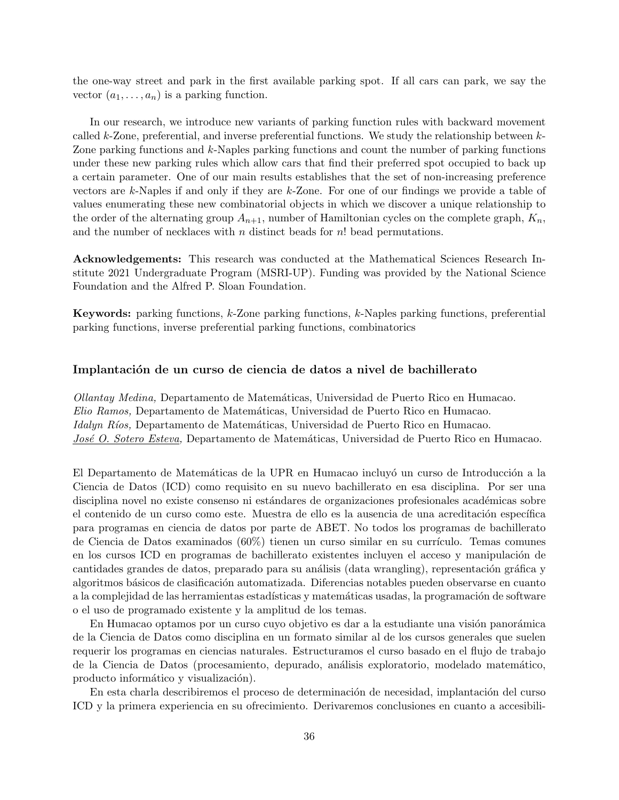the one-way street and park in the first available parking spot. If all cars can park, we say the vector  $(a_1, \ldots, a_n)$  is a parking function.

In our research, we introduce new variants of parking function rules with backward movement called *k*-Zone, preferential, and inverse preferential functions. We study the relationship between *k*-Zone parking functions and *k*-Naples parking functions and count the number of parking functions under these new parking rules which allow cars that find their preferred spot occupied to back up a certain parameter. One of our main results establishes that the set of non-increasing preference vectors are *k*-Naples if and only if they are *k*-Zone. For one of our findings we provide a table of values enumerating these new combinatorial objects in which we discover a unique relationship to the order of the alternating group  $A_{n+1}$ , number of Hamiltonian cycles on the complete graph,  $K_n$ , and the number of necklaces with *n* distinct beads for *n*! bead permutations.

**Acknowledgements:** This research was conducted at the Mathematical Sciences Research Institute 2021 Undergraduate Program (MSRI-UP). Funding was provided by the National Science Foundation and the Alfred P. Sloan Foundation.

**Keywords:** parking functions, *k*-Zone parking functions, *k*-Naples parking functions, preferential parking functions, inverse preferential parking functions, combinatorics

#### Implantación de un curso de ciencia de datos a nivel de bachillerato

*Ollantay Medina,* Departamento de Matem´aticas, Universidad de Puerto Rico en Humacao. *Elio Ramos,* Departamento de Matem´aticas, Universidad de Puerto Rico en Humacao. *Idalyn Ríos,* Departamento de Matemáticas, Universidad de Puerto Rico en Humacao. *José O. Sotero Esteva*, Departamento de Matemáticas, Universidad de Puerto Rico en Humacao.

El Departamento de Matemáticas de la UPR en Humacao incluyó un curso de Introducción a la Ciencia de Datos (ICD) como requisito en su nuevo bachillerato en esa disciplina. Por ser una disciplina novel no existe consenso ni estándares de organizaciones profesionales académicas sobre el contenido de un curso como este. Muestra de ello es la ausencia de una acreditación específica para programas en ciencia de datos por parte de ABET. No todos los programas de bachillerato de Ciencia de Datos examinados  $(60\%)$  tienen un curso similar en su currículo. Temas comunes en los cursos ICD en programas de bachillerato existentes incluyen el acceso y manipulación de cantidades grandes de datos, preparado para su análisis (data wrangling), representación gráfica y algoritmos básicos de clasificación automatizada. Diferencias notables pueden observarse en cuanto a la complejidad de las herramientas estadísticas y matemáticas usadas, la programación de software o el uso de programado existente y la amplitud de los temas.

En Humacao optamos por un curso cuyo objetivo es dar a la estudiante una visión panorámica de la Ciencia de Datos como disciplina en un formato similar al de los cursos generales que suelen requerir los programas en ciencias naturales. Estructuramos el curso basado en el flujo de trabajo de la Ciencia de Datos (procesamiento, depurado, an´alisis exploratorio, modelado matem´atico, producto informático y visualización).

En esta charla describiremos el proceso de determinación de necesidad, implantación del curso ICD y la primera experiencia en su ofrecimiento. Derivaremos conclusiones en cuanto a accesibili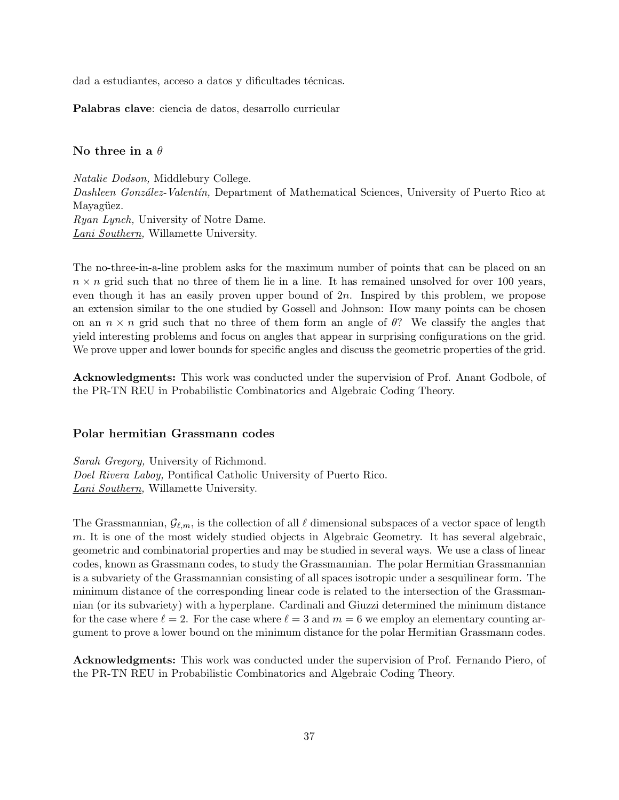dad a estudiantes, acceso a datos y dificultades técnicas.

**Palabras clave**: ciencia de datos, desarrollo curricular

## **No three in a** *θ*

*Natalie Dodson,* Middlebury College. *Dashleen Gonz´alez-Valent´ın,* Department of Mathematical Sciences, University of Puerto Rico at Mayagüez. *Ryan Lynch,* University of Notre Dame. *Lani Southern,* Willamette University.

The no-three-in-a-line problem asks for the maximum number of points that can be placed on an  $n \times n$  grid such that no three of them lie in a line. It has remained unsolved for over 100 years, even though it has an easily proven upper bound of 2*n*. Inspired by this problem, we propose an extension similar to the one studied by Gossell and Johnson: How many points can be chosen on an  $n \times n$  grid such that no three of them form an angle of  $\theta$ ? We classify the angles that yield interesting problems and focus on angles that appear in surprising configurations on the grid. We prove upper and lower bounds for specific angles and discuss the geometric properties of the grid.

**Acknowledgments:** This work was conducted under the supervision of Prof. Anant Godbole, of the PR-TN REU in Probabilistic Combinatorics and Algebraic Coding Theory.

#### **Polar hermitian Grassmann codes**

*Sarah Gregory,* University of Richmond. *Doel Rivera Laboy,* Pontifical Catholic University of Puerto Rico. *Lani Southern,* Willamette University.

The Grassmannian,  $\mathcal{G}_{\ell,m}$ , is the collection of all  $\ell$  dimensional subspaces of a vector space of length *m.* It is one of the most widely studied objects in Algebraic Geometry. It has several algebraic, geometric and combinatorial properties and may be studied in several ways. We use a class of linear codes, known as Grassmann codes, to study the Grassmannian. The polar Hermitian Grassmannian is a subvariety of the Grassmannian consisting of all spaces isotropic under a sesquilinear form. The minimum distance of the corresponding linear code is related to the intersection of the Grassmannian (or its subvariety) with a hyperplane. Cardinali and Giuzzi determined the minimum distance for the case where  $\ell = 2$ . For the case where  $\ell = 3$  and  $m = 6$  we employ an elementary counting argument to prove a lower bound on the minimum distance for the polar Hermitian Grassmann codes.

**Acknowledgments:** This work was conducted under the supervision of Prof. Fernando Piero, of the PR-TN REU in Probabilistic Combinatorics and Algebraic Coding Theory.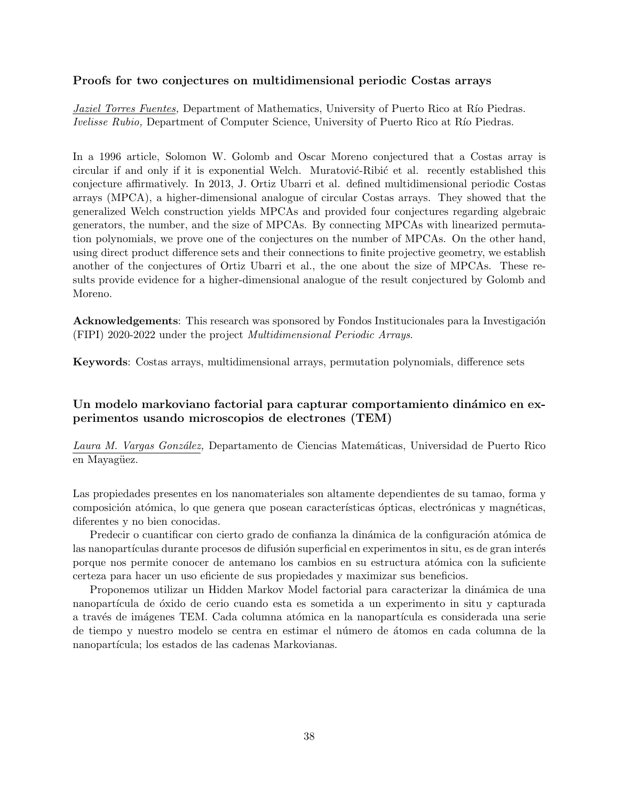#### **Proofs for two conjectures on multidimensional periodic Costas arrays**

*Jaziel Torres Fuentes,* Department of Mathematics, University of Puerto Rico at Río Piedras. *Ivelisse Rubio,* Department of Computer Science, University of Puerto Rico at Río Piedras.

In a 1996 article, Solomon W. Golomb and Oscar Moreno conjectured that a Costas array is circular if and only if it is exponential Welch. Muratović-Ribić et al. recently established this conjecture affirmatively. In 2013, J. Ortiz Ubarri et al. defined multidimensional periodic Costas arrays (MPCA), a higher-dimensional analogue of circular Costas arrays. They showed that the generalized Welch construction yields MPCAs and provided four conjectures regarding algebraic generators, the number, and the size of MPCAs. By connecting MPCAs with linearized permutation polynomials, we prove one of the conjectures on the number of MPCAs. On the other hand, using direct product difference sets and their connections to finite projective geometry, we establish another of the conjectures of Ortiz Ubarri et al., the one about the size of MPCAs. These results provide evidence for a higher-dimensional analogue of the result conjectured by Golomb and Moreno.

**Acknowledgements**: This research was sponsored by Fondos Institucionales para la Investigación (FIPI) 2020-2022 under the project *Multidimensional Periodic Arrays*.

**Keywords**: Costas arrays, multidimensional arrays, permutation polynomials, difference sets

# Un modelo markoviano factorial para capturar comportamiento dinámico en ex**perimentos usando microscopios de electrones (TEM)**

*Laura M. Vargas Gonz´alez,* Departamento de Ciencias Matem´aticas, Universidad de Puerto Rico en Mayagüez.

Las propiedades presentes en los nanomateriales son altamente dependientes de su tamao, forma y composición atómica, lo que genera que posean características ópticas, electrónicas y magnéticas, diferentes y no bien conocidas.

Predecir o cuantificar con cierto grado de confianza la dinámica de la configuración atómica de las nanopartículas durante procesos de difusión superficial en experimentos in situ, es de gran interés porque nos permite conocer de antemano los cambios en su estructura at´omica con la suficiente certeza para hacer un uso eficiente de sus propiedades y maximizar sus beneficios.

Proponemos utilizar un Hidden Markov Model factorial para caracterizar la dinámica de una nanopartícula de óxido de cerio cuando esta es sometida a un experimento in situ y capturada a través de imágenes TEM. Cada columna atómica en la nanopartícula es considerada una serie de tiempo y nuestro modelo se centra en estimar el n´umero de ´atomos en cada columna de la nanopartícula; los estados de las cadenas Markovianas.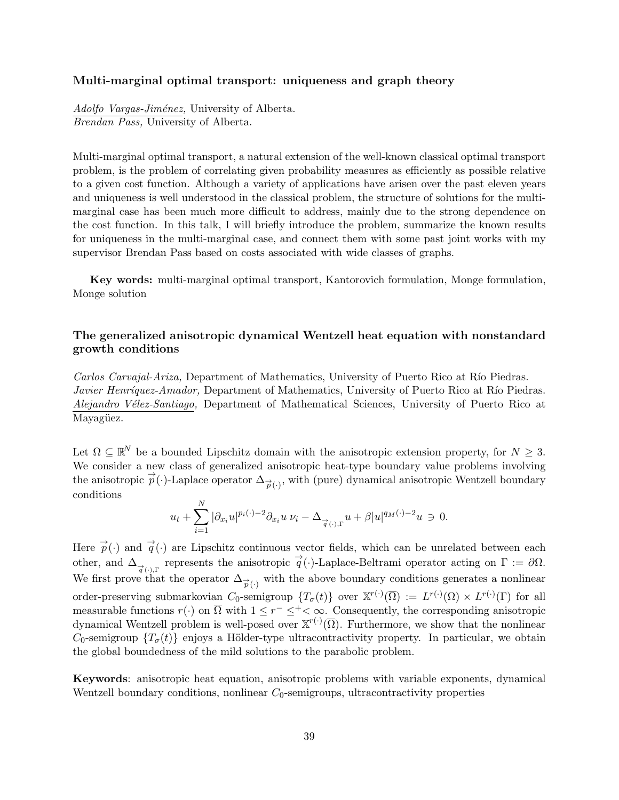### **Multi-marginal optimal transport: uniqueness and graph theory**

*Adolfo Vargas-Jim´enez,* University of Alberta. *Brendan Pass,* University of Alberta.

Multi-marginal optimal transport, a natural extension of the well-known classical optimal transport problem, is the problem of correlating given probability measures as efficiently as possible relative to a given cost function. Although a variety of applications have arisen over the past eleven years and uniqueness is well understood in the classical problem, the structure of solutions for the multimarginal case has been much more difficult to address, mainly due to the strong dependence on the cost function. In this talk, I will briefly introduce the problem, summarize the known results for uniqueness in the multi-marginal case, and connect them with some past joint works with my supervisor Brendan Pass based on costs associated with wide classes of graphs.

**Key words:** multi-marginal optimal transport, Kantorovich formulation, Monge formulation, Monge solution

# **The generalized anisotropic dynamical Wentzell heat equation with nonstandard growth conditions**

*Carlos Carvajal-Ariza*, Department of Mathematics, University of Puerto Rico at Río Piedras. *Javier Henríquez-Amador*, Department of Mathematics, University of Puerto Rico at Río Piedras. *Alejandro V´elez-Santiago,* Department of Mathematical Sciences, University of Puerto Rico at Mayagüez.

Let  $\Omega \subseteq \mathbb{R}^N$  be a bounded Lipschitz domain with the anisotropic extension property, for  $N \geq 3$ . We consider a new class of generalized anisotropic heat-type boundary value problems involving the anisotropic  $\vec{p}(\cdot)$ -Laplace operator  $\Delta_{\vec{p}(\cdot)}$ , with (pure) dynamical anisotropic Wentzell boundary conditions

$$
u_t + \sum_{i=1}^N |\partial_{x_i} u|^{p_i(\cdot)-2} \partial_{x_i} u \nu_i - \Delta_{\overrightarrow{q}(\cdot),\Gamma} u + \beta |u|^{q_M(\cdot)-2} u \ni 0.
$$

Here  $\vec{p}(\cdot)$  and  $\vec{q}(\cdot)$  are Lipschitz continuous vector fields, which can be unrelated between each other, and  $\Delta_{\overrightarrow{q}(\cdot)}$  represents the anisotropic  $\overrightarrow{q}(\cdot)$ -Laplace-Beltrami operator acting on  $\Gamma := \partial\Omega$ . We first prove that the operator  $\Delta_{\overrightarrow{p}(\cdot)}$  with the above boundary conditions generates a nonlinear order-preserving submarkovian  $C_0$ -semigroup  $\{T_\sigma(t)\}$  over  $\mathbb{X}^{r(\cdot)}(\overline{\Omega}) := L^{r(\cdot)}(\Omega) \times L^{r(\cdot)}(\Gamma)$  for all measurable functions  $r(\cdot)$  on  $\overline{\Omega}$  with  $1 \leq r^- \leq^+ < \infty$ . Consequently, the corresponding anisotropic dynamical Wentzell problem is well-posed over  $\mathbb{X}^{r(\cdot)}(\overline{\Omega})$ . Furthermore, we show that the nonlinear *C*<sub>0</sub>-semigroup  $\{T_{\sigma}(t)\}\$ enjoys a Hölder-type ultracontractivity property. In particular, we obtain the global boundedness of the mild solutions to the parabolic problem.

**Keywords**: anisotropic heat equation, anisotropic problems with variable exponents, dynamical Wentzell boundary conditions, nonlinear *C*<sub>0</sub>-semigroups, ultracontractivity properties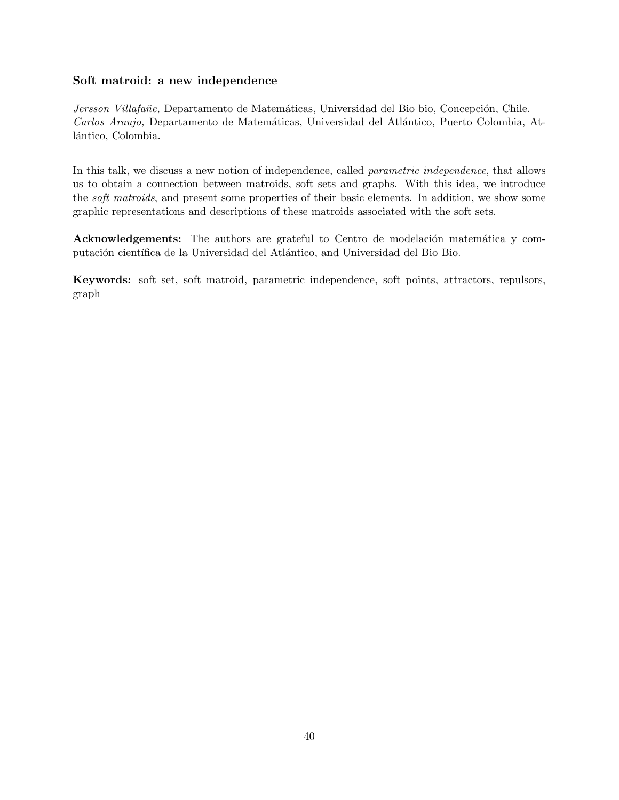# **Soft matroid: a new independence**

*Jersson Villafañe*, Departamento de Matemáticas, Universidad del Bio bio, Concepción, Chile. *Carlos Araujo,* Departamento de Matem´aticas, Universidad del Atl´antico, Puerto Colombia, Atlántico, Colombia.

In this talk, we discuss a new notion of independence, called *parametric independence*, that allows us to obtain a connection between matroids, soft sets and graphs. With this idea, we introduce the *soft matroids*, and present some properties of their basic elements. In addition, we show some graphic representations and descriptions of these matroids associated with the soft sets.

**Acknowledgements:** The authors are grateful to Centro de modelación matemática y computación científica de la Universidad del Atlántico, and Universidad del Bio Bio.

**Keywords:** soft set, soft matroid, parametric independence, soft points, attractors, repulsors, graph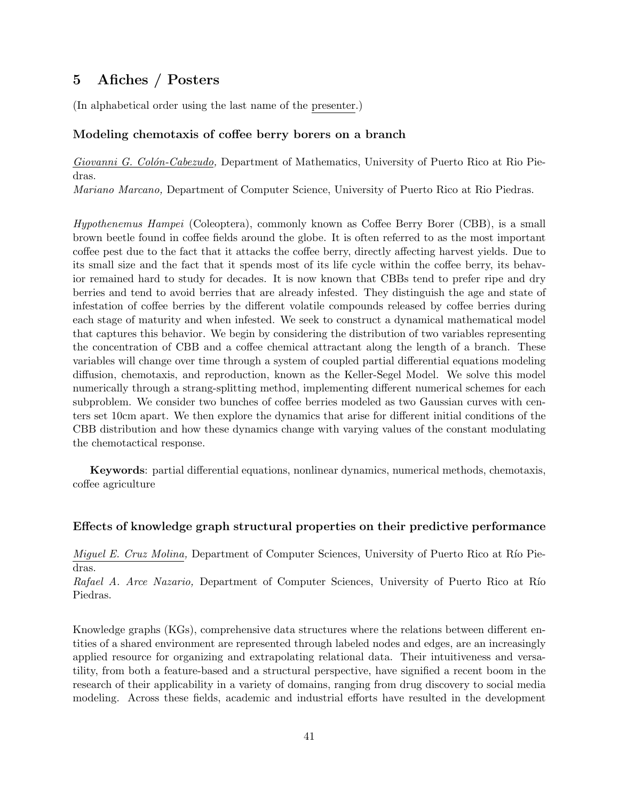# **5 Afiches / Posters**

(In alphabetical order using the last name of the presenter.)

#### **Modeling chemotaxis of coffee berry borers on a branch**

*Giovanni G. Col´on-Cabezudo,* Department of Mathematics, University of Puerto Rico at Rio Piedras.

*Mariano Marcano,* Department of Computer Science, University of Puerto Rico at Rio Piedras.

*Hypothenemus Hampei* (Coleoptera), commonly known as Coffee Berry Borer (CBB), is a small brown beetle found in coffee fields around the globe. It is often referred to as the most important coffee pest due to the fact that it attacks the coffee berry, directly affecting harvest yields. Due to its small size and the fact that it spends most of its life cycle within the coffee berry, its behavior remained hard to study for decades. It is now known that CBBs tend to prefer ripe and dry berries and tend to avoid berries that are already infested. They distinguish the age and state of infestation of coffee berries by the different volatile compounds released by coffee berries during each stage of maturity and when infested. We seek to construct a dynamical mathematical model that captures this behavior. We begin by considering the distribution of two variables representing the concentration of CBB and a coffee chemical attractant along the length of a branch. These variables will change over time through a system of coupled partial differential equations modeling diffusion, chemotaxis, and reproduction, known as the Keller-Segel Model. We solve this model numerically through a strang-splitting method, implementing different numerical schemes for each subproblem. We consider two bunches of coffee berries modeled as two Gaussian curves with centers set 10cm apart. We then explore the dynamics that arise for different initial conditions of the CBB distribution and how these dynamics change with varying values of the constant modulating the chemotactical response.

**Keywords**: partial differential equations, nonlinear dynamics, numerical methods, chemotaxis, coffee agriculture

#### **Effects of knowledge graph structural properties on their predictive performance**

*Miguel E. Cruz Molina, Department of Computer Sciences, University of Puerto Rico at Río Pie*dras.

*Rafael A. Arce Nazario,* Department of Computer Sciences, University of Puerto Rico at Río Piedras.

Knowledge graphs (KGs), comprehensive data structures where the relations between different entities of a shared environment are represented through labeled nodes and edges, are an increasingly applied resource for organizing and extrapolating relational data. Their intuitiveness and versatility, from both a feature-based and a structural perspective, have signified a recent boom in the research of their applicability in a variety of domains, ranging from drug discovery to social media modeling. Across these fields, academic and industrial efforts have resulted in the development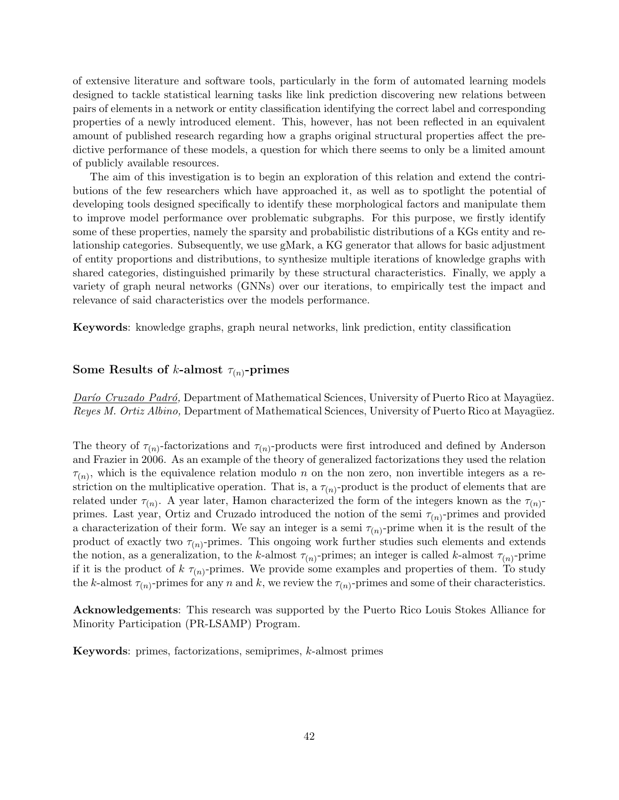of extensive literature and software tools, particularly in the form of automated learning models designed to tackle statistical learning tasks like link prediction discovering new relations between pairs of elements in a network or entity classification identifying the correct label and corresponding properties of a newly introduced element. This, however, has not been reflected in an equivalent amount of published research regarding how a graphs original structural properties affect the predictive performance of these models, a question for which there seems to only be a limited amount of publicly available resources.

The aim of this investigation is to begin an exploration of this relation and extend the contributions of the few researchers which have approached it, as well as to spotlight the potential of developing tools designed specifically to identify these morphological factors and manipulate them to improve model performance over problematic subgraphs. For this purpose, we firstly identify some of these properties, namely the sparsity and probabilistic distributions of a KGs entity and relationship categories. Subsequently, we use gMark, a KG generator that allows for basic adjustment of entity proportions and distributions, to synthesize multiple iterations of knowledge graphs with shared categories, distinguished primarily by these structural characteristics. Finally, we apply a variety of graph neural networks (GNNs) over our iterations, to empirically test the impact and relevance of said characteristics over the models performance.

**Keywords**: knowledge graphs, graph neural networks, link prediction, entity classification

### **Some Results of** *k***-almost**  $\tau(n)$ **-primes**

*Darío Cruzado Padró*, Department of Mathematical Sciences, University of Puerto Rico at Mayagüez. *Reyes M. Ortiz Albino,* Department of Mathematical Sciences, University of Puerto Rico at Mayagüez.

The theory of  $\tau_{(n)}$ -factorizations and  $\tau_{(n)}$ -products were first introduced and defined by Anderson and Frazier in 2006. As an example of the theory of generalized factorizations they used the relation  $\tau(n)$ , which is the equivalence relation modulo *n* on the non zero, non invertible integers as a restriction on the multiplicative operation. That is, a  $\tau_{(n)}$ -product is the product of elements that are related under  $\tau_{(n)}$ . A year later, Hamon characterized the form of the integers known as the  $\tau_{(n)}$ primes. Last year, Ortiz and Cruzado introduced the notion of the semi  $\tau_{(n)}$ -primes and provided a characterization of their form. We say an integer is a semi  $\tau_{(n)}$ -prime when it is the result of the product of exactly two  $\tau_{(n)}$ -primes. This ongoing work further studies such elements and extends the notion, as a generalization, to the *k*-almost  $\tau_{(n)}$ -primes; an integer is called *k*-almost  $\tau_{(n)}$ -prime if it is the product of  $k \tau_{(n)}$ -primes. We provide some examples and properties of them. To study the *k*-almost  $\tau_{(n)}$ -primes for any *n* and *k*, we review the  $\tau_{(n)}$ -primes and some of their characteristics.

**Acknowledgements**: This research was supported by the Puerto Rico Louis Stokes Alliance for Minority Participation (PR-LSAMP) Program.

**Keywords**: primes, factorizations, semiprimes, *k*-almost primes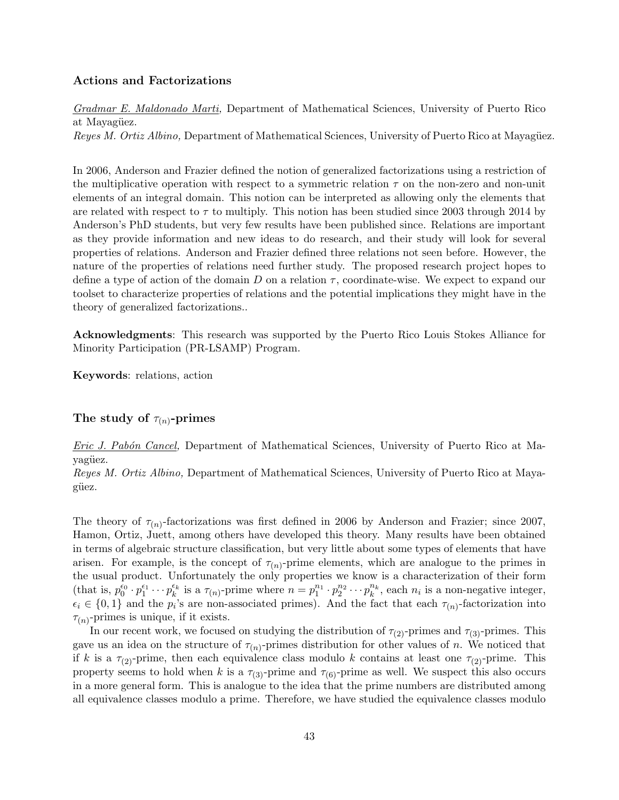### **Actions and Factorizations**

*Gradmar E. Maldonado Marti,* Department of Mathematical Sciences, University of Puerto Rico at Mayagüez.

*Reyes M. Ortiz Albino,* Department of Mathematical Sciences, University of Puerto Rico at Mayagüez.

In 2006, Anderson and Frazier defined the notion of generalized factorizations using a restriction of the multiplicative operation with respect to a symmetric relation  $\tau$  on the non-zero and non-unit elements of an integral domain. This notion can be interpreted as allowing only the elements that are related with respect to *τ* to multiply. This notion has been studied since 2003 through 2014 by Anderson's PhD students, but very few results have been published since. Relations are important as they provide information and new ideas to do research, and their study will look for several properties of relations. Anderson and Frazier defined three relations not seen before. However, the nature of the properties of relations need further study. The proposed research project hopes to define a type of action of the domain *D* on a relation *τ* , coordinate-wise. We expect to expand our toolset to characterize properties of relations and the potential implications they might have in the theory of generalized factorizations..

**Acknowledgments**: This research was supported by the Puerto Rico Louis Stokes Alliance for Minority Participation (PR-LSAMP) Program.

**Keywords**: relations, action

#### **The study of** *τ*(*n*)**-primes**

*Eric J. Pab´on Cancel,* Department of Mathematical Sciences, University of Puerto Rico at Mayagüez.

*Reyes M. Ortiz Albino,* Department of Mathematical Sciences, University of Puerto Rico at Mayagüez.

The theory of  $\tau_{(n)}$ -factorizations was first defined in 2006 by Anderson and Frazier; since 2007, Hamon, Ortiz, Juett, among others have developed this theory. Many results have been obtained in terms of algebraic structure classification, but very little about some types of elements that have arisen. For example, is the concept of  $\tau_{(n)}$ -prime elements, which are analogue to the primes in the usual product. Unfortunately the only properties we know is a characterization of their form (that is,  $p_0^{e_0} \cdot p_1^{e_1} \cdots p_k^{e_k}$  is a  $\tau_{(n)}$ -prime where  $n = p_1^{n_1} \cdot p_2^{n_2} \cdots p_k^{n_k}$ , each  $n_i$  is a non-negative integer,  $\epsilon_i \in \{0,1\}$  and the  $p_i$ 's are non-associated primes). And the fact that each  $\tau_{(n)}$ -factorization into  $\tau_{(n)}$ -primes is unique, if it exists.

In our recent work, we focused on studying the distribution of  $\tau_{(2)}$ -primes and  $\tau_{(3)}$ -primes. This gave us an idea on the structure of  $\tau_{(n)}$ -primes distribution for other values of *n*. We noticed that if *k* is a  $\tau_{(2)}$ -prime, then each equivalence class modulo *k* contains at least one  $\tau_{(2)}$ -prime. This property seems to hold when *k* is a  $\tau_{(3)}$ -prime and  $\tau_{(6)}$ -prime as well. We suspect this also occurs in a more general form. This is analogue to the idea that the prime numbers are distributed among all equivalence classes modulo a prime. Therefore, we have studied the equivalence classes modulo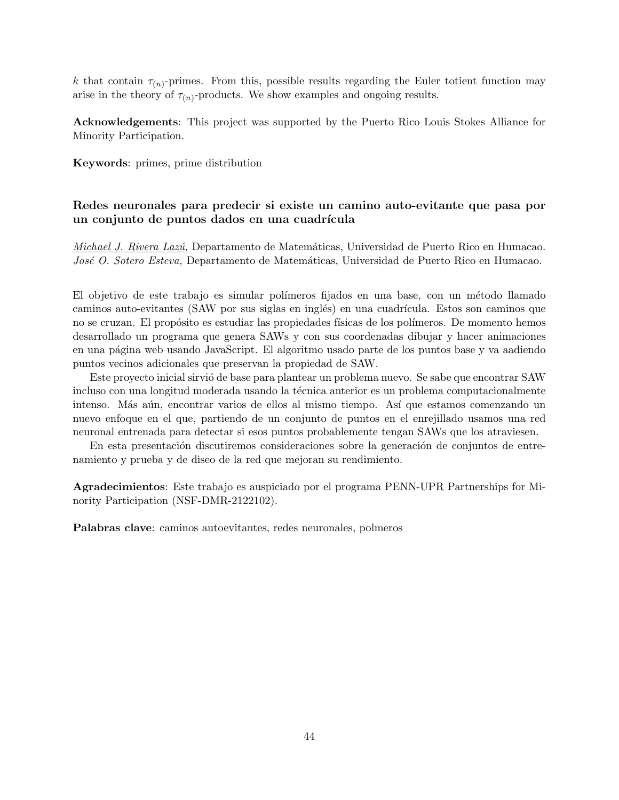*k* that contain  $\tau_{(n)}$ -primes. From this, possible results regarding the Euler totient function may arise in the theory of  $\tau_{(n)}$ -products. We show examples and ongoing results.

**Acknowledgements**: This project was supported by the Puerto Rico Louis Stokes Alliance for Minority Participation.

**Keywords**: primes, prime distribution

# **Redes neuronales para predecir si existe un camino auto-evitante que pasa por** un conjunto de puntos dados en una cuadrícula

*Michael J. Rivera Laz´u,* Departamento de Matem´aticas, Universidad de Puerto Rico en Humacao. *José O. Sotero Esteva,* Departamento de Matemáticas, Universidad de Puerto Rico en Humacao.

El objetivo de este trabajo es simular polímeros fijados en una base, con un método llamado caminos auto-evitantes (SAW por sus siglas en inglés) en una cuadrícula. Estos son caminos que no se cruzan. El propósito es estudiar las propiedades físicas de los polímeros. De momento hemos desarrollado un programa que genera SAWs y con sus coordenadas dibujar y hacer animaciones en una p´agina web usando JavaScript. El algoritmo usado parte de los puntos base y va aadiendo puntos vecinos adicionales que preservan la propiedad de SAW.

Este proyecto inicial sirvió de base para plantear un problema nuevo. Se sabe que encontrar SAW incluso con una longitud moderada usando la técnica anterior es un problema computacionalmente intenso. Más aún, encontrar varios de ellos al mismo tiempo. Así que estamos comenzando un nuevo enfoque en el que, partiendo de un conjunto de puntos en el enrejillado usamos una red neuronal entrenada para detectar si esos puntos probablemente tengan SAWs que los atraviesen.

En esta presentación discutiremos consideraciones sobre la generación de conjuntos de entrenamiento y prueba y de diseo de la red que mejoran su rendimiento.

**Agradecimientos**: Este trabajo es auspiciado por el programa PENN-UPR Partnerships for Minority Participation (NSF-DMR-2122102).

**Palabras clave**: caminos autoevitantes, redes neuronales, polmeros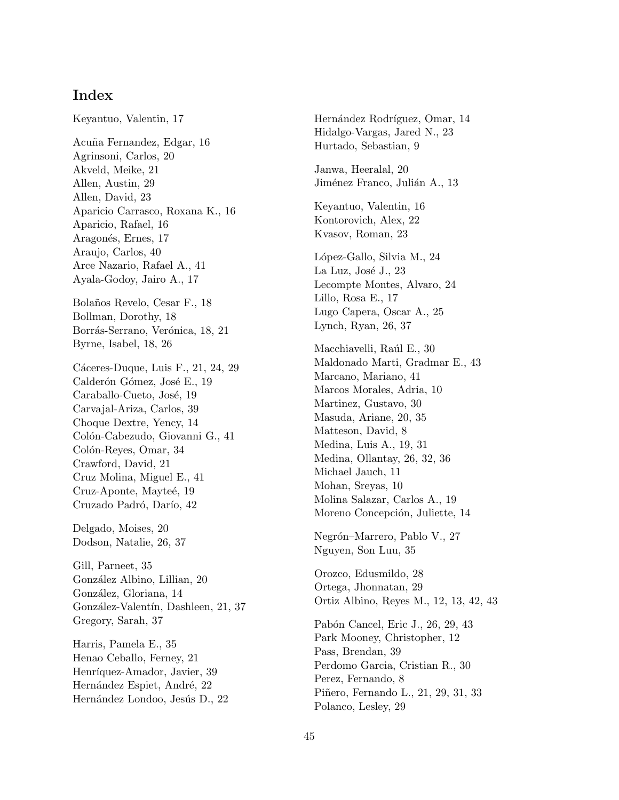# **Index**

Keyantuo, Valentin, 17 Acu˜na Fernandez, Edgar, 16 Agrinsoni, Carlos, 20 Akveld, Meike, 21 Allen, Austin, 29 Allen, David, 23 Aparicio Carrasco, Roxana K., 16 Aparicio, Rafael, 16 Aragonés, Ernes, 17 Araujo, Carlos, 40 Arce Nazario, Rafael A., 41 Ayala-Godoy, Jairo A., 17 Bola˜nos Revelo, Cesar F., 18 Bollman, Dorothy, 18 Borrás-Serrano, Verónica, 18, 21 Byrne, Isabel, 18, 26 Cáceres-Duque, Luis F., 21, 24, 29 Calderón Gómez, José E., 19 Caraballo-Cueto, José, 19 Carvajal-Ariza, Carlos, 39 Choque Dextre, Yency, 14 Colón-Cabezudo, Giovanni G., 41 Colón-Reyes, Omar, 34 Crawford, David, 21 Cruz Molina, Miguel E., 41 Cruz-Aponte, Mayteé, 19 Cruzado Padró, Darío, 42 Delgado, Moises, 20 Dodson, Natalie, 26, 37 Gill, Parneet, 35 González Albino, Lillian, 20 González, Gloriana, 14 González-Valentín, Dashleen, 21, 37 Gregory, Sarah, 37 Harris, Pamela E., 35 Henao Ceballo, Ferney, 21 Henríquez-Amador, Javier, 39 Hernández Espiet, André, 22 Hernández Londoo, Jesús D., 22

Hernández Rodríguez, Omar, 14 Hidalgo-Vargas, Jared N., 23 Hurtado, Sebastian, 9 Janwa, Heeralal, 20 Jiménez Franco, Julián A., 13 Keyantuo, Valentin, 16 Kontorovich, Alex, 22 Kvasov, Roman, 23 L´opez-Gallo, Silvia M., 24 La Luz, José J., 23 Lecompte Montes, Alvaro, 24 Lillo, Rosa E., 17 Lugo Capera, Oscar A., 25 Lynch, Ryan, 26, 37 Macchiavelli, Raúl E., 30 Maldonado Marti, Gradmar E., 43 Marcano, Mariano, 41 Marcos Morales, Adria, 10 Martinez, Gustavo, 30 Masuda, Ariane, 20, 35 Matteson, David, 8 Medina, Luis A., 19, 31 Medina, Ollantay, 26, 32, 36 Michael Jauch, 11 Mohan, Sreyas, 10 Molina Salazar, Carlos A., 19 Moreno Concepción, Juliette, 14 Negrón–Marrero, Pablo V., 27 Nguyen, Son Luu, 35 Orozco, Edusmildo, 28 Ortega, Jhonnatan, 29 Ortiz Albino, Reyes M., 12, 13, 42, 43 Pabón Cancel, Eric J., 26, 29, 43 Park Mooney, Christopher, 12 Pass, Brendan, 39 Perdomo Garcia, Cristian R., 30 Perez, Fernando, 8 Piñero, Fernando L., 21, 29, 31, 33 Polanco, Lesley, 29